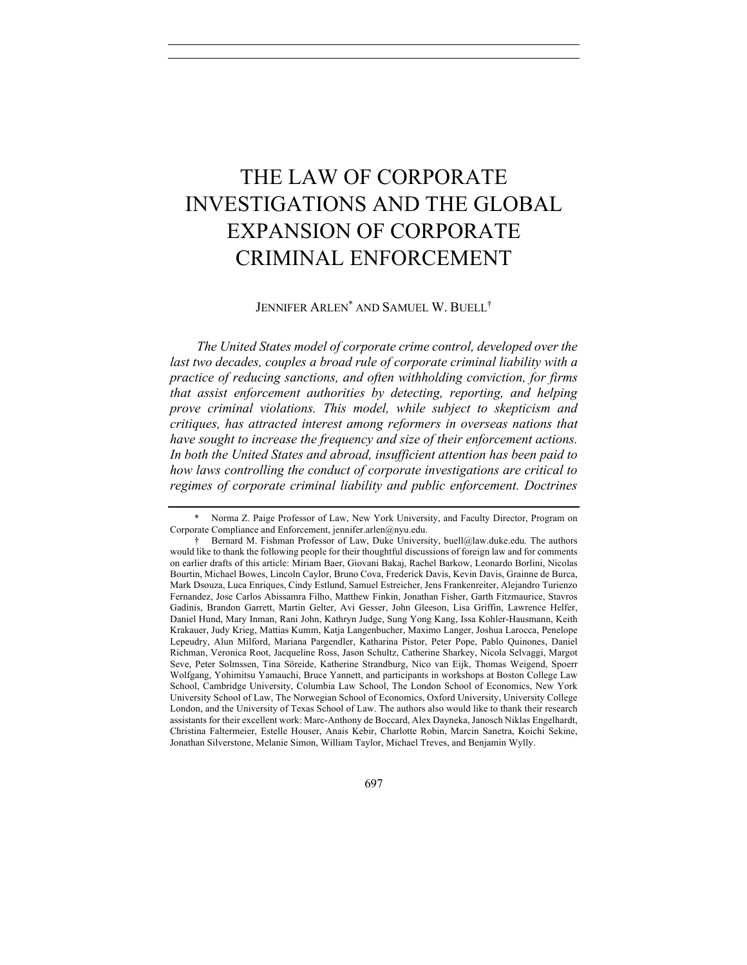# THE LAW OF CORPORATE INVESTIGATIONS AND THE GLOBAL EXPANSION OF CORPORATE CRIMINAL ENFORCEMENT

## JENNIFER ARLEN\* AND SAMUEL W. BUELL†

*The United States model of corporate crime control, developed over the*  last two decades, couples a broad rule of corporate criminal liability with a *practice of reducing sanctions, and often withholding conviction, for firms that assist enforcement authorities by detecting, reporting, and helping prove criminal violations. This model, while subject to skepticism and critiques, has attracted interest among reformers in overseas nations that have sought to increase the frequency and size of their enforcement actions. In both the United States and abroad, insufficient attention has been paid to how laws controlling the conduct of corporate investigations are critical to regimes of corporate criminal liability and public enforcement. Doctrines* 

<sup>\*</sup> Norma Z. Paige Professor of Law, New York University, and Faculty Director, Program on Corporate Compliance and Enforcement, jennifer.arlen@nyu.edu.

<sup>†</sup> Bernard M. Fishman Professor of Law, Duke University, buell@law.duke.edu. The authors would like to thank the following people for their thoughtful discussions of foreign law and for comments on earlier drafts of this article: Miriam Baer, Giovani Bakaj, Rachel Barkow, Leonardo Borlini, Nicolas Bourtin, Michael Bowes, Lincoln Caylor, Bruno Cova, Frederick Davis, Kevin Davis, Grainne de Burca, Mark Dsouza, Luca Enriques, Cindy Estlund, Samuel Estreicher, Jens Frankenreiter, Alejandro Turienzo Fernandez, Jose Carlos Abissamra Filho, Matthew Finkin, Jonathan Fisher, Garth Fitzmaurice, Stavros Gadinis, Brandon Garrett, Martin Gelter, Avi Gesser, John Gleeson, Lisa Griffin, Lawrence Helfer, Daniel Hund, Mary Inman, Rani John, Kathryn Judge, Sung Yong Kang, Issa Kohler-Hausmann, Keith Krakauer, Judy Krieg, Mattias Kumm, Katja Langenbucher, Maximo Langer, Joshua Larocca, Penelope Lepeudry, Alun Milford, Mariana Pargendler, Katharina Pistor, Peter Pope, Pablo Quinones, Daniel Richman, Veronica Root, Jacqueline Ross, Jason Schultz, Catherine Sharkey, Nicola Selvaggi, Margot Seve, Peter Solmssen, Tina Söreide, Katherine Strandburg, Nico van Eijk, Thomas Weigend, Spoerr Wolfgang, Yohimitsu Yamauchi, Bruce Yannett, and participants in workshops at Boston College Law School, Cambridge University, Columbia Law School, The London School of Economics, New York University School of Law, The Norwegian School of Economics, Oxford University, University College London, and the University of Texas School of Law. The authors also would like to thank their research assistants for their excellent work: Marc-Anthony de Boccard, Alex Dayneka, Janosch Niklas Engelhardt, Christina Faltermeier, Estelle Houser, Anais Kebir, Charlotte Robin, Marcin Sanetra, Koichi Sekine, Jonathan Silverstone, Melanie Simon, William Taylor, Michael Treves, and Benjamin Wylly.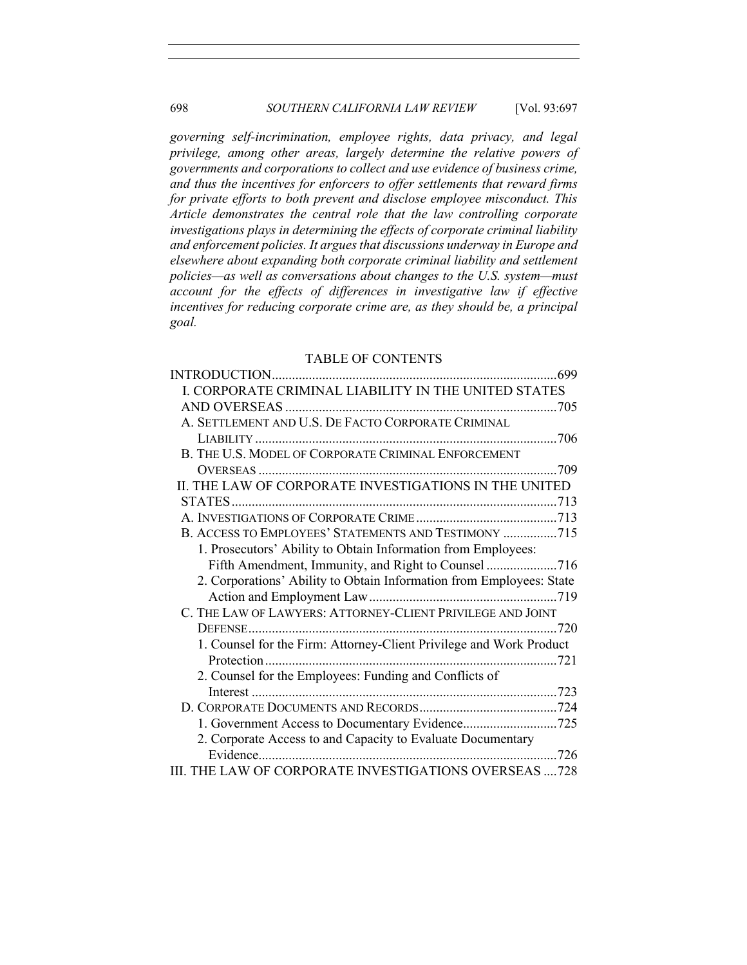*governing self-incrimination, employee rights, data privacy, and legal privilege, among other areas, largely determine the relative powers of governments and corporations to collect and use evidence of business crime, and thus the incentives for enforcers to offer settlements that reward firms for private efforts to both prevent and disclose employee misconduct. This Article demonstrates the central role that the law controlling corporate investigations plays in determining the effects of corporate criminal liability and enforcement policies. It argues that discussions underway in Europe and elsewhere about expanding both corporate criminal liability and settlement policies—as well as conversations about changes to the U.S. system—must account for the effects of differences in investigative law if effective incentives for reducing corporate crime are, as they should be, a principal goal.*

## TABLE OF CONTENTS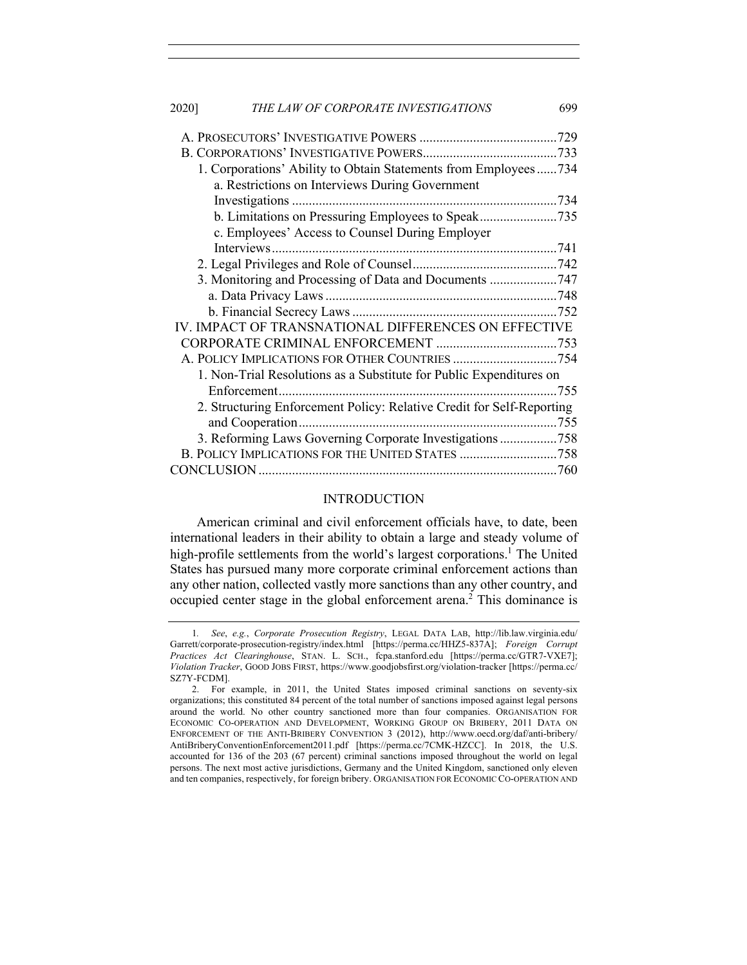| 2020] | THE LAW OF CORPORATE INVESTIGATIONS                                   | 699 |
|-------|-----------------------------------------------------------------------|-----|
|       |                                                                       |     |
|       |                                                                       |     |
|       | 1. Corporations' Ability to Obtain Statements from Employees734       |     |
|       | a. Restrictions on Interviews During Government                       |     |
|       |                                                                       |     |
|       | b. Limitations on Pressuring Employees to Speak735                    |     |
|       | c. Employees' Access to Counsel During Employer                       |     |
|       |                                                                       |     |
|       |                                                                       |     |
|       | 3. Monitoring and Processing of Data and Documents 747                |     |
|       |                                                                       |     |
|       |                                                                       |     |
|       | IV. IMPACT OF TRANSNATIONAL DIFFERENCES ON EFFECTIVE                  |     |
|       |                                                                       |     |
|       | A. POLICY IMPLICATIONS FOR OTHER COUNTRIES 754                        |     |
|       | 1. Non-Trial Resolutions as a Substitute for Public Expenditures on   |     |
|       |                                                                       |     |
|       | 2. Structuring Enforcement Policy: Relative Credit for Self-Reporting |     |
|       |                                                                       |     |
|       | 3. Reforming Laws Governing Corporate Investigations758               |     |
|       | B. POLICY IMPLICATIONS FOR THE UNITED STATES 758                      |     |
|       |                                                                       |     |

#### INTRODUCTION

American criminal and civil enforcement officials have, to date, been international leaders in their ability to obtain a large and steady volume of high-profile settlements from the world's largest corporations.<sup>1</sup> The United States has pursued many more corporate criminal enforcement actions than any other nation, collected vastly more sanctions than any other country, and occupied center stage in the global enforcement arena.<sup>2</sup> This dominance is

<sup>1</sup>*. See*, *e.g.*, *Corporate Prosecution Registry*, LEGAL DATA LAB, http://lib.law.virginia.edu/ Garrett/corporate-prosecution-registry/index.html [https://perma.cc/HHZ5-837A]; *Foreign Corrupt Practices Act Clearinghouse*, STAN. L. SCH., fcpa.stanford.edu [https://perma.cc/GTR7-VXE7]; *Violation Tracker*, GOOD JOBS FIRST, https://www.goodjobsfirst.org/violation-tracker [https://perma.cc/ SZ7Y-FCDM].

<sup>2.</sup> For example, in 2011, the United States imposed criminal sanctions on seventy-six organizations; this constituted 84 percent of the total number of sanctions imposed against legal persons around the world. No other country sanctioned more than four companies. ORGANISATION FOR ECONOMIC CO-OPERATION AND DEVELOPMENT, WORKING GROUP ON BRIBERY, 2011 DATA ON ENFORCEMENT OF THE ANTI-BRIBERY CONVENTION 3 (2012), http://www.oecd.org/daf/anti-bribery/ AntiBriberyConventionEnforcement2011.pdf [https://perma.cc/7CMK-HZCC]. In 2018, the U.S. accounted for 136 of the 203 (67 percent) criminal sanctions imposed throughout the world on legal persons. The next most active jurisdictions, Germany and the United Kingdom, sanctioned only eleven and ten companies, respectively, for foreign bribery. ORGANISATION FOR ECONOMIC CO-OPERATION AND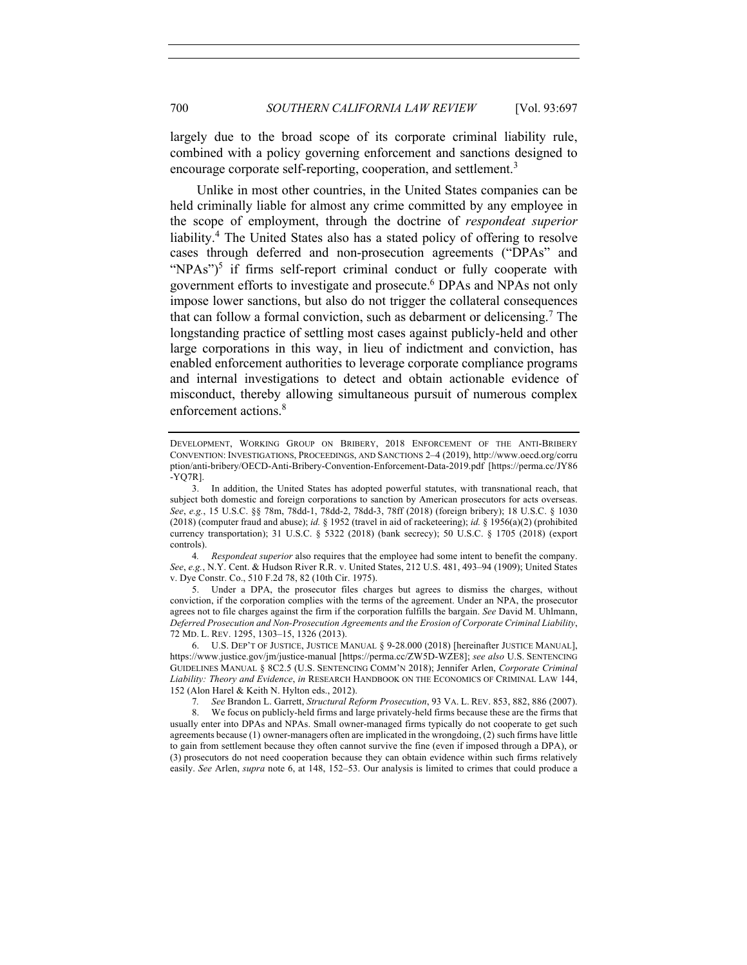largely due to the broad scope of its corporate criminal liability rule, combined with a policy governing enforcement and sanctions designed to encourage corporate self-reporting, cooperation, and settlement.<sup>3</sup>

Unlike in most other countries, in the United States companies can be held criminally liable for almost any crime committed by any employee in the scope of employment, through the doctrine of *respondeat superior* liability.<sup>4</sup> The United States also has a stated policy of offering to resolve cases through deferred and non-prosecution agreements ("DPAs" and "NPAs") $5$  if firms self-report criminal conduct or fully cooperate with government efforts to investigate and prosecute.6 DPAs and NPAs not only impose lower sanctions, but also do not trigger the collateral consequences that can follow a formal conviction, such as debarment or delicensing.7 The longstanding practice of settling most cases against publicly-held and other large corporations in this way, in lieu of indictment and conviction, has enabled enforcement authorities to leverage corporate compliance programs and internal investigations to detect and obtain actionable evidence of misconduct, thereby allowing simultaneous pursuit of numerous complex enforcement actions.<sup>8</sup>

4*. Respondeat superior* also requires that the employee had some intent to benefit the company. *See*, *e.g.*, N.Y. Cent. & Hudson River R.R. v. United States, 212 U.S. 481, 493–94 (1909); United States v. Dye Constr. Co., 510 F.2d 78, 82 (10th Cir. 1975).

5. Under a DPA, the prosecutor files charges but agrees to dismiss the charges, without conviction, if the corporation complies with the terms of the agreement. Under an NPA, the prosecutor agrees not to file charges against the firm if the corporation fulfills the bargain. *See* David M. Uhlmann, *Deferred Prosecution and Non-Prosecution Agreements and the Erosion of Corporate Criminal Liability*, 72 MD. L. REV. 1295, 1303–15, 1326 (2013).

6. U.S. DEP'T OF JUSTICE, JUSTICE MANUAL § 9-28.000 (2018) [hereinafter JUSTICE MANUAL], https://www.justice.gov/jm/justice-manual [https://perma.cc/ZW5D-WZE8]; *see also* U.S. SENTENCING GUIDELINES MANUAL § 8C2.5 (U.S. SENTENCING COMM'N 2018); Jennifer Arlen, *Corporate Criminal Liability: Theory and Evidence*, *in* RESEARCH HANDBOOK ON THE ECONOMICS OF CRIMINAL LAW 144, 152 (Alon Harel & Keith N. Hylton eds., 2012).

7*. See* Brandon L. Garrett, *Structural Reform Prosecution*, 93 VA. L. REV. 853, 882, 886 (2007).

8. We focus on publicly-held firms and large privately-held firms because these are the firms that usually enter into DPAs and NPAs. Small owner-managed firms typically do not cooperate to get such agreements because (1) owner-managers often are implicated in the wrongdoing, (2) such firms have little to gain from settlement because they often cannot survive the fine (even if imposed through a DPA), or (3) prosecutors do not need cooperation because they can obtain evidence within such firms relatively easily. *See* Arlen, *supra* note 6, at 148, 152–53. Our analysis is limited to crimes that could produce a

DEVELOPMENT, WORKING GROUP ON BRIBERY, 2018 ENFORCEMENT OF THE ANTI-BRIBERY CONVENTION: INVESTIGATIONS, PROCEEDINGS, AND SANCTIONS 2–4 (2019), http://www.oecd.org/corru ption/anti-bribery/OECD-Anti-Bribery-Convention-Enforcement-Data-2019.pdf [https://perma.cc/JY86 -YQ7R].

<sup>3.</sup> In addition, the United States has adopted powerful statutes, with transnational reach, that subject both domestic and foreign corporations to sanction by American prosecutors for acts overseas. *See*, *e.g.*, 15 U.S.C. §§ 78m, 78dd-1, 78dd-2, 78dd-3, 78ff (2018) (foreign bribery); 18 U.S.C. § 1030 (2018) (computer fraud and abuse); *id.* § 1952 (travel in aid of racketeering); *id.* § 1956(a)(2) (prohibited currency transportation); 31 U.S.C. § 5322 (2018) (bank secrecy); 50 U.S.C. § 1705 (2018) (export controls).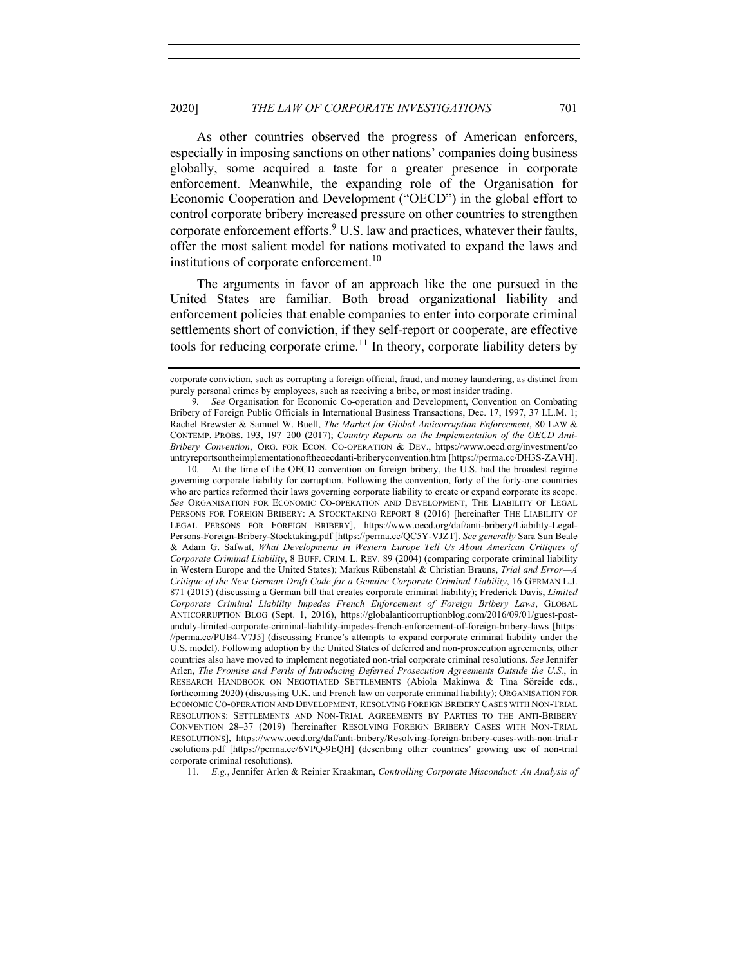As other countries observed the progress of American enforcers, especially in imposing sanctions on other nations' companies doing business globally, some acquired a taste for a greater presence in corporate enforcement. Meanwhile, the expanding role of the Organisation for Economic Cooperation and Development ("OECD") in the global effort to control corporate bribery increased pressure on other countries to strengthen corporate enforcement efforts.<sup>9</sup> U.S. law and practices, whatever their faults, offer the most salient model for nations motivated to expand the laws and institutions of corporate enforcement.<sup>10</sup>

The arguments in favor of an approach like the one pursued in the United States are familiar. Both broad organizational liability and enforcement policies that enable companies to enter into corporate criminal settlements short of conviction, if they self-report or cooperate, are effective tools for reducing corporate crime.<sup>11</sup> In theory, corporate liability deters by

10*.* At the time of the OECD convention on foreign bribery, the U.S. had the broadest regime governing corporate liability for corruption. Following the convention, forty of the forty-one countries who are parties reformed their laws governing corporate liability to create or expand corporate its scope. *See* ORGANISATION FOR ECONOMIC CO-OPERATION AND DEVELOPMENT, THE LIABILITY OF LEGAL PERSONS FOR FOREIGN BRIBERY: A STOCKTAKING REPORT 8 (2016) [hereinafter THE LIABILITY OF LEGAL PERSONS FOR FOREIGN BRIBERY], https://www.oecd.org/daf/anti-bribery/Liability-Legal-Persons-Foreign-Bribery-Stocktaking.pdf [https://perma.cc/QC5Y-VJZT]. *See generally* Sara Sun Beale & Adam G. Safwat, *What Developments in Western Europe Tell Us About American Critiques of Corporate Criminal Liability*, 8 BUFF. CRIM. L. REV. 89 (2004) (comparing corporate criminal liability in Western Europe and the United States); Markus Rübenstahl & Christian Brauns, *Trial and Error—A Critique of the New German Draft Code for a Genuine Corporate Criminal Liability*, 16 GERMAN L.J. 871 (2015) (discussing a German bill that creates corporate criminal liability); Frederick Davis, *Limited Corporate Criminal Liability Impedes French Enforcement of Foreign Bribery Laws*, GLOBAL ANTICORRUPTION BLOG (Sept. 1, 2016), https://globalanticorruptionblog.com/2016/09/01/guest-postunduly-limited-corporate-criminal-liability-impedes-french-enforcement-of-foreign-bribery-laws [https: //perma.cc/PUB4-V7J5] (discussing France's attempts to expand corporate criminal liability under the U.S. model). Following adoption by the United States of deferred and non-prosecution agreements, other countries also have moved to implement negotiated non-trial corporate criminal resolutions. *See* Jennifer Arlen, *The Promise and Perils of Introducing Deferred Prosecution Agreements Outside the U.S.*, in RESEARCH HANDBOOK ON NEGOTIATED SETTLEMENTS (Abiola Makinwa & Tina Söreide eds., forthcoming 2020) (discussing U.K. and French law on corporate criminal liability); ORGANISATION FOR ECONOMIC CO-OPERATION AND DEVELOPMENT, RESOLVING FOREIGN BRIBERY CASES WITH NON-TRIAL RESOLUTIONS: SETTLEMENTS AND NON-TRIAL AGREEMENTS BY PARTIES TO THE ANTI-BRIBERY CONVENTION 28–37 (2019) [hereinafter RESOLVING FOREIGN BRIBERY CASES WITH NON-TRIAL RESOLUTIONS], https://www.oecd.org/daf/anti-bribery/Resolving-foreign-bribery-cases-with-non-trial-r esolutions.pdf [https://perma.cc/6VPQ-9EQH] (describing other countries' growing use of non-trial corporate criminal resolutions).

11*. E.g.*, Jennifer Arlen & Reinier Kraakman, *Controlling Corporate Misconduct: An Analysis of* 

corporate conviction, such as corrupting a foreign official, fraud, and money laundering, as distinct from purely personal crimes by employees, such as receiving a bribe, or most insider trading.

<sup>9</sup>*. See* Organisation for Economic Co-operation and Development, Convention on Combating Bribery of Foreign Public Officials in International Business Transactions, Dec. 17, 1997, 37 I.L.M. 1; Rachel Brewster & Samuel W. Buell, *The Market for Global Anticorruption Enforcement*, 80 LAW & CONTEMP. PROBS. 193, 197–200 (2017); *Country Reports on the Implementation of the OECD Anti-Bribery Convention*, ORG. FOR ECON. CO-OPERATION & DEV., https://www.oecd.org/investment/co untryreportsontheimplementationoftheoecdanti-briberyconvention.htm [https://perma.cc/DH3S-ZAVH].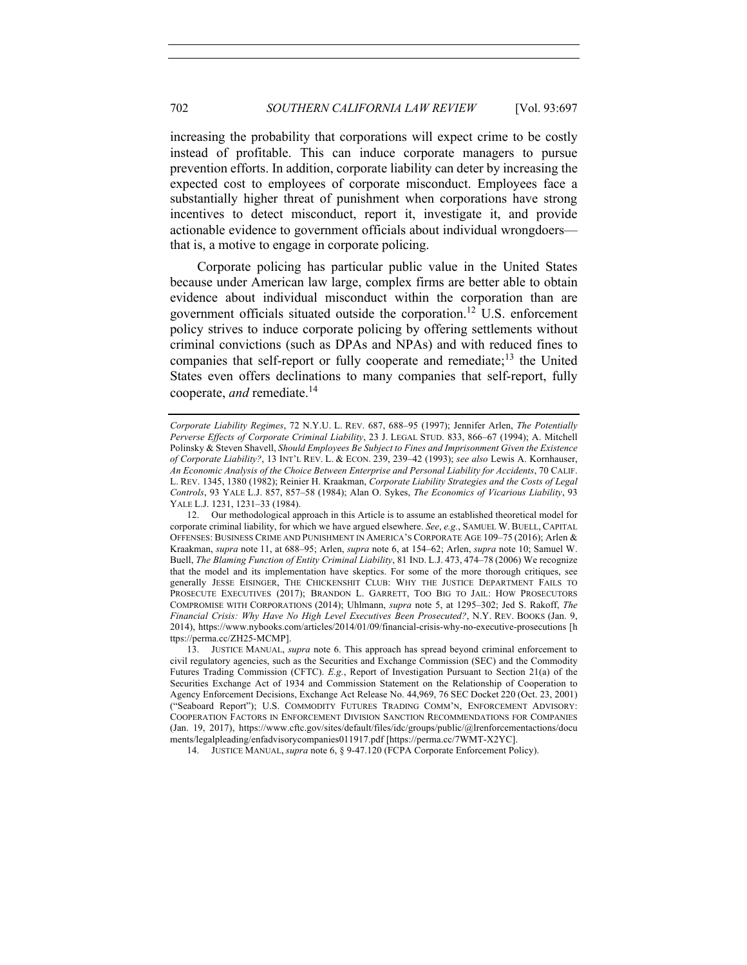increasing the probability that corporations will expect crime to be costly instead of profitable. This can induce corporate managers to pursue prevention efforts. In addition, corporate liability can deter by increasing the expected cost to employees of corporate misconduct. Employees face a substantially higher threat of punishment when corporations have strong incentives to detect misconduct, report it, investigate it, and provide actionable evidence to government officials about individual wrongdoers that is, a motive to engage in corporate policing.

Corporate policing has particular public value in the United States because under American law large, complex firms are better able to obtain evidence about individual misconduct within the corporation than are government officials situated outside the corporation. <sup>12</sup> U.S. enforcement policy strives to induce corporate policing by offering settlements without criminal convictions (such as DPAs and NPAs) and with reduced fines to companies that self-report or fully cooperate and remediate;<sup>13</sup> the United States even offers declinations to many companies that self-report, fully cooperate, *and* remediate.14

14. JUSTICE MANUAL, *supra* note 6, § 9-47.120 (FCPA Corporate Enforcement Policy).

*Corporate Liability Regimes*, 72 N.Y.U. L. REV. 687, 688–95 (1997); Jennifer Arlen, *The Potentially Perverse Effects of Corporate Criminal Liability*, 23 J. LEGAL STUD. 833, 866–67 (1994); A. Mitchell Polinsky & Steven Shavell, *Should Employees Be Subject to Fines and Imprisonment Given the Existence of Corporate Liability?*, 13 INT'L REV. L. & ECON. 239, 239–42 (1993); *see also* Lewis A. Kornhauser, *An Economic Analysis of the Choice Between Enterprise and Personal Liability for Accidents*, 70 CALIF. L. REV. 1345, 1380 (1982); Reinier H. Kraakman, *Corporate Liability Strategies and the Costs of Legal Controls*, 93 YALE L.J. 857, 857–58 (1984); Alan O. Sykes, *The Economics of Vicarious Liability*, 93 YALE L.J. 1231, 1231–33 (1984).

<sup>12.</sup> Our methodological approach in this Article is to assume an established theoretical model for corporate criminal liability, for which we have argued elsewhere. *See*, *e.g.*, SAMUEL W. BUELL, CAPITAL OFFENSES: BUSINESS CRIME AND PUNISHMENT IN AMERICA'S CORPORATE AGE 109–75 (2016); Arlen & Kraakman, *supra* note 11, at 688–95; Arlen, *supra* note 6, at 154–62; Arlen, *supra* note 10; Samuel W. Buell, *The Blaming Function of Entity Criminal Liability*, 81 IND. L.J. 473, 474–78 (2006) We recognize that the model and its implementation have skeptics. For some of the more thorough critiques, see generally JESSE EISINGER, THE CHICKENSHIT CLUB: WHY THE JUSTICE DEPARTMENT FAILS TO PROSECUTE EXECUTIVES (2017); BRANDON L. GARRETT, TOO BIG TO JAIL: HOW PROSECUTORS COMPROMISE WITH CORPORATIONS (2014); Uhlmann, *supra* note 5, at 1295–302; Jed S. Rakoff, *The Financial Crisis: Why Have No High Level Executives Been Prosecuted?*, N.Y. REV. BOOKS (Jan. 9, 2014), https://www.nybooks.com/articles/2014/01/09/financial-crisis-why-no-executive-prosecutions [h ttps://perma.cc/ZH25-MCMP].

<sup>13.</sup> JUSTICE MANUAL, *supra* note 6. This approach has spread beyond criminal enforcement to civil regulatory agencies, such as the Securities and Exchange Commission (SEC) and the Commodity Futures Trading Commission (CFTC). *E.g.*, Report of Investigation Pursuant to Section 21(a) of the Securities Exchange Act of 1934 and Commission Statement on the Relationship of Cooperation to Agency Enforcement Decisions, Exchange Act Release No. 44,969, 76 SEC Docket 220 (Oct. 23, 2001) ("Seaboard Report"); U.S. COMMODITY FUTURES TRADING COMM'N, ENFORCEMENT ADVISORY: COOPERATION FACTORS IN ENFORCEMENT DIVISION SANCTION RECOMMENDATIONS FOR COMPANIES (Jan. 19, 2017), https://www.cftc.gov/sites/default/files/idc/groups/public/@lrenforcementactions/docu ments/legalpleading/enfadvisorycompanies011917.pdf [https://perma.cc/7WMT-X2YC].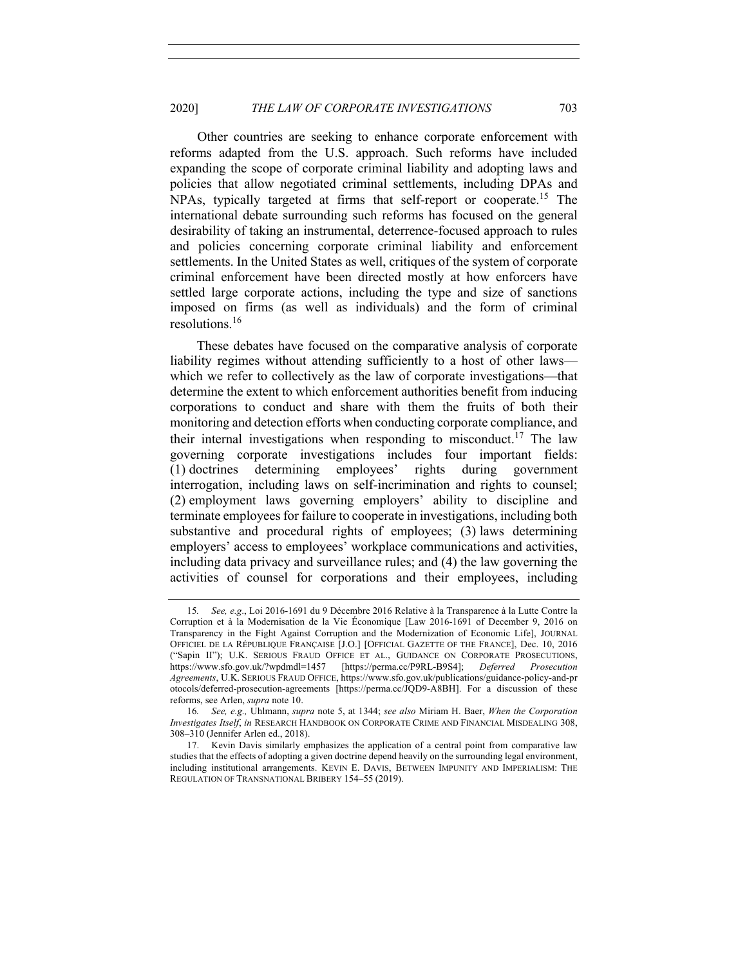Other countries are seeking to enhance corporate enforcement with reforms adapted from the U.S. approach. Such reforms have included expanding the scope of corporate criminal liability and adopting laws and policies that allow negotiated criminal settlements, including DPAs and NPAs, typically targeted at firms that self-report or cooperate.<sup>15</sup> The international debate surrounding such reforms has focused on the general desirability of taking an instrumental, deterrence-focused approach to rules and policies concerning corporate criminal liability and enforcement settlements. In the United States as well, critiques of the system of corporate criminal enforcement have been directed mostly at how enforcers have settled large corporate actions, including the type and size of sanctions imposed on firms (as well as individuals) and the form of criminal resolutions.<sup>16</sup>

These debates have focused on the comparative analysis of corporate liability regimes without attending sufficiently to a host of other laws which we refer to collectively as the law of corporate investigations—that determine the extent to which enforcement authorities benefit from inducing corporations to conduct and share with them the fruits of both their monitoring and detection efforts when conducting corporate compliance, and their internal investigations when responding to misconduct.<sup>17</sup> The law governing corporate investigations includes four important fields: (1) doctrines determining employees' rights during government interrogation, including laws on self-incrimination and rights to counsel; (2) employment laws governing employers' ability to discipline and terminate employees for failure to cooperate in investigations, including both substantive and procedural rights of employees; (3) laws determining employers' access to employees' workplace communications and activities, including data privacy and surveillance rules; and (4) the law governing the activities of counsel for corporations and their employees, including

<sup>15</sup>*. See, e.g*., Loi 2016-1691 du 9 Décembre 2016 Relative à la Transparence à la Lutte Contre la Corruption et à la Modernisation de la Vie Économique [Law 2016-1691 of December 9, 2016 on Transparency in the Fight Against Corruption and the Modernization of Economic Life], JOURNAL OFFICIEL DE LA RÉPUBLIQUE FRANÇAISE [J.O.] [OFFICIAL GAZETTE OF THE FRANCE], Dec. 10, 2016 ("Sapin II"); U.K. SERIOUS FRAUD OFFICE ET AL., GUIDANCE ON CORPORATE PROSECUTIONS, https://www.sfo.gov.uk/?wpdmdl=1457 [https://perma.cc/P9RL-B9S4]; *Deferred Prosecution Agreements*, U.K. SERIOUS FRAUD OFFICE, https://www.sfo.gov.uk/publications/guidance-policy-and-pr otocols/deferred-prosecution-agreements [https://perma.cc/JQD9-A8BH]. For a discussion of these reforms, see Arlen, *supra* note 10.

<sup>16</sup>*. See, e.g.,* Uhlmann, *supra* note 5, at 1344; *see also* Miriam H. Baer, *When the Corporation Investigates Itself*, *in* RESEARCH HANDBOOK ON CORPORATE CRIME AND FINANCIAL MISDEALING 308, 308–310 (Jennifer Arlen ed., 2018).

<sup>17.</sup> Kevin Davis similarly emphasizes the application of a central point from comparative law studies that the effects of adopting a given doctrine depend heavily on the surrounding legal environment, including institutional arrangements. KEVIN E. DAVIS, BETWEEN IMPUNITY AND IMPERIALISM: THE REGULATION OF TRANSNATIONAL BRIBERY 154–55 (2019).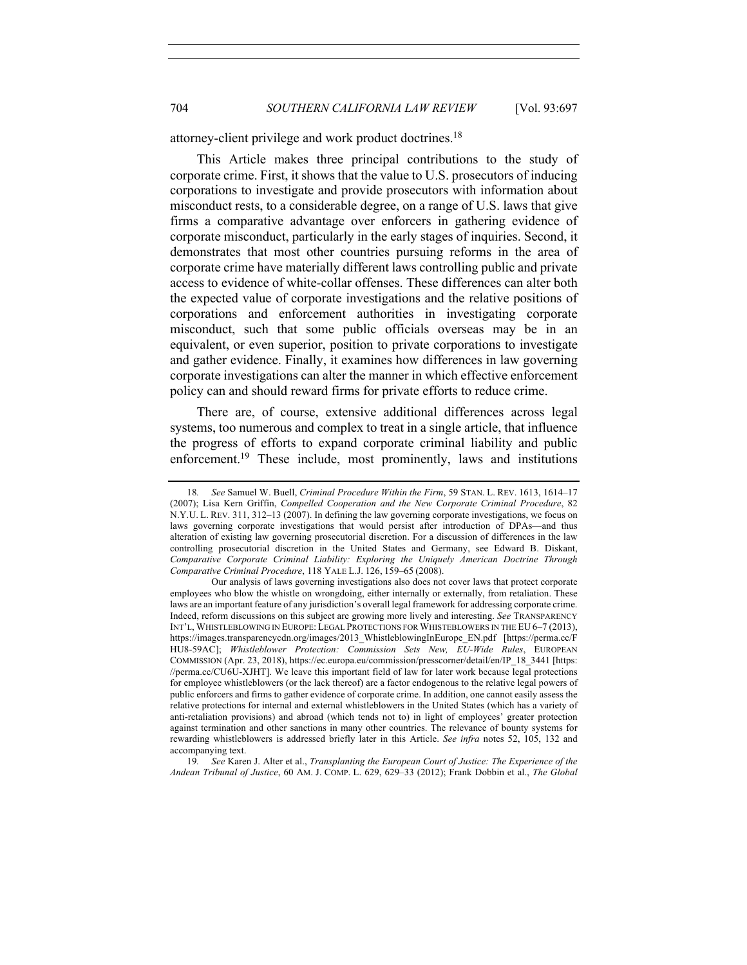attorney-client privilege and work product doctrines.<sup>18</sup>

This Article makes three principal contributions to the study of corporate crime. First, it shows that the value to U.S. prosecutors of inducing corporations to investigate and provide prosecutors with information about misconduct rests, to a considerable degree, on a range of U.S. laws that give firms a comparative advantage over enforcers in gathering evidence of corporate misconduct, particularly in the early stages of inquiries. Second, it demonstrates that most other countries pursuing reforms in the area of corporate crime have materially different laws controlling public and private access to evidence of white-collar offenses. These differences can alter both the expected value of corporate investigations and the relative positions of corporations and enforcement authorities in investigating corporate misconduct, such that some public officials overseas may be in an equivalent, or even superior, position to private corporations to investigate and gather evidence. Finally, it examines how differences in law governing corporate investigations can alter the manner in which effective enforcement policy can and should reward firms for private efforts to reduce crime.

There are, of course, extensive additional differences across legal systems, too numerous and complex to treat in a single article, that influence the progress of efforts to expand corporate criminal liability and public enforcement.<sup>19</sup> These include, most prominently, laws and institutions

<sup>18</sup>*. See* Samuel W. Buell, *Criminal Procedure Within the Firm*, 59 STAN. L. REV. 1613, 1614–17 (2007); Lisa Kern Griffin, *Compelled Cooperation and the New Corporate Criminal Procedure*, 82 N.Y.U. L. REV. 311, 312–13 (2007). In defining the law governing corporate investigations, we focus on laws governing corporate investigations that would persist after introduction of DPAs—and thus alteration of existing law governing prosecutorial discretion. For a discussion of differences in the law controlling prosecutorial discretion in the United States and Germany, see Edward B. Diskant, *Comparative Corporate Criminal Liability: Exploring the Uniquely American Doctrine Through Comparative Criminal Procedure*, 118 YALE L.J. 126, 159–65 (2008).

Our analysis of laws governing investigations also does not cover laws that protect corporate employees who blow the whistle on wrongdoing, either internally or externally, from retaliation. These laws are an important feature of any jurisdiction's overall legal framework for addressing corporate crime. Indeed, reform discussions on this subject are growing more lively and interesting. *See* TRANSPARENCY INT'L, WHISTLEBLOWING IN EUROPE: LEGAL PROTECTIONS FOR WHISTEBLOWERS IN THE EU 6–7 (2013), https://images.transparencycdn.org/images/2013\_WhistleblowingInEurope\_EN.pdf [https://perma.cc/F HU8-59AC]; *Whistleblower Protection: Commission Sets New, EU-Wide Rules*, EUROPEAN COMMISSION (Apr. 23, 2018), https://ec.europa.eu/commission/presscorner/detail/en/IP\_18\_3441 [https: //perma.cc/CU6U-XJHT]. We leave this important field of law for later work because legal protections for employee whistleblowers (or the lack thereof) are a factor endogenous to the relative legal powers of public enforcers and firms to gather evidence of corporate crime. In addition, one cannot easily assess the relative protections for internal and external whistleblowers in the United States (which has a variety of anti-retaliation provisions) and abroad (which tends not to) in light of employees' greater protection against termination and other sanctions in many other countries. The relevance of bounty systems for rewarding whistleblowers is addressed briefly later in this Article. *See infra* notes 52, 105, 132 and accompanying text.

<sup>19</sup>*. See* Karen J. Alter et al., *Transplanting the European Court of Justice: The Experience of the Andean Tribunal of Justice*, 60 AM. J. COMP. L. 629, 629–33 (2012); Frank Dobbin et al., *The Global*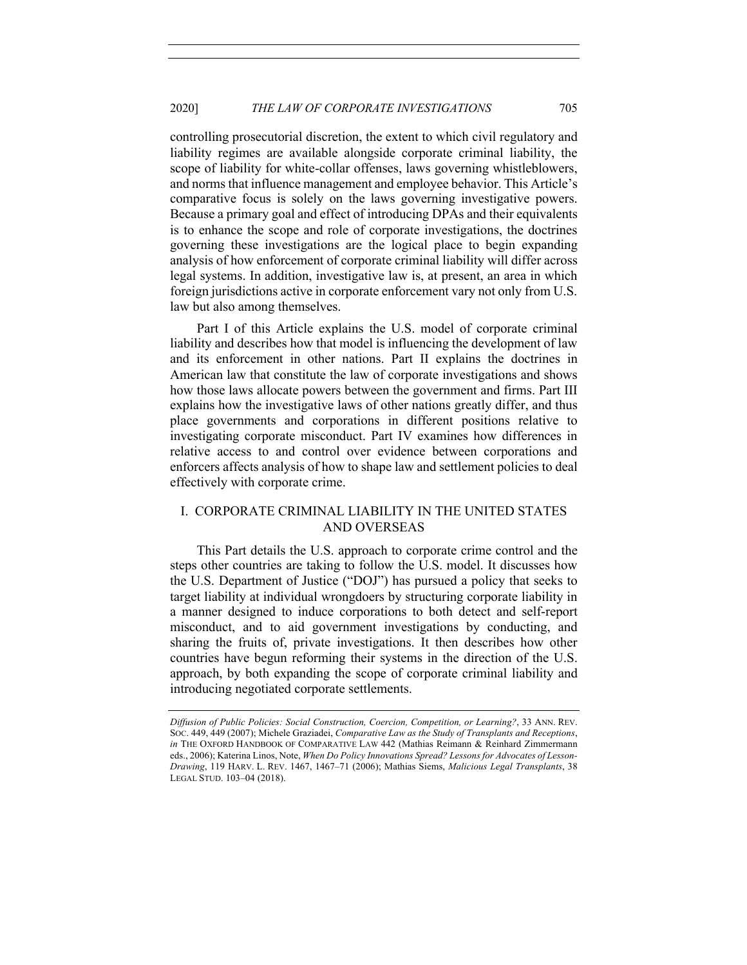controlling prosecutorial discretion, the extent to which civil regulatory and liability regimes are available alongside corporate criminal liability, the scope of liability for white-collar offenses, laws governing whistleblowers, and norms that influence management and employee behavior. This Article's comparative focus is solely on the laws governing investigative powers. Because a primary goal and effect of introducing DPAs and their equivalents is to enhance the scope and role of corporate investigations, the doctrines governing these investigations are the logical place to begin expanding analysis of how enforcement of corporate criminal liability will differ across legal systems. In addition, investigative law is, at present, an area in which foreign jurisdictions active in corporate enforcement vary not only from U.S. law but also among themselves.

Part I of this Article explains the U.S. model of corporate criminal liability and describes how that model is influencing the development of law and its enforcement in other nations. Part II explains the doctrines in American law that constitute the law of corporate investigations and shows how those laws allocate powers between the government and firms. Part III explains how the investigative laws of other nations greatly differ, and thus place governments and corporations in different positions relative to investigating corporate misconduct. Part IV examines how differences in relative access to and control over evidence between corporations and enforcers affects analysis of how to shape law and settlement policies to deal effectively with corporate crime.

# I. CORPORATE CRIMINAL LIABILITY IN THE UNITED STATES AND OVERSEAS

This Part details the U.S. approach to corporate crime control and the steps other countries are taking to follow the U.S. model. It discusses how the U.S. Department of Justice ("DOJ") has pursued a policy that seeks to target liability at individual wrongdoers by structuring corporate liability in a manner designed to induce corporations to both detect and self-report misconduct, and to aid government investigations by conducting, and sharing the fruits of, private investigations. It then describes how other countries have begun reforming their systems in the direction of the U.S. approach, by both expanding the scope of corporate criminal liability and introducing negotiated corporate settlements.

*Diffusion of Public Policies: Social Construction, Coercion, Competition, or Learning?*, 33 ANN. REV. SOC. 449, 449 (2007); Michele Graziadei, *Comparative Law as the Study of Transplants and Receptions*, *in* THE OXFORD HANDBOOK OF COMPARATIVE LAW 442 (Mathias Reimann & Reinhard Zimmermann eds., 2006); Katerina Linos, Note, *When Do Policy Innovations Spread? Lessons for Advocates of Lesson-Drawing*, 119 HARV. L. REV. 1467, 1467–71 (2006); Mathias Siems, *Malicious Legal Transplants*, 38 LEGAL STUD. 103–04 (2018).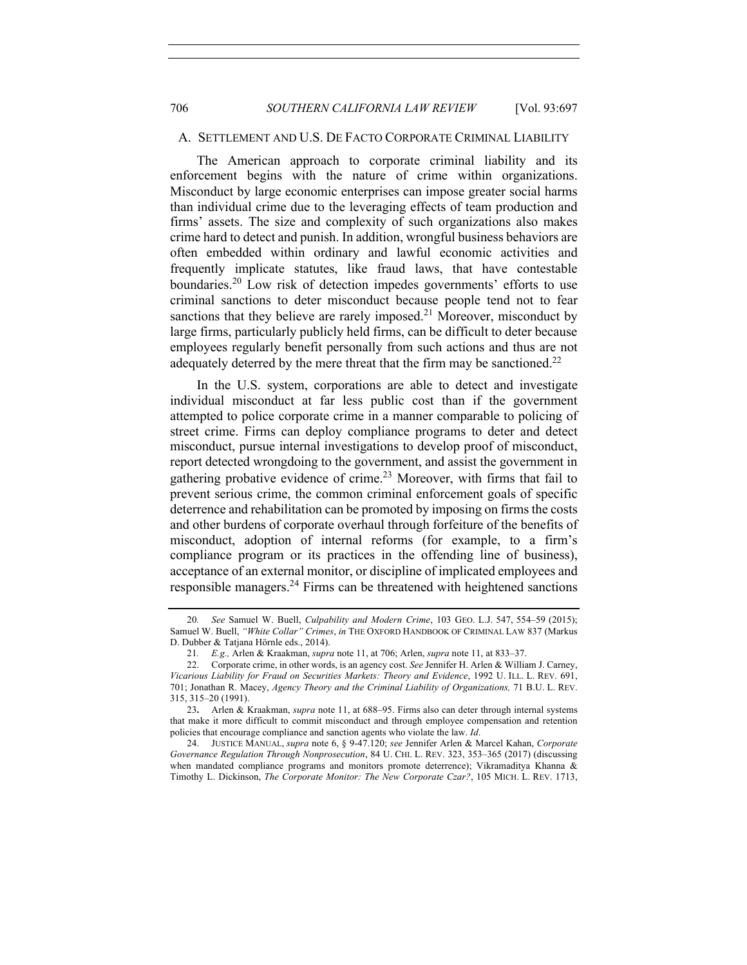## A. SETTLEMENT AND U.S. DE FACTO CORPORATE CRIMINAL LIABILITY

The American approach to corporate criminal liability and its enforcement begins with the nature of crime within organizations. Misconduct by large economic enterprises can impose greater social harms than individual crime due to the leveraging effects of team production and firms' assets. The size and complexity of such organizations also makes crime hard to detect and punish. In addition, wrongful business behaviors are often embedded within ordinary and lawful economic activities and frequently implicate statutes, like fraud laws, that have contestable boundaries.<sup>20</sup> Low risk of detection impedes governments' efforts to use criminal sanctions to deter misconduct because people tend not to fear sanctions that they believe are rarely imposed.<sup>21</sup> Moreover, misconduct by large firms, particularly publicly held firms, can be difficult to deter because employees regularly benefit personally from such actions and thus are not adequately deterred by the mere threat that the firm may be sanctioned.<sup>22</sup>

In the U.S. system, corporations are able to detect and investigate individual misconduct at far less public cost than if the government attempted to police corporate crime in a manner comparable to policing of street crime. Firms can deploy compliance programs to deter and detect misconduct, pursue internal investigations to develop proof of misconduct, report detected wrongdoing to the government, and assist the government in gathering probative evidence of crime.<sup>23</sup> Moreover, with firms that fail to prevent serious crime, the common criminal enforcement goals of specific deterrence and rehabilitation can be promoted by imposing on firms the costs and other burdens of corporate overhaul through forfeiture of the benefits of misconduct, adoption of internal reforms (for example, to a firm's compliance program or its practices in the offending line of business), acceptance of an external monitor, or discipline of implicated employees and responsible managers.<sup>24</sup> Firms can be threatened with heightened sanctions

<sup>20</sup>*. See* Samuel W. Buell, *Culpability and Modern Crime*, 103 GEO. L.J. 547, 554–59 (2015); Samuel W. Buell, *"White Collar" Crimes*, *in* THE OXFORD HANDBOOK OF CRIMINAL LAW 837 (Markus D. Dubber & Tatjana Hörnle eds., 2014).

<sup>21</sup>*. E.g.,* Arlen & Kraakman, *supra* note 11, at 706; Arlen, *supra* note 11, at 833–37.

<sup>22.</sup> Corporate crime, in other words, is an agency cost. *See* Jennifer H. Arlen & William J. Carney, *Vicarious Liability for Fraud on Securities Markets: Theory and Evidence*, 1992 U. ILL. L. REV. 691, 701; Jonathan R. Macey, *Agency Theory and the Criminal Liability of Organizations,* 71 B.U. L. REV. 315, 315–20 (1991).

<sup>23</sup>**.** Arlen & Kraakman, *supra* note 11, at 688–95. Firms also can deter through internal systems that make it more difficult to commit misconduct and through employee compensation and retention policies that encourage compliance and sanction agents who violate the law. *Id*.

<sup>24.</sup> JUSTICE MANUAL, *supra* note 6, § 9-47.120; *see* Jennifer Arlen & Marcel Kahan, *Corporate Governance Regulation Through Nonprosecution*, 84 U. CHI. L. REV. 323, 353–365 (2017) (discussing when mandated compliance programs and monitors promote deterrence); Vikramaditya Khanna & Timothy L. Dickinson, *The Corporate Monitor: The New Corporate Czar?*, 105 MICH. L. REV. 1713,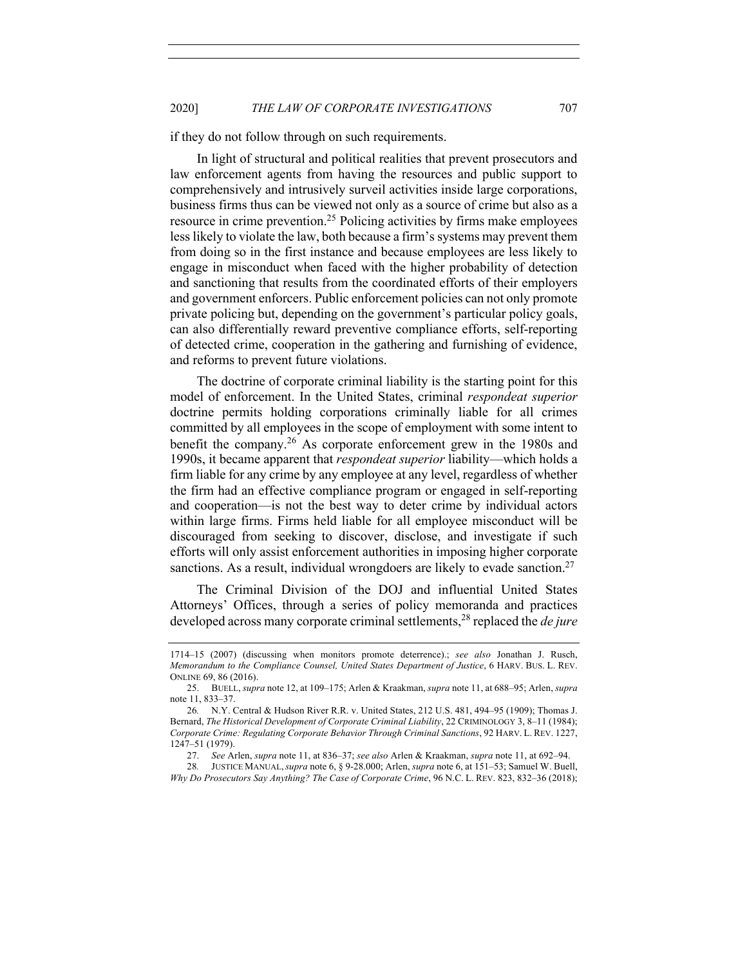if they do not follow through on such requirements.

In light of structural and political realities that prevent prosecutors and law enforcement agents from having the resources and public support to comprehensively and intrusively surveil activities inside large corporations, business firms thus can be viewed not only as a source of crime but also as a resource in crime prevention.<sup>25</sup> Policing activities by firms make employees less likely to violate the law, both because a firm's systems may prevent them from doing so in the first instance and because employees are less likely to engage in misconduct when faced with the higher probability of detection and sanctioning that results from the coordinated efforts of their employers and government enforcers. Public enforcement policies can not only promote private policing but, depending on the government's particular policy goals, can also differentially reward preventive compliance efforts, self-reporting of detected crime, cooperation in the gathering and furnishing of evidence, and reforms to prevent future violations.

The doctrine of corporate criminal liability is the starting point for this model of enforcement. In the United States, criminal *respondeat superior*  doctrine permits holding corporations criminally liable for all crimes committed by all employees in the scope of employment with some intent to benefit the company.<sup>26</sup> As corporate enforcement grew in the 1980s and 1990s, it became apparent that *respondeat superior* liability—which holds a firm liable for any crime by any employee at any level, regardless of whether the firm had an effective compliance program or engaged in self-reporting and cooperation—is not the best way to deter crime by individual actors within large firms. Firms held liable for all employee misconduct will be discouraged from seeking to discover, disclose, and investigate if such efforts will only assist enforcement authorities in imposing higher corporate sanctions. As a result, individual wrongdoers are likely to evade sanction.<sup>27</sup>

The Criminal Division of the DOJ and influential United States Attorneys' Offices, through a series of policy memoranda and practices developed across many corporate criminal settlements,<sup>28</sup> replaced the *de jure*

<sup>1714–15</sup> (2007) (discussing when monitors promote deterrence).; *see also* Jonathan J. Rusch, *Memorandum to the Compliance Counsel, United States Department of Justice*, 6 HARV. BUS. L. REV. ONLINE 69, 86 (2016).

<sup>25.</sup> BUELL, *supra* note 12, at 109–175; Arlen & Kraakman, *supra* note 11, at 688–95; Arlen, *supra* note 11, 833–37.

<sup>26</sup>*.* N.Y. Central & Hudson River R.R. v. United States, 212 U.S. 481, 494–95 (1909); Thomas J. Bernard, *The Historical Development of Corporate Criminal Liability*, 22 CRIMINOLOGY 3, 8–11 (1984); *Corporate Crime: Regulating Corporate Behavior Through Criminal Sanctions*, 92 HARV. L. REV. 1227, 1247–51 (1979).

<sup>27.</sup> *See* Arlen, *supra* note 11, at 836–37; *see also* Arlen & Kraakman, *supra* note 11, at 692–94.

<sup>28</sup>*.* JUSTICE MANUAL,*supra* note 6, § 9-28.000; Arlen, *supra* note 6, at 151–53; Samuel W. Buell, *Why Do Prosecutors Say Anything? The Case of Corporate Crime*, 96 N.C. L. REV. 823, 832–36 (2018);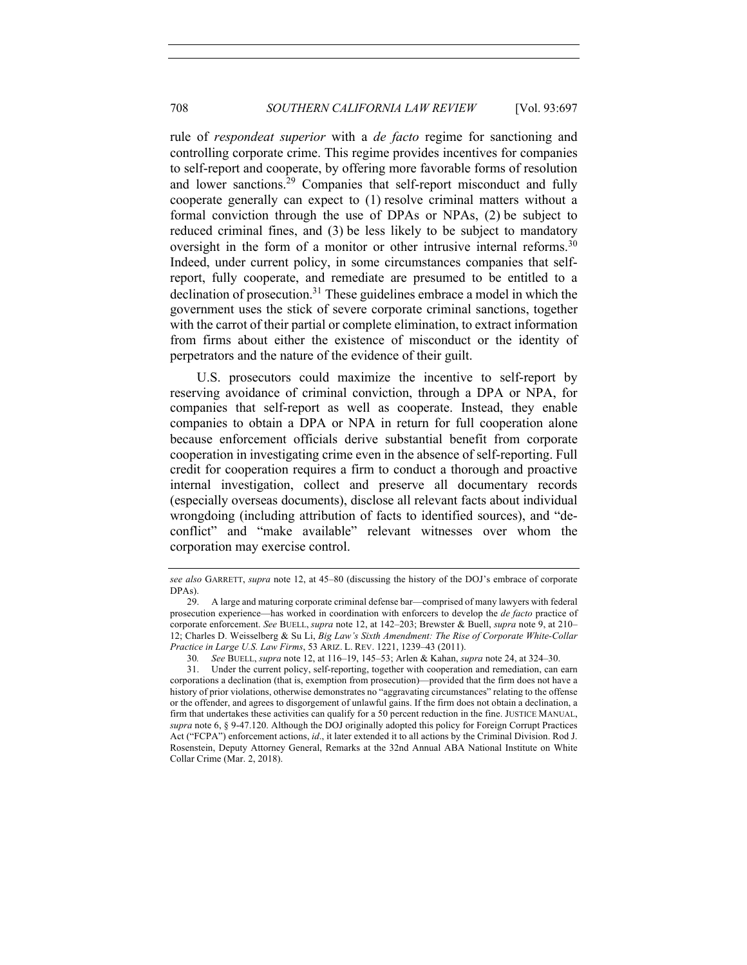rule of *respondeat superior* with a *de facto* regime for sanctioning and controlling corporate crime. This regime provides incentives for companies to self-report and cooperate, by offering more favorable forms of resolution and lower sanctions.29 Companies that self-report misconduct and fully cooperate generally can expect to (1) resolve criminal matters without a formal conviction through the use of DPAs or NPAs, (2) be subject to reduced criminal fines, and (3) be less likely to be subject to mandatory oversight in the form of a monitor or other intrusive internal reforms.<sup>30</sup> Indeed, under current policy, in some circumstances companies that selfreport, fully cooperate, and remediate are presumed to be entitled to a declination of prosecution.<sup>31</sup> These guidelines embrace a model in which the government uses the stick of severe corporate criminal sanctions, together with the carrot of their partial or complete elimination, to extract information from firms about either the existence of misconduct or the identity of perpetrators and the nature of the evidence of their guilt.

U.S. prosecutors could maximize the incentive to self-report by reserving avoidance of criminal conviction, through a DPA or NPA, for companies that self-report as well as cooperate. Instead, they enable companies to obtain a DPA or NPA in return for full cooperation alone because enforcement officials derive substantial benefit from corporate cooperation in investigating crime even in the absence of self-reporting. Full credit for cooperation requires a firm to conduct a thorough and proactive internal investigation, collect and preserve all documentary records (especially overseas documents), disclose all relevant facts about individual wrongdoing (including attribution of facts to identified sources), and "deconflict" and "make available" relevant witnesses over whom the corporation may exercise control.

*see also* GARRETT, *supra* note 12, at 45–80 (discussing the history of the DOJ's embrace of corporate DPAs).

<sup>29.</sup> A large and maturing corporate criminal defense bar—comprised of many lawyers with federal prosecution experience—has worked in coordination with enforcers to develop the *de facto* practice of corporate enforcement. *See* BUELL, *supra* note 12, at 142–203; Brewster & Buell, *supra* note 9, at 210– 12; Charles D. Weisselberg & Su Li, *Big Law's Sixth Amendment: The Rise of Corporate White-Collar Practice in Large U.S. Law Firms*, 53 ARIZ. L. REV. 1221, 1239–43 (2011).

<sup>30</sup>*. See* BUELL, *supra* note 12, at 116–19, 145–53; Arlen & Kahan, *supra* note 24, at 324–30.

<sup>31.</sup> Under the current policy, self-reporting, together with cooperation and remediation, can earn corporations a declination (that is, exemption from prosecution)—provided that the firm does not have a history of prior violations, otherwise demonstrates no "aggravating circumstances" relating to the offense or the offender, and agrees to disgorgement of unlawful gains. If the firm does not obtain a declination, a firm that undertakes these activities can qualify for a 50 percent reduction in the fine. JUSTICE MANUAL, *supra* note 6, § 9-47.120. Although the DOJ originally adopted this policy for Foreign Corrupt Practices Act ("FCPA") enforcement actions, *id*., it later extended it to all actions by the Criminal Division. Rod J. Rosenstein, Deputy Attorney General, Remarks at the 32nd Annual ABA National Institute on White Collar Crime (Mar. 2, 2018).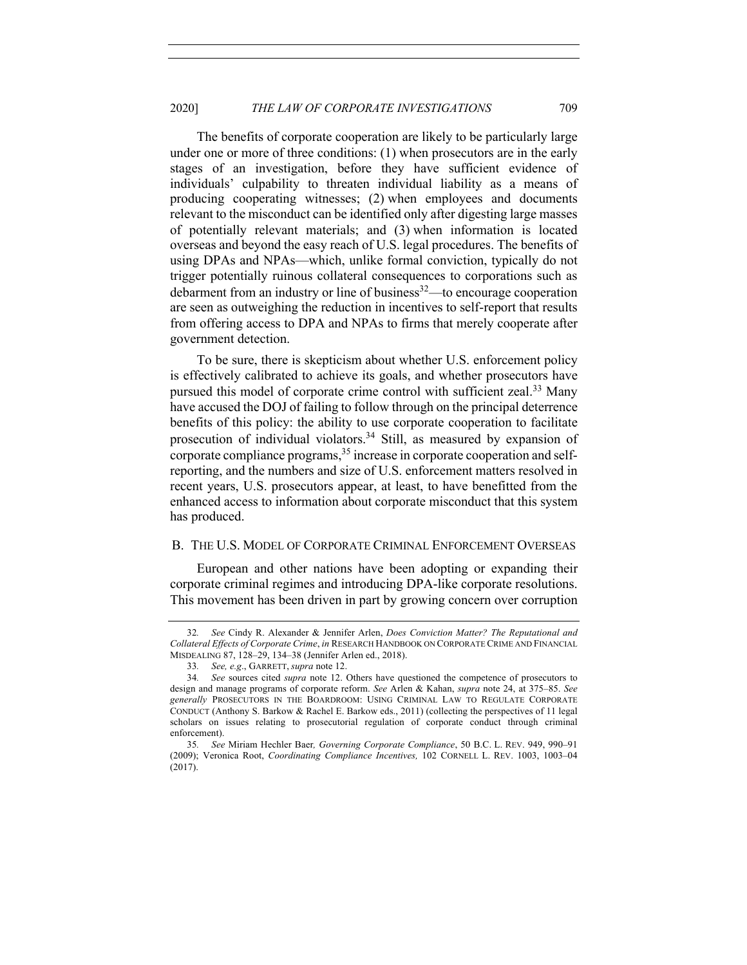The benefits of corporate cooperation are likely to be particularly large under one or more of three conditions: (1) when prosecutors are in the early stages of an investigation, before they have sufficient evidence of individuals' culpability to threaten individual liability as a means of producing cooperating witnesses; (2) when employees and documents relevant to the misconduct can be identified only after digesting large masses of potentially relevant materials; and (3) when information is located overseas and beyond the easy reach of U.S. legal procedures. The benefits of using DPAs and NPAs—which, unlike formal conviction, typically do not trigger potentially ruinous collateral consequences to corporations such as debarment from an industry or line of business $32$ —to encourage cooperation are seen as outweighing the reduction in incentives to self-report that results from offering access to DPA and NPAs to firms that merely cooperate after government detection.

To be sure, there is skepticism about whether U.S. enforcement policy is effectively calibrated to achieve its goals, and whether prosecutors have pursued this model of corporate crime control with sufficient zeal.<sup>33</sup> Many have accused the DOJ of failing to follow through on the principal deterrence benefits of this policy: the ability to use corporate cooperation to facilitate prosecution of individual violators.<sup>34</sup> Still, as measured by expansion of corporate compliance programs,  $35$  increase in corporate cooperation and selfreporting, and the numbers and size of U.S. enforcement matters resolved in recent years, U.S. prosecutors appear, at least, to have benefitted from the enhanced access to information about corporate misconduct that this system has produced.

#### B. THE U.S. MODEL OF CORPORATE CRIMINAL ENFORCEMENT OVERSEAS

European and other nations have been adopting or expanding their corporate criminal regimes and introducing DPA-like corporate resolutions. This movement has been driven in part by growing concern over corruption

<sup>32</sup>*. See* Cindy R. Alexander & Jennifer Arlen, *Does Conviction Matter? The Reputational and Collateral Effects of Corporate Crime*, *in* RESEARCH HANDBOOK ON CORPORATE CRIME AND FINANCIAL MISDEALING 87, 128–29, 134–38 (Jennifer Arlen ed., 2018).

<sup>33</sup>*. See, e.g*., GARRETT, *supra* note 12.

<sup>34</sup>*. See* sources cited *supra* note 12. Others have questioned the competence of prosecutors to design and manage programs of corporate reform. *See* Arlen & Kahan, *supra* note 24, at 375–85. *See generally* PROSECUTORS IN THE BOARDROOM: USING CRIMINAL LAW TO REGULATE CORPORATE CONDUCT (Anthony S. Barkow & Rachel E. Barkow eds., 2011) (collecting the perspectives of 11 legal scholars on issues relating to prosecutorial regulation of corporate conduct through criminal enforcement).

<sup>35</sup>*. See* Miriam Hechler Baer*, Governing Corporate Compliance*, 50 B.C. L. REV. 949, 990–91 (2009); Veronica Root, *Coordinating Compliance Incentives,* 102 CORNELL L. REV. 1003, 1003–04 (2017).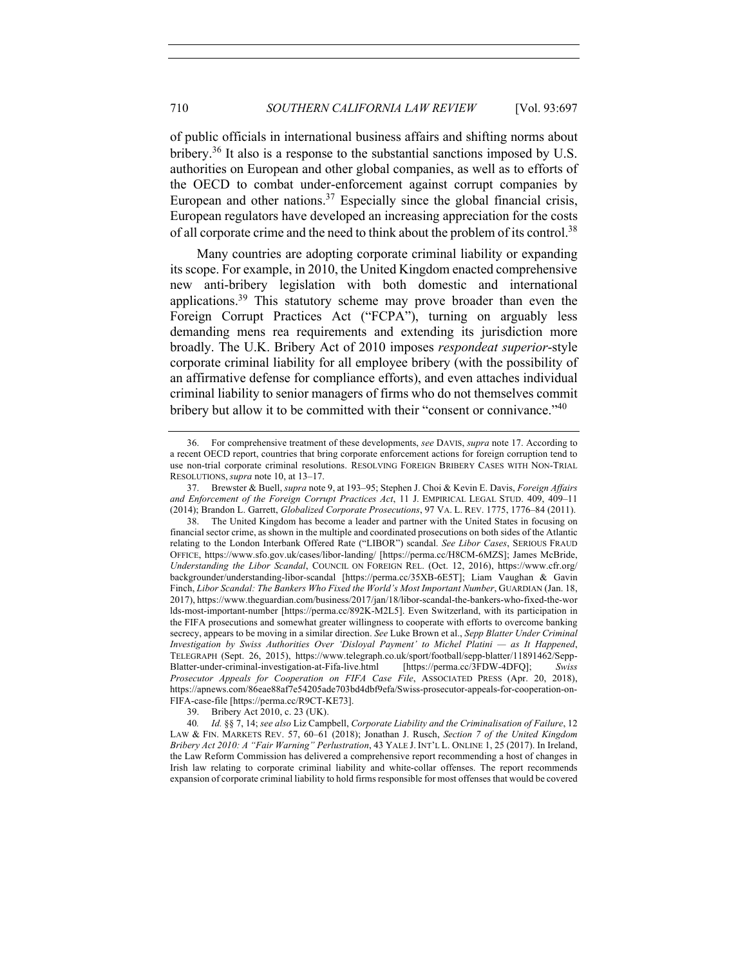of public officials in international business affairs and shifting norms about bribery.<sup>36</sup> It also is a response to the substantial sanctions imposed by U.S. authorities on European and other global companies, as well as to efforts of the OECD to combat under-enforcement against corrupt companies by European and other nations. $37$  Especially since the global financial crisis, European regulators have developed an increasing appreciation for the costs of all corporate crime and the need to think about the problem of its control.<sup>38</sup>

Many countries are adopting corporate criminal liability or expanding its scope. For example, in 2010, the United Kingdom enacted comprehensive new anti-bribery legislation with both domestic and international applications.39 This statutory scheme may prove broader than even the Foreign Corrupt Practices Act ("FCPA"), turning on arguably less demanding mens rea requirements and extending its jurisdiction more broadly. The U.K. Bribery Act of 2010 imposes *respondeat superior*-style corporate criminal liability for all employee bribery (with the possibility of an affirmative defense for compliance efforts), and even attaches individual criminal liability to senior managers of firms who do not themselves commit bribery but allow it to be committed with their "consent or connivance."<sup>40</sup>

39. Bribery Act 2010, c. 23 (UK).

40*. Id.* §§ 7, 14; *see also* Liz Campbell, *Corporate Liability and the Criminalisation of Failure*, 12 LAW & FIN. MARKETS REV. 57, 60–61 (2018); Jonathan J. Rusch, *Section 7 of the United Kingdom Bribery Act 2010: A "Fair Warning" Perlustration*, 43 YALE J. INT'L L. ONLINE 1, 25 (2017). In Ireland, the Law Reform Commission has delivered a comprehensive report recommending a host of changes in Irish law relating to corporate criminal liability and white-collar offenses. The report recommends expansion of corporate criminal liability to hold firms responsible for most offenses that would be covered

<sup>36.</sup> For comprehensive treatment of these developments, *see* DAVIS, *supra* note 17. According to a recent OECD report, countries that bring corporate enforcement actions for foreign corruption tend to use non-trial corporate criminal resolutions. RESOLVING FOREIGN BRIBERY CASES WITH NON-TRIAL RESOLUTIONS, *supra* note 10, at 13–17.

<sup>37.</sup> Brewster & Buell, *supra* note 9, at 193–95; Stephen J. Choi & Kevin E. Davis, *Foreign Affairs and Enforcement of the Foreign Corrupt Practices Act*, 11 J. EMPIRICAL LEGAL STUD. 409, 409–11 (2014); Brandon L. Garrett, *Globalized Corporate Prosecutions*, 97 VA. L. REV. 1775, 1776–84 (2011).

<sup>38.</sup> The United Kingdom has become a leader and partner with the United States in focusing on financial sector crime, as shown in the multiple and coordinated prosecutions on both sides of the Atlantic relating to the London Interbank Offered Rate ("LIBOR") scandal. *See Libor Cases*, SERIOUS FRAUD OFFICE, https://www.sfo.gov.uk/cases/libor-landing/ [https://perma.cc/H8CM-6MZS]; James McBride, *Understanding the Libor Scandal*, COUNCIL ON FOREIGN REL. (Oct. 12, 2016), https://www.cfr.org/ backgrounder/understanding-libor-scandal [https://perma.cc/35XB-6E5T]; Liam Vaughan & Gavin Finch, *Libor Scandal: The Bankers Who Fixed the World's Most Important Number*, GUARDIAN (Jan. 18, 2017), https://www.theguardian.com/business/2017/jan/18/libor-scandal-the-bankers-who-fixed-the-wor lds-most-important-number [https://perma.cc/892K-M2L5]. Even Switzerland, with its participation in the FIFA prosecutions and somewhat greater willingness to cooperate with efforts to overcome banking secrecy, appears to be moving in a similar direction. *See* Luke Brown et al., *Sepp Blatter Under Criminal Investigation by Swiss Authorities Over 'Disloyal Payment' to Michel Platini — as It Happened*, TELEGRAPH (Sept. 26, 2015), https://www.telegraph.co.uk/sport/football/sepp-blatter/11891462/Sepp-Blatter-under-criminal-investigation-at-Fifa-live.html [https://perma.cc/3FDW-4DFQ]; *Swiss Prosecutor Appeals for Cooperation on FIFA Case File*, ASSOCIATED PRESS (Apr. 20, 2018), https://apnews.com/86eae88af7e54205ade703bd4dbf9efa/Swiss-prosecutor-appeals-for-cooperation-on-FIFA-case-file [https://perma.cc/R9CT-KE73].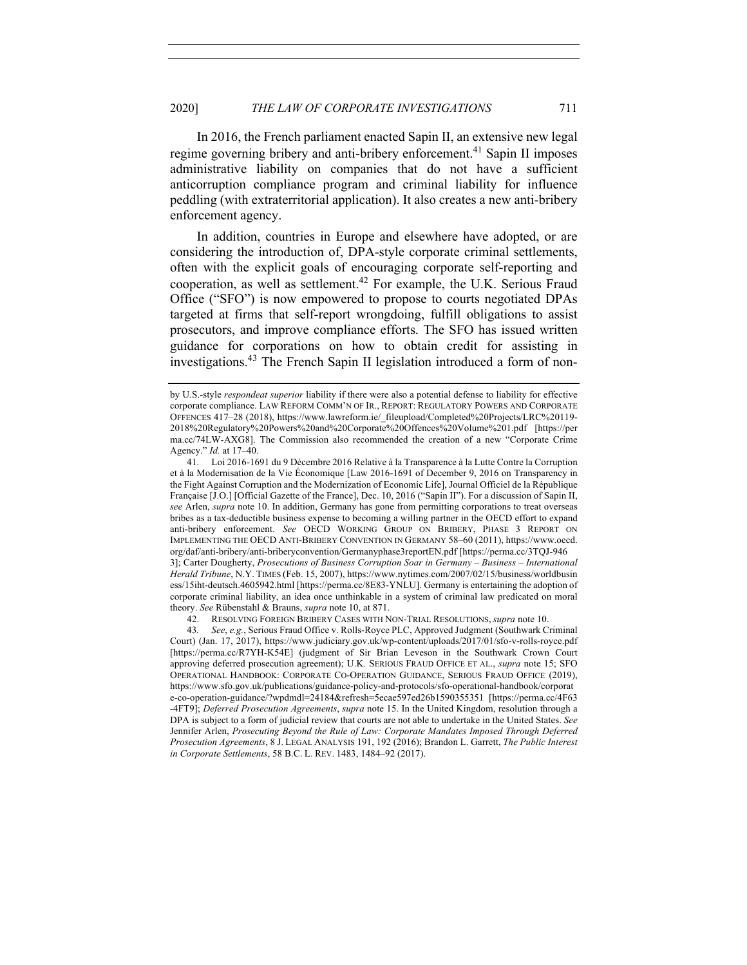In 2016, the French parliament enacted Sapin II, an extensive new legal regime governing bribery and anti-bribery enforcement.<sup>41</sup> Sapin II imposes administrative liability on companies that do not have a sufficient anticorruption compliance program and criminal liability for influence peddling (with extraterritorial application). It also creates a new anti-bribery enforcement agency.

In addition, countries in Europe and elsewhere have adopted, or are considering the introduction of, DPA-style corporate criminal settlements, often with the explicit goals of encouraging corporate self-reporting and cooperation, as well as settlement.42 For example, the U.K. Serious Fraud Office ("SFO") is now empowered to propose to courts negotiated DPAs targeted at firms that self-report wrongdoing, fulfill obligations to assist prosecutors, and improve compliance efforts. The SFO has issued written guidance for corporations on how to obtain credit for assisting in investigations.<sup>43</sup> The French Sapin II legislation introduced a form of non-

42. RESOLVING FOREIGN BRIBERY CASES WITH NON-TRIAL RESOLUTIONS, *supra* note 10.

by U.S.-style *respondeat superior* liability if there were also a potential defense to liability for effective corporate compliance. LAW REFORM COMM'N OF IR., REPORT: REGULATORY POWERS AND CORPORATE OFFENCES 417–28 (2018), https://www.lawreform.ie/\_fileupload/Completed%20Projects/LRC%20119- 2018%20Regulatory%20Powers%20and%20Corporate%20Offences%20Volume%201.pdf [https://per ma.cc/74LW-AXG8]. The Commission also recommended the creation of a new "Corporate Crime Agency." *Id.* at 17–40.

<sup>41.</sup> Loi 2016-1691 du 9 Décembre 2016 Relative à la Transparence à la Lutte Contre la Corruption et à la Modernisation de la Vie Économique [Law 2016-1691 of December 9, 2016 on Transparency in the Fight Against Corruption and the Modernization of Economic Life], Journal Officiel de la République Française [J.O.] [Official Gazette of the France], Dec. 10, 2016 ("Sapin II"). For a discussion of Sapin II, *see* Arlen, *supra* note 10. In addition, Germany has gone from permitting corporations to treat overseas bribes as a tax-deductible business expense to becoming a willing partner in the OECD effort to expand anti-bribery enforcement. *See* OECD WORKING GROUP ON BRIBERY, PHASE 3 REPORT ON IMPLEMENTING THE OECD ANTI-BRIBERY CONVENTION IN GERMANY 58–60 (2011), https://www.oecd. org/daf/anti-bribery/anti-briberyconvention/Germanyphase3reportEN.pdf [https://perma.cc/3TQJ-946 3]; Carter Dougherty, *Prosecutions of Business Corruption Soar in Germany – Business – International Herald Tribune*, N.Y. TIMES (Feb. 15, 2007), https://www.nytimes.com/2007/02/15/business/worldbusin ess/15iht-deutsch.4605942.html [https://perma.cc/8E83-YNLU]. Germany is entertaining the adoption of corporate criminal liability, an idea once unthinkable in a system of criminal law predicated on moral theory. *See* Rübenstahl & Brauns, *supra* note 10, at 871.

<sup>43</sup>*. See*, *e.g.*, Serious Fraud Office v. Rolls-Royce PLC, Approved Judgment (Southwark Criminal Court) (Jan. 17, 2017), https://www.judiciary.gov.uk/wp-content/uploads/2017/01/sfo-v-rolls-royce.pdf [https://perma.cc/R7YH-K54E] (judgment of Sir Brian Leveson in the Southwark Crown Court approving deferred prosecution agreement); U.K. SERIOUS FRAUD OFFICE ET AL., *supra* note 15; SFO OPERATIONAL HANDBOOK: CORPORATE CO-OPERATION GUIDANCE, SERIOUS FRAUD OFFICE (2019), https://www.sfo.gov.uk/publications/guidance-policy-and-protocols/sfo-operational-handbook/corporat e-co-operation-guidance/?wpdmdl=24184&refresh=5ecae597ed26b1590355351 [https://perma.cc/4F63 -4FT9]; *Deferred Prosecution Agreements*, *supra* note 15. In the United Kingdom, resolution through a DPA is subject to a form of judicial review that courts are not able to undertake in the United States. *See* Jennifer Arlen, *Prosecuting Beyond the Rule of Law: Corporate Mandates Imposed Through Deferred Prosecution Agreements*, 8 J. LEGAL ANALYSIS 191, 192 (2016); Brandon L. Garrett, *The Public Interest in Corporate Settlements*, 58 B.C. L. REV. 1483, 1484–92 (2017).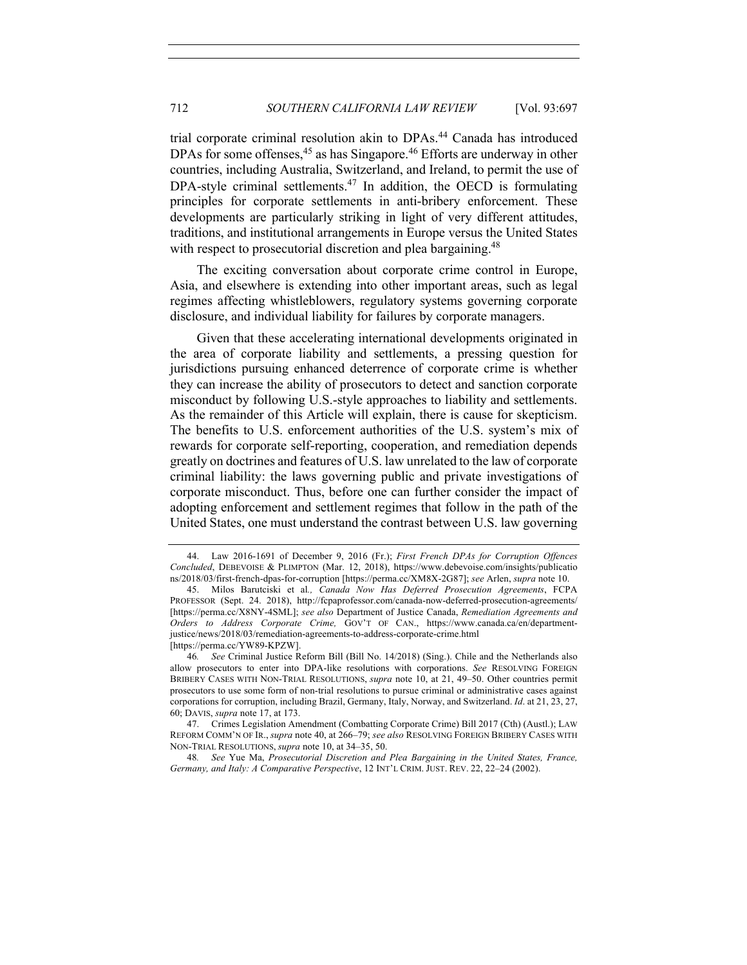trial corporate criminal resolution akin to DPAs.<sup>44</sup> Canada has introduced DPAs for some offenses,<sup>45</sup> as has Singapore.<sup>46</sup> Efforts are underway in other countries, including Australia, Switzerland, and Ireland, to permit the use of DPA-style criminal settlements.<sup>47</sup> In addition, the OECD is formulating principles for corporate settlements in anti-bribery enforcement. These developments are particularly striking in light of very different attitudes, traditions, and institutional arrangements in Europe versus the United States with respect to prosecutorial discretion and plea bargaining.<sup>48</sup>

The exciting conversation about corporate crime control in Europe, Asia, and elsewhere is extending into other important areas, such as legal regimes affecting whistleblowers, regulatory systems governing corporate disclosure, and individual liability for failures by corporate managers.

Given that these accelerating international developments originated in the area of corporate liability and settlements, a pressing question for jurisdictions pursuing enhanced deterrence of corporate crime is whether they can increase the ability of prosecutors to detect and sanction corporate misconduct by following U.S.-style approaches to liability and settlements. As the remainder of this Article will explain, there is cause for skepticism. The benefits to U.S. enforcement authorities of the U.S. system's mix of rewards for corporate self-reporting, cooperation, and remediation depends greatly on doctrines and features of U.S. law unrelated to the law of corporate criminal liability: the laws governing public and private investigations of corporate misconduct. Thus, before one can further consider the impact of adopting enforcement and settlement regimes that follow in the path of the United States, one must understand the contrast between U.S. law governing

<sup>44.</sup> Law 2016-1691 of December 9, 2016 (Fr.); *First French DPAs for Corruption Offences Concluded*, DEBEVOISE & PLIMPTON (Mar. 12, 2018), https://www.debevoise.com/insights/publicatio ns/2018/03/first-french-dpas-for-corruption [https://perma.cc/XM8X-2G87]; *see* Arlen, *supra* note 10.

<sup>45.</sup> Milos Barutciski et al*., Canada Now Has Deferred Prosecution Agreements*, FCPA PROFESSOR (Sept. 24. 2018), http://fcpaprofessor.com/canada-now-deferred-prosecution-agreements/ [https://perma.cc/X8NY-4SML]; *see also* Department of Justice Canada, *Remediation Agreements and Orders to Address Corporate Crime,* GOV'T OF CAN., https://www.canada.ca/en/departmentjustice/news/2018/03/remediation-agreements-to-address-corporate-crime.html [https://perma.cc/YW89-KPZW].

<sup>46</sup>*. See* Criminal Justice Reform Bill (Bill No. 14/2018) (Sing.). Chile and the Netherlands also allow prosecutors to enter into DPA-like resolutions with corporations. *See* RESOLVING FOREIGN BRIBERY CASES WITH NON-TRIAL RESOLUTIONS, *supra* note 10, at 21, 49–50. Other countries permit prosecutors to use some form of non-trial resolutions to pursue criminal or administrative cases against corporations for corruption, including Brazil, Germany, Italy, Norway, and Switzerland. *Id*. at 21, 23, 27, 60; DAVIS, *supra* note 17, at 173.

<sup>47.</sup> Crimes Legislation Amendment (Combatting Corporate Crime) Bill 2017 (Cth) (Austl.); LAW REFORM COMM'N OF IR., *supra* note 40, at 266–79; *see also* RESOLVING FOREIGN BRIBERY CASES WITH NON-TRIAL RESOLUTIONS, *supra* note 10, at 34–35, 50.

<sup>48</sup>*. See* Yue Ma, *Prosecutorial Discretion and Plea Bargaining in the United States, France, Germany, and Italy: A Comparative Perspective*, 12 INT'L CRIM. JUST. REV. 22, 22–24 (2002).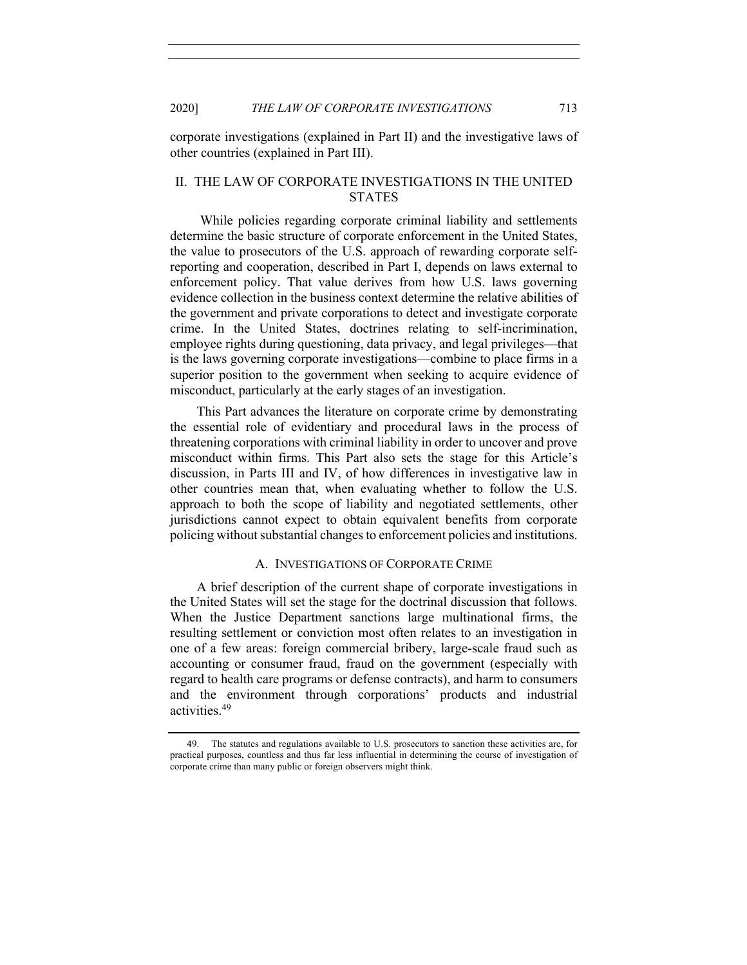corporate investigations (explained in Part II) and the investigative laws of other countries (explained in Part III).

# II. THE LAW OF CORPORATE INVESTIGATIONS IN THE UNITED **STATES**

While policies regarding corporate criminal liability and settlements determine the basic structure of corporate enforcement in the United States, the value to prosecutors of the U.S. approach of rewarding corporate selfreporting and cooperation, described in Part I, depends on laws external to enforcement policy. That value derives from how U.S. laws governing evidence collection in the business context determine the relative abilities of the government and private corporations to detect and investigate corporate crime. In the United States, doctrines relating to self-incrimination, employee rights during questioning, data privacy, and legal privileges—that is the laws governing corporate investigations—combine to place firms in a superior position to the government when seeking to acquire evidence of misconduct, particularly at the early stages of an investigation.

This Part advances the literature on corporate crime by demonstrating the essential role of evidentiary and procedural laws in the process of threatening corporations with criminal liability in order to uncover and prove misconduct within firms. This Part also sets the stage for this Article's discussion, in Parts III and IV, of how differences in investigative law in other countries mean that, when evaluating whether to follow the U.S. approach to both the scope of liability and negotiated settlements, other jurisdictions cannot expect to obtain equivalent benefits from corporate policing without substantial changes to enforcement policies and institutions.

#### A. INVESTIGATIONS OF CORPORATE CRIME

A brief description of the current shape of corporate investigations in the United States will set the stage for the doctrinal discussion that follows. When the Justice Department sanctions large multinational firms, the resulting settlement or conviction most often relates to an investigation in one of a few areas: foreign commercial bribery, large-scale fraud such as accounting or consumer fraud, fraud on the government (especially with regard to health care programs or defense contracts), and harm to consumers and the environment through corporations' products and industrial activities.49

<sup>49.</sup> The statutes and regulations available to U.S. prosecutors to sanction these activities are, for practical purposes, countless and thus far less influential in determining the course of investigation of corporate crime than many public or foreign observers might think.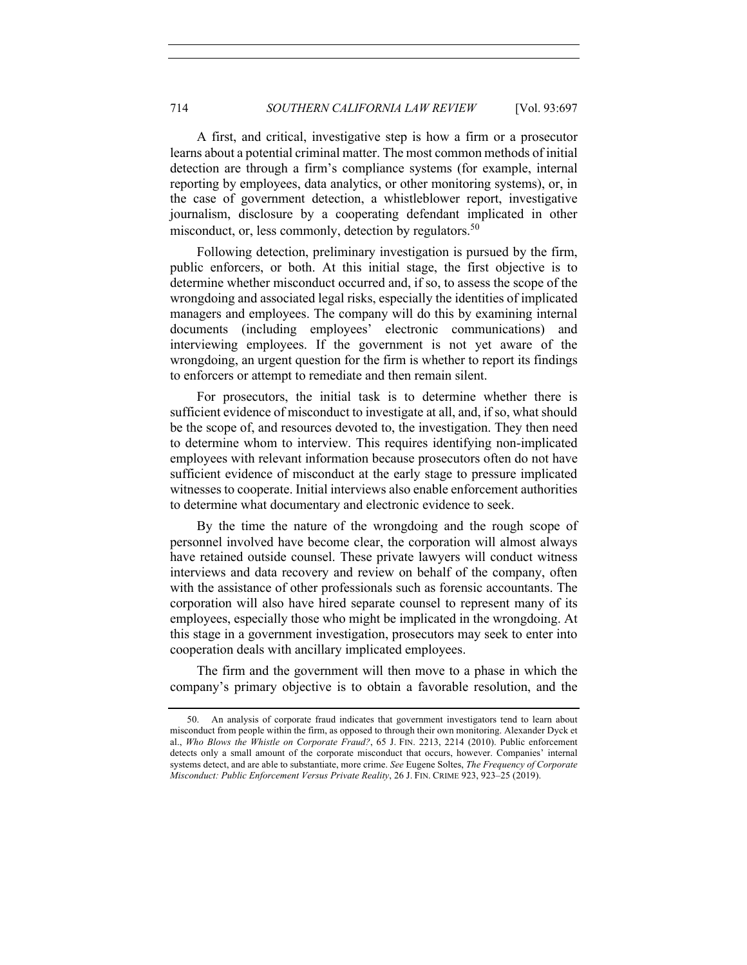A first, and critical, investigative step is how a firm or a prosecutor learns about a potential criminal matter. The most common methods of initial detection are through a firm's compliance systems (for example, internal reporting by employees, data analytics, or other monitoring systems), or, in the case of government detection, a whistleblower report, investigative journalism, disclosure by a cooperating defendant implicated in other misconduct, or, less commonly, detection by regulators.<sup>50</sup>

Following detection, preliminary investigation is pursued by the firm, public enforcers, or both. At this initial stage, the first objective is to determine whether misconduct occurred and, if so, to assess the scope of the wrongdoing and associated legal risks, especially the identities of implicated managers and employees. The company will do this by examining internal documents (including employees' electronic communications) and interviewing employees. If the government is not yet aware of the wrongdoing, an urgent question for the firm is whether to report its findings to enforcers or attempt to remediate and then remain silent.

For prosecutors, the initial task is to determine whether there is sufficient evidence of misconduct to investigate at all, and, if so, what should be the scope of, and resources devoted to, the investigation. They then need to determine whom to interview. This requires identifying non-implicated employees with relevant information because prosecutors often do not have sufficient evidence of misconduct at the early stage to pressure implicated witnesses to cooperate. Initial interviews also enable enforcement authorities to determine what documentary and electronic evidence to seek.

By the time the nature of the wrongdoing and the rough scope of personnel involved have become clear, the corporation will almost always have retained outside counsel. These private lawyers will conduct witness interviews and data recovery and review on behalf of the company, often with the assistance of other professionals such as forensic accountants. The corporation will also have hired separate counsel to represent many of its employees, especially those who might be implicated in the wrongdoing. At this stage in a government investigation, prosecutors may seek to enter into cooperation deals with ancillary implicated employees.

The firm and the government will then move to a phase in which the company's primary objective is to obtain a favorable resolution, and the

<sup>50.</sup> An analysis of corporate fraud indicates that government investigators tend to learn about misconduct from people within the firm, as opposed to through their own monitoring. Alexander Dyck et al., *Who Blows the Whistle on Corporate Fraud?*, 65 J. FIN. 2213, 2214 (2010). Public enforcement detects only a small amount of the corporate misconduct that occurs, however. Companies' internal systems detect, and are able to substantiate, more crime. *See* Eugene Soltes, *The Frequency of Corporate Misconduct: Public Enforcement Versus Private Reality*, 26 J. FIN. CRIME 923, 923–25 (2019).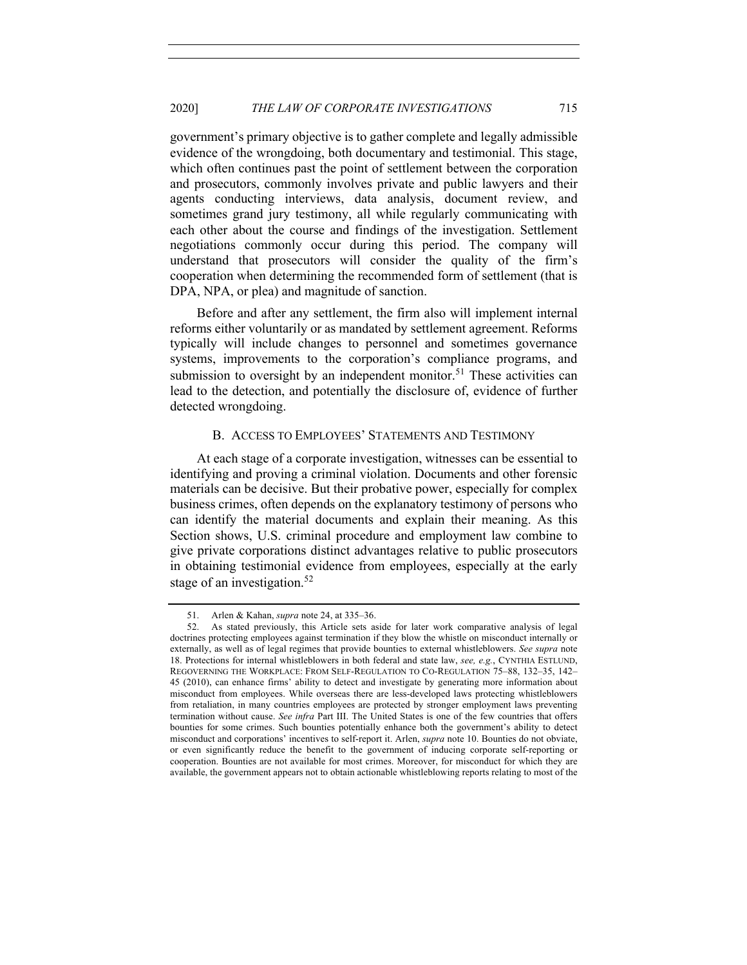government's primary objective is to gather complete and legally admissible evidence of the wrongdoing, both documentary and testimonial. This stage, which often continues past the point of settlement between the corporation and prosecutors, commonly involves private and public lawyers and their agents conducting interviews, data analysis, document review, and sometimes grand jury testimony, all while regularly communicating with each other about the course and findings of the investigation. Settlement negotiations commonly occur during this period. The company will understand that prosecutors will consider the quality of the firm's cooperation when determining the recommended form of settlement (that is DPA, NPA, or plea) and magnitude of sanction.

Before and after any settlement, the firm also will implement internal reforms either voluntarily or as mandated by settlement agreement. Reforms typically will include changes to personnel and sometimes governance systems, improvements to the corporation's compliance programs, and submission to oversight by an independent monitor.<sup>51</sup> These activities can lead to the detection, and potentially the disclosure of, evidence of further detected wrongdoing.

#### B. ACCESS TO EMPLOYEES' STATEMENTS AND TESTIMONY

At each stage of a corporate investigation, witnesses can be essential to identifying and proving a criminal violation. Documents and other forensic materials can be decisive. But their probative power, especially for complex business crimes, often depends on the explanatory testimony of persons who can identify the material documents and explain their meaning. As this Section shows, U.S. criminal procedure and employment law combine to give private corporations distinct advantages relative to public prosecutors in obtaining testimonial evidence from employees, especially at the early stage of an investigation.<sup>52</sup>

<sup>51.</sup> Arlen & Kahan, *supra* note 24, at 335–36.

<sup>52.</sup> As stated previously, this Article sets aside for later work comparative analysis of legal doctrines protecting employees against termination if they blow the whistle on misconduct internally or externally, as well as of legal regimes that provide bounties to external whistleblowers. *See supra* note 18. Protections for internal whistleblowers in both federal and state law, *see, e.g.*, CYNTHIA ESTLUND, REGOVERNING THE WORKPLACE: FROM SELF-REGULATION TO CO-REGULATION 75–88, 132–35, 142– 45 (2010), can enhance firms' ability to detect and investigate by generating more information about misconduct from employees. While overseas there are less-developed laws protecting whistleblowers from retaliation, in many countries employees are protected by stronger employment laws preventing termination without cause. *See infra* Part III. The United States is one of the few countries that offers bounties for some crimes. Such bounties potentially enhance both the government's ability to detect misconduct and corporations' incentives to self-report it. Arlen, *supra* note 10. Bounties do not obviate, or even significantly reduce the benefit to the government of inducing corporate self-reporting or cooperation. Bounties are not available for most crimes. Moreover, for misconduct for which they are available, the government appears not to obtain actionable whistleblowing reports relating to most of the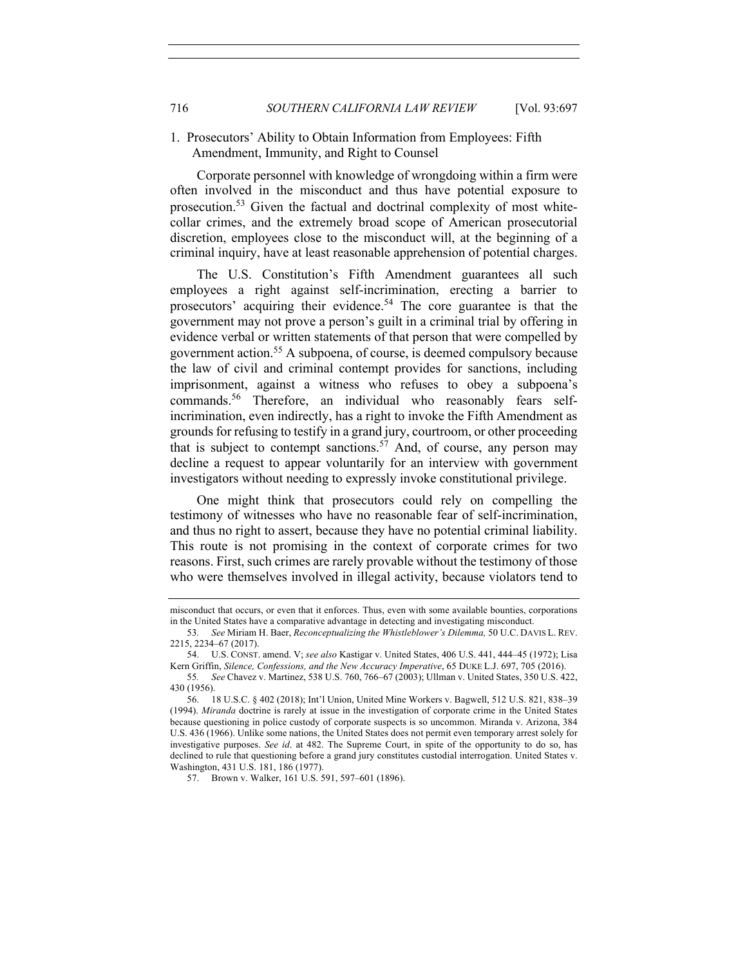## 1. Prosecutors' Ability to Obtain Information from Employees: Fifth Amendment, Immunity, and Right to Counsel

Corporate personnel with knowledge of wrongdoing within a firm were often involved in the misconduct and thus have potential exposure to prosecution.<sup>53</sup> Given the factual and doctrinal complexity of most whitecollar crimes, and the extremely broad scope of American prosecutorial discretion, employees close to the misconduct will, at the beginning of a criminal inquiry, have at least reasonable apprehension of potential charges.

The U.S. Constitution's Fifth Amendment guarantees all such employees a right against self-incrimination, erecting a barrier to prosecutors' acquiring their evidence.<sup>54</sup> The core guarantee is that the government may not prove a person's guilt in a criminal trial by offering in evidence verbal or written statements of that person that were compelled by government action.55 A subpoena, of course, is deemed compulsory because the law of civil and criminal contempt provides for sanctions, including imprisonment, against a witness who refuses to obey a subpoena's commands.<sup>56</sup> Therefore, an individual who reasonably fears selfincrimination, even indirectly, has a right to invoke the Fifth Amendment as grounds for refusing to testify in a grand jury, courtroom, or other proceeding that is subject to contempt sanctions.<sup>57</sup> And, of course, any person may decline a request to appear voluntarily for an interview with government investigators without needing to expressly invoke constitutional privilege.

One might think that prosecutors could rely on compelling the testimony of witnesses who have no reasonable fear of self-incrimination, and thus no right to assert, because they have no potential criminal liability. This route is not promising in the context of corporate crimes for two reasons. First, such crimes are rarely provable without the testimony of those who were themselves involved in illegal activity, because violators tend to

57. Brown v. Walker, 161 U.S. 591, 597–601 (1896).

misconduct that occurs, or even that it enforces. Thus, even with some available bounties, corporations in the United States have a comparative advantage in detecting and investigating misconduct.

<sup>53</sup>*. See* Miriam H. Baer, *Reconceptualizing the Whistleblower's Dilemma,* 50 U.C. DAVIS L. REV. 2215, 2234–67 (2017).

<sup>54.</sup> U.S. CONST. amend. V; *see also* Kastigar v. United States, 406 U.S. 441, 444–45 (1972); Lisa Kern Griffin, *Silence, Confessions, and the New Accuracy Imperative*, 65 DUKE L.J. 697, 705 (2016).

<sup>55</sup>*. See* Chavez v. Martinez, 538 U.S. 760, 766–67 (2003); Ullman v. United States, 350 U.S. 422, 430 (1956).

<sup>56.</sup> 18 U.S.C. § 402 (2018); Int'l Union, United Mine Workers v. Bagwell, 512 U.S. 821, 838–39 (1994). *Miranda* doctrine is rarely at issue in the investigation of corporate crime in the United States because questioning in police custody of corporate suspects is so uncommon. Miranda v. Arizona, 384 U.S. 436 (1966). Unlike some nations, the United States does not permit even temporary arrest solely for investigative purposes. *See id*. at 482. The Supreme Court, in spite of the opportunity to do so, has declined to rule that questioning before a grand jury constitutes custodial interrogation. United States v. Washington, 431 U.S. 181, 186 (1977).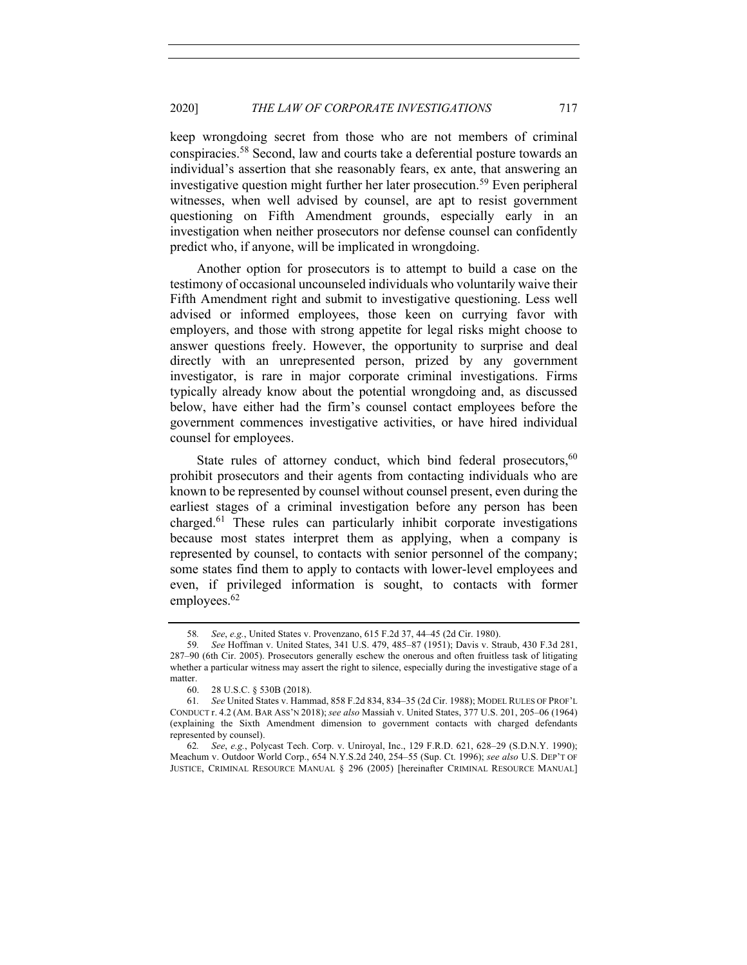keep wrongdoing secret from those who are not members of criminal conspiracies.58 Second, law and courts take a deferential posture towards an individual's assertion that she reasonably fears, ex ante, that answering an investigative question might further her later prosecution.<sup>59</sup> Even peripheral witnesses, when well advised by counsel, are apt to resist government questioning on Fifth Amendment grounds, especially early in an investigation when neither prosecutors nor defense counsel can confidently predict who, if anyone, will be implicated in wrongdoing.

Another option for prosecutors is to attempt to build a case on the testimony of occasional uncounseled individuals who voluntarily waive their Fifth Amendment right and submit to investigative questioning. Less well advised or informed employees, those keen on currying favor with employers, and those with strong appetite for legal risks might choose to answer questions freely. However, the opportunity to surprise and deal directly with an unrepresented person, prized by any government investigator, is rare in major corporate criminal investigations. Firms typically already know about the potential wrongdoing and, as discussed below, have either had the firm's counsel contact employees before the government commences investigative activities, or have hired individual counsel for employees.

State rules of attorney conduct, which bind federal prosecutors,  $60$ prohibit prosecutors and their agents from contacting individuals who are known to be represented by counsel without counsel present, even during the earliest stages of a criminal investigation before any person has been charged.<sup>61</sup> These rules can particularly inhibit corporate investigations because most states interpret them as applying, when a company is represented by counsel, to contacts with senior personnel of the company; some states find them to apply to contacts with lower-level employees and even, if privileged information is sought, to contacts with former employees.<sup>62</sup>

62*. See*, *e.g.*, Polycast Tech. Corp. v. Uniroyal, Inc., 129 F.R.D. 621, 628–29 (S.D.N.Y. 1990); Meachum v. Outdoor World Corp., 654 N.Y.S.2d 240, 254–55 (Sup. Ct. 1996); *see also* U.S. DEP'T OF JUSTICE, CRIMINAL RESOURCE MANUAL § 296 (2005) [hereinafter CRIMINAL RESOURCE MANUAL]

<sup>58</sup>*. See*, *e.g.*, United States v. Provenzano, 615 F.2d 37, 44–45 (2d Cir. 1980).

<sup>59</sup>*. See* Hoffman v. United States, 341 U.S. 479, 485–87 (1951); Davis v. Straub, 430 F.3d 281, 287–90 (6th Cir. 2005). Prosecutors generally eschew the onerous and often fruitless task of litigating whether a particular witness may assert the right to silence, especially during the investigative stage of a matter.

<sup>60.</sup> 28 U.S.C. § 530B (2018).

<sup>61</sup>*. See* United States v. Hammad, 858 F.2d 834, 834–35 (2d Cir. 1988); MODEL RULES OF PROF'L CONDUCT r. 4.2 (AM. BAR ASS'N 2018); *see also* Massiah v. United States, 377 U.S. 201, 205–06 (1964) (explaining the Sixth Amendment dimension to government contacts with charged defendants represented by counsel).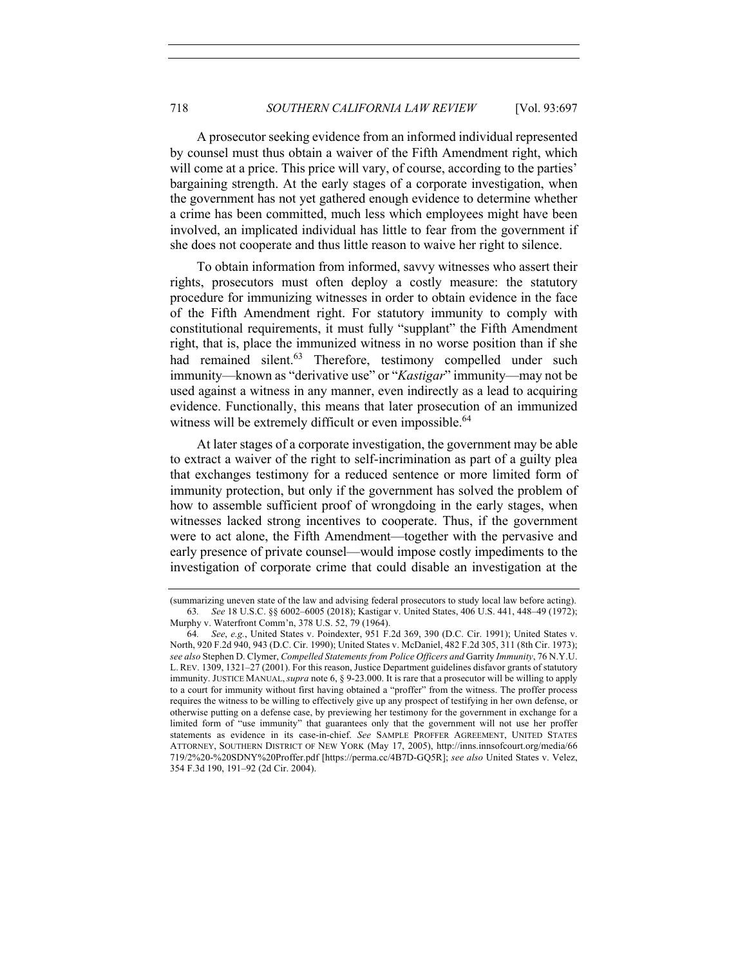A prosecutor seeking evidence from an informed individual represented by counsel must thus obtain a waiver of the Fifth Amendment right, which will come at a price. This price will vary, of course, according to the parties' bargaining strength. At the early stages of a corporate investigation, when the government has not yet gathered enough evidence to determine whether a crime has been committed, much less which employees might have been involved, an implicated individual has little to fear from the government if she does not cooperate and thus little reason to waive her right to silence.

To obtain information from informed, savvy witnesses who assert their rights, prosecutors must often deploy a costly measure: the statutory procedure for immunizing witnesses in order to obtain evidence in the face of the Fifth Amendment right. For statutory immunity to comply with constitutional requirements, it must fully "supplant" the Fifth Amendment right, that is, place the immunized witness in no worse position than if she had remained silent.<sup>63</sup> Therefore, testimony compelled under such immunity—known as "derivative use" or "*Kastigar*" immunity—may not be used against a witness in any manner, even indirectly as a lead to acquiring evidence. Functionally, this means that later prosecution of an immunized witness will be extremely difficult or even impossible.<sup>64</sup>

At later stages of a corporate investigation, the government may be able to extract a waiver of the right to self-incrimination as part of a guilty plea that exchanges testimony for a reduced sentence or more limited form of immunity protection, but only if the government has solved the problem of how to assemble sufficient proof of wrongdoing in the early stages, when witnesses lacked strong incentives to cooperate. Thus, if the government were to act alone, the Fifth Amendment—together with the pervasive and early presence of private counsel—would impose costly impediments to the investigation of corporate crime that could disable an investigation at the

<sup>(</sup>summarizing uneven state of the law and advising federal prosecutors to study local law before acting). 63*. See* 18 U.S.C. §§ 6002–6005 (2018); Kastigar v. United States, 406 U.S. 441, 448–49 (1972); Murphy v. Waterfront Comm'n, 378 U.S. 52, 79 (1964).

<sup>64</sup>*. See*, *e.g.*, United States v. Poindexter, 951 F.2d 369, 390 (D.C. Cir. 1991); United States v. North, 920 F.2d 940, 943 (D.C. Cir. 1990); United States v. McDaniel, 482 F.2d 305, 311 (8th Cir. 1973); *see also* Stephen D. Clymer, *Compelled Statements from Police Officers and* Garrity *Immunity*, 76 N.Y.U. L. REV. 1309, 1321–27 (2001). For this reason, Justice Department guidelines disfavor grants of statutory immunity. JUSTICE MANUAL,*supra* note 6, § 9-23.000. It is rare that a prosecutor will be willing to apply to a court for immunity without first having obtained a "proffer" from the witness. The proffer process requires the witness to be willing to effectively give up any prospect of testifying in her own defense, or otherwise putting on a defense case, by previewing her testimony for the government in exchange for a limited form of "use immunity" that guarantees only that the government will not use her proffer statements as evidence in its case-in-chief. *See* SAMPLE PROFFER AGREEMENT, UNITED STATES ATTORNEY, SOUTHERN DISTRICT OF NEW YORK (May 17, 2005), http://inns.innsofcourt.org/media/66 719/2%20-%20SDNY%20Proffer.pdf [https://perma.cc/4B7D-GQ5R]; *see also* United States v. Velez, 354 F.3d 190, 191–92 (2d Cir. 2004).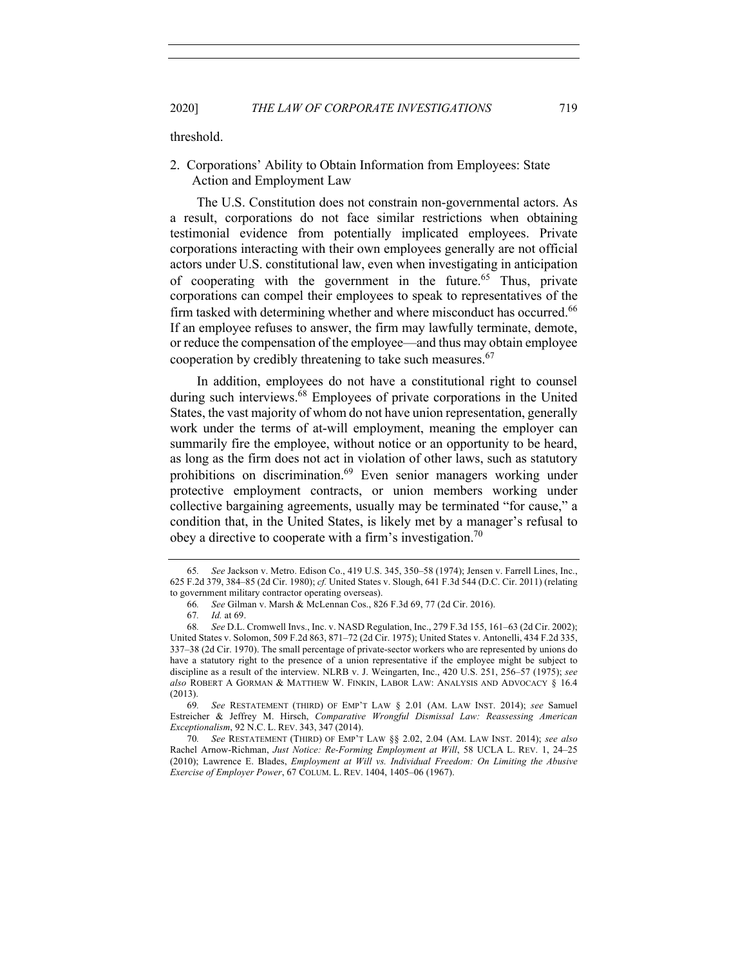threshold.

## 2. Corporations' Ability to Obtain Information from Employees: State Action and Employment Law

The U.S. Constitution does not constrain non-governmental actors. As a result, corporations do not face similar restrictions when obtaining testimonial evidence from potentially implicated employees. Private corporations interacting with their own employees generally are not official actors under U.S. constitutional law, even when investigating in anticipation of cooperating with the government in the future.<sup>65</sup> Thus, private corporations can compel their employees to speak to representatives of the firm tasked with determining whether and where misconduct has occurred.<sup>66</sup> If an employee refuses to answer, the firm may lawfully terminate, demote, or reduce the compensation of the employee—and thus may obtain employee cooperation by credibly threatening to take such measures.<sup>67</sup>

In addition, employees do not have a constitutional right to counsel during such interviews.<sup>68</sup> Employees of private corporations in the United States, the vast majority of whom do not have union representation, generally work under the terms of at-will employment, meaning the employer can summarily fire the employee, without notice or an opportunity to be heard, as long as the firm does not act in violation of other laws, such as statutory prohibitions on discrimination.<sup>69</sup> Even senior managers working under protective employment contracts, or union members working under collective bargaining agreements, usually may be terminated "for cause," a condition that, in the United States, is likely met by a manager's refusal to obey a directive to cooperate with a firm's investigation.<sup>70</sup>

69*. See* RESTATEMENT (THIRD) OF EMP'T LAW § 2.01 (AM. LAW INST. 2014); *see* Samuel Estreicher & Jeffrey M. Hirsch, *Comparative Wrongful Dismissal Law: Reassessing American Exceptionalism*, 92 N.C. L. REV. 343, 347 (2014).

70*. See* RESTATEMENT (THIRD) OF EMP'T LAW §§ 2.02, 2.04 (AM. LAW INST. 2014); *see also*  Rachel Arnow-Richman, *Just Notice: Re-Forming Employment at Will*, 58 UCLA L. REV. 1, 24–25 (2010); Lawrence E. Blades, *Employment at Will vs. Individual Freedom: On Limiting the Abusive Exercise of Employer Power*, 67 COLUM. L. REV. 1404, 1405–06 (1967).

<sup>65</sup>*. See* Jackson v. Metro. Edison Co., 419 U.S. 345, 350–58 (1974); Jensen v. Farrell Lines, Inc., 625 F.2d 379, 384–85 (2d Cir. 1980); *cf.* United States v. Slough, 641 F.3d 544 (D.C. Cir. 2011) (relating to government military contractor operating overseas).

<sup>66</sup>*. See* Gilman v. Marsh & McLennan Cos., 826 F.3d 69, 77 (2d Cir. 2016).

<sup>67</sup>*. Id.* at 69.

<sup>68</sup>*. See* D.L. Cromwell Invs., Inc. v. NASD Regulation, Inc., 279 F.3d 155, 161–63 (2d Cir. 2002); United States v. Solomon, 509 F.2d 863, 871–72 (2d Cir. 1975); United States v. Antonelli, 434 F.2d 335, 337–38 (2d Cir. 1970). The small percentage of private-sector workers who are represented by unions do have a statutory right to the presence of a union representative if the employee might be subject to discipline as a result of the interview. NLRB v. J. Weingarten, Inc., 420 U.S. 251, 256–57 (1975); *see also* ROBERT A GORMAN & MATTHEW W. FINKIN, LABOR LAW: ANALYSIS AND ADVOCACY § 16.4 (2013).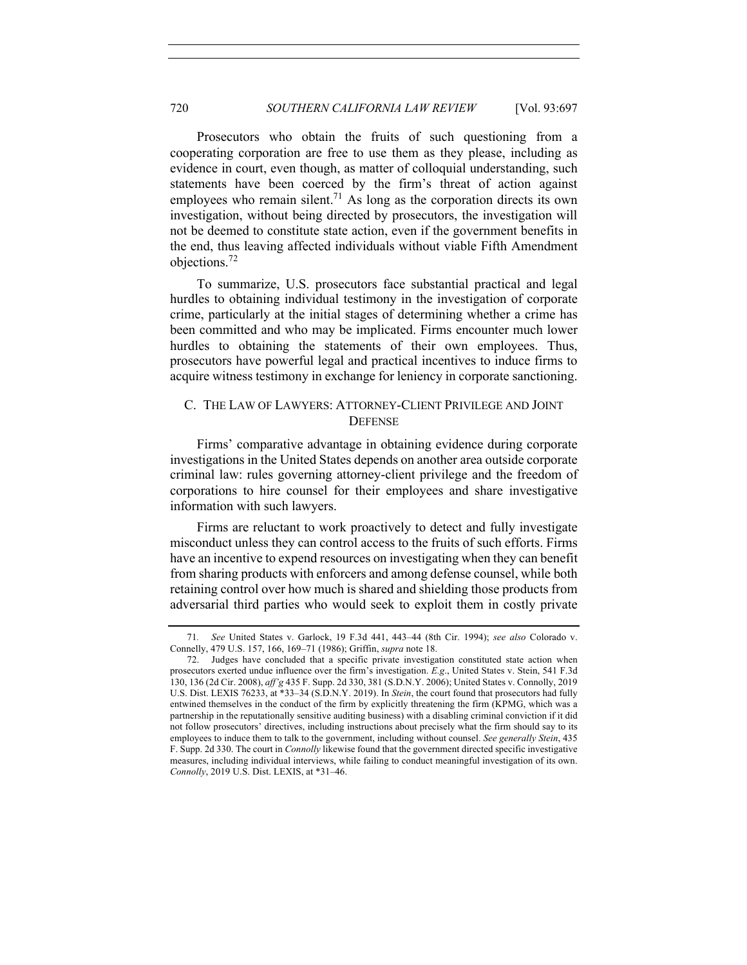Prosecutors who obtain the fruits of such questioning from a cooperating corporation are free to use them as they please, including as evidence in court, even though, as matter of colloquial understanding, such statements have been coerced by the firm's threat of action against employees who remain silent.<sup>71</sup> As long as the corporation directs its own investigation, without being directed by prosecutors, the investigation will not be deemed to constitute state action, even if the government benefits in the end, thus leaving affected individuals without viable Fifth Amendment objections.<sup>72</sup>

To summarize, U.S. prosecutors face substantial practical and legal hurdles to obtaining individual testimony in the investigation of corporate crime, particularly at the initial stages of determining whether a crime has been committed and who may be implicated. Firms encounter much lower hurdles to obtaining the statements of their own employees. Thus, prosecutors have powerful legal and practical incentives to induce firms to acquire witness testimony in exchange for leniency in corporate sanctioning.

## C. THE LAW OF LAWYERS: ATTORNEY-CLIENT PRIVILEGE AND JOINT **DEFENSE**

Firms' comparative advantage in obtaining evidence during corporate investigations in the United States depends on another area outside corporate criminal law: rules governing attorney-client privilege and the freedom of corporations to hire counsel for their employees and share investigative information with such lawyers.

Firms are reluctant to work proactively to detect and fully investigate misconduct unless they can control access to the fruits of such efforts. Firms have an incentive to expend resources on investigating when they can benefit from sharing products with enforcers and among defense counsel, while both retaining control over how much is shared and shielding those products from adversarial third parties who would seek to exploit them in costly private

<sup>71</sup>*. See* United States v. Garlock, 19 F.3d 441, 443–44 (8th Cir. 1994); *see also* Colorado v. Connelly, 479 U.S. 157, 166, 169–71 (1986); Griffin, *supra* note 18.

<sup>72.</sup> Judges have concluded that a specific private investigation constituted state action when prosecutors exerted undue influence over the firm's investigation. *E.g*., United States v. Stein, 541 F.3d 130, 136 (2d Cir. 2008), *aff'g* 435 F. Supp. 2d 330, 381 (S.D.N.Y. 2006); United States v. Connolly, 2019 U.S. Dist. LEXIS 76233, at \*33–34 (S.D.N.Y. 2019). In *Stein*, the court found that prosecutors had fully entwined themselves in the conduct of the firm by explicitly threatening the firm (KPMG, which was a partnership in the reputationally sensitive auditing business) with a disabling criminal conviction if it did not follow prosecutors' directives, including instructions about precisely what the firm should say to its employees to induce them to talk to the government, including without counsel. *See generally Stein*, 435 F. Supp. 2d 330. The court in *Connolly* likewise found that the government directed specific investigative measures, including individual interviews, while failing to conduct meaningful investigation of its own. *Connolly*, 2019 U.S. Dist. LEXIS, at \*31–46.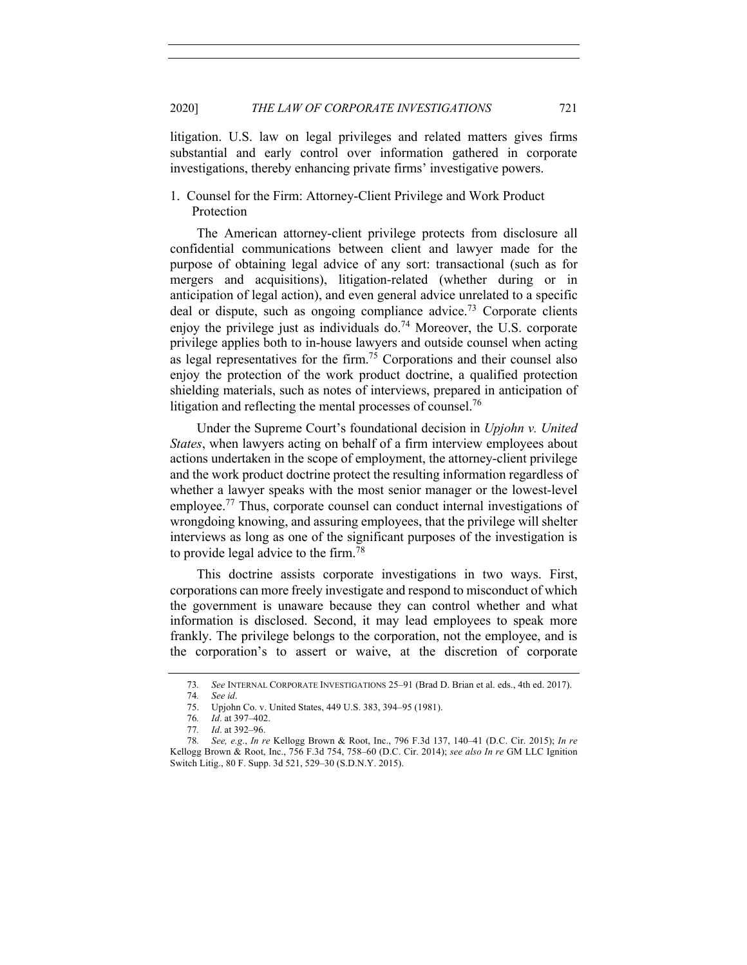litigation. U.S. law on legal privileges and related matters gives firms substantial and early control over information gathered in corporate investigations, thereby enhancing private firms' investigative powers.

1. Counsel for the Firm: Attorney-Client Privilege and Work Product Protection

The American attorney-client privilege protects from disclosure all confidential communications between client and lawyer made for the purpose of obtaining legal advice of any sort: transactional (such as for mergers and acquisitions), litigation-related (whether during or in anticipation of legal action), and even general advice unrelated to a specific deal or dispute, such as ongoing compliance advice.<sup>73</sup> Corporate clients enjoy the privilege just as individuals do.<sup>74</sup> Moreover, the U.S. corporate privilege applies both to in-house lawyers and outside counsel when acting as legal representatives for the firm.75 Corporations and their counsel also enjoy the protection of the work product doctrine, a qualified protection shielding materials, such as notes of interviews, prepared in anticipation of litigation and reflecting the mental processes of counsel.<sup>76</sup>

Under the Supreme Court's foundational decision in *Upjohn v. United States*, when lawyers acting on behalf of a firm interview employees about actions undertaken in the scope of employment, the attorney-client privilege and the work product doctrine protect the resulting information regardless of whether a lawyer speaks with the most senior manager or the lowest-level employee.<sup>77</sup> Thus, corporate counsel can conduct internal investigations of wrongdoing knowing, and assuring employees, that the privilege will shelter interviews as long as one of the significant purposes of the investigation is to provide legal advice to the firm.<sup>78</sup>

This doctrine assists corporate investigations in two ways. First, corporations can more freely investigate and respond to misconduct of which the government is unaware because they can control whether and what information is disclosed. Second, it may lead employees to speak more frankly. The privilege belongs to the corporation, not the employee, and is the corporation's to assert or waive, at the discretion of corporate

<sup>73</sup>*. See* INTERNAL CORPORATE INVESTIGATIONS 25–91 (Brad D. Brian et al. eds., 4th ed. 2017).

<sup>74</sup>*. See id*.

<sup>75.</sup> Upjohn Co. v. United States, 449 U.S. 383, 394–95 (1981).

<sup>76</sup>*. Id*. at 397–402.

<sup>77</sup>*. Id*. at 392–96.

<sup>78</sup>*. See, e.g*., *In re* Kellogg Brown & Root, Inc., 796 F.3d 137, 140–41 (D.C. Cir. 2015); *In re* Kellogg Brown & Root, Inc., 756 F.3d 754, 758–60 (D.C. Cir. 2014); *see also In re* GM LLC Ignition Switch Litig., 80 F. Supp. 3d 521, 529–30 (S.D.N.Y. 2015).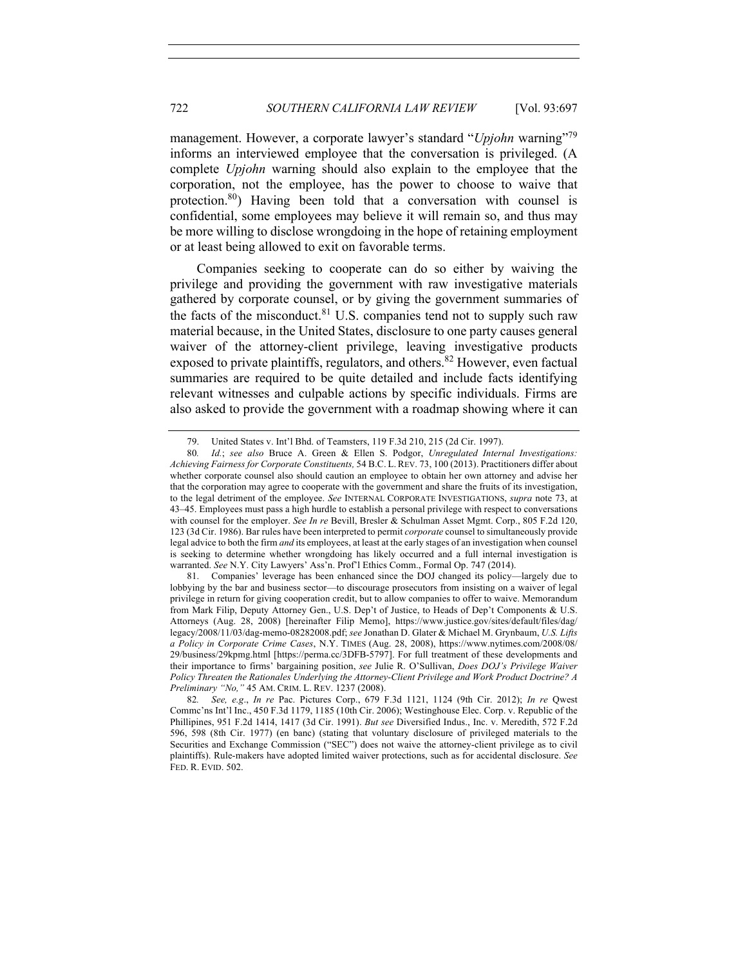management. However, a corporate lawyer's standard "*Upjohn* warning"<sup>79</sup> informs an interviewed employee that the conversation is privileged. (A complete *Upjohn* warning should also explain to the employee that the corporation, not the employee, has the power to choose to waive that protection.80) Having been told that a conversation with counsel is confidential, some employees may believe it will remain so, and thus may be more willing to disclose wrongdoing in the hope of retaining employment or at least being allowed to exit on favorable terms.

Companies seeking to cooperate can do so either by waiving the privilege and providing the government with raw investigative materials gathered by corporate counsel, or by giving the government summaries of the facts of the misconduct.<sup>81</sup> U.S. companies tend not to supply such raw material because, in the United States, disclosure to one party causes general waiver of the attorney-client privilege, leaving investigative products exposed to private plaintiffs, regulators, and others.<sup>82</sup> However, even factual summaries are required to be quite detailed and include facts identifying relevant witnesses and culpable actions by specific individuals. Firms are also asked to provide the government with a roadmap showing where it can

<sup>79.</sup> United States v. Int'l Bhd. of Teamsters, 119 F.3d 210, 215 (2d Cir. 1997).

<sup>80</sup>*. Id.*; *see also* Bruce A. Green & Ellen S. Podgor, *Unregulated Internal Investigations: Achieving Fairness for Corporate Constituents,* 54 B.C. L. REV. 73, 100 (2013). Practitioners differ about whether corporate counsel also should caution an employee to obtain her own attorney and advise her that the corporation may agree to cooperate with the government and share the fruits of its investigation, to the legal detriment of the employee. *See* INTERNAL CORPORATE INVESTIGATIONS, *supra* note 73, at 43–45. Employees must pass a high hurdle to establish a personal privilege with respect to conversations with counsel for the employer. *See In re* Bevill, Bresler & Schulman Asset Mgmt. Corp., 805 F.2d 120, 123 (3d Cir. 1986). Bar rules have been interpreted to permit *corporate* counsel to simultaneously provide legal advice to both the firm *and* its employees, at least at the early stages of an investigation when counsel is seeking to determine whether wrongdoing has likely occurred and a full internal investigation is warranted. *See* N.Y. City Lawyers' Ass'n. Prof'l Ethics Comm., Formal Op. 747 (2014).

<sup>81.</sup> Companies' leverage has been enhanced since the DOJ changed its policy—largely due to lobbying by the bar and business sector—to discourage prosecutors from insisting on a waiver of legal privilege in return for giving cooperation credit, but to allow companies to offer to waive. Memorandum from Mark Filip, Deputy Attorney Gen., U.S. Dep't of Justice, to Heads of Dep't Components & U.S. Attorneys (Aug. 28, 2008) [hereinafter Filip Memo], https://www.justice.gov/sites/default/files/dag/ legacy/2008/11/03/dag-memo-08282008.pdf; *see* Jonathan D. Glater & Michael M. Grynbaum, *U.S. Lifts a Policy in Corporate Crime Cases*, N.Y. TIMES (Aug. 28, 2008), https://www.nytimes.com/2008/08/ 29/business/29kpmg.html [https://perma.cc/3DFB-5797]. For full treatment of these developments and their importance to firms' bargaining position, *see* Julie R. O'Sullivan, *Does DOJ's Privilege Waiver Policy Threaten the Rationales Underlying the Attorney-Client Privilege and Work Product Doctrine? A Preliminary "No,"* 45 AM. CRIM. L. REV. 1237 (2008).

<sup>82</sup>*. See, e.g*., *In re* Pac. Pictures Corp., 679 F.3d 1121, 1124 (9th Cir. 2012); *In re* Qwest Commc'ns Int'l Inc., 450 F.3d 1179, 1185 (10th Cir. 2006); Westinghouse Elec. Corp. v. Republic of the Phillipines, 951 F.2d 1414, 1417 (3d Cir. 1991). *But see* Diversified Indus., Inc. v. Meredith, 572 F.2d 596, 598 (8th Cir. 1977) (en banc) (stating that voluntary disclosure of privileged materials to the Securities and Exchange Commission ("SEC") does not waive the attorney-client privilege as to civil plaintiffs). Rule-makers have adopted limited waiver protections, such as for accidental disclosure. *See*  FED. R. EVID. 502.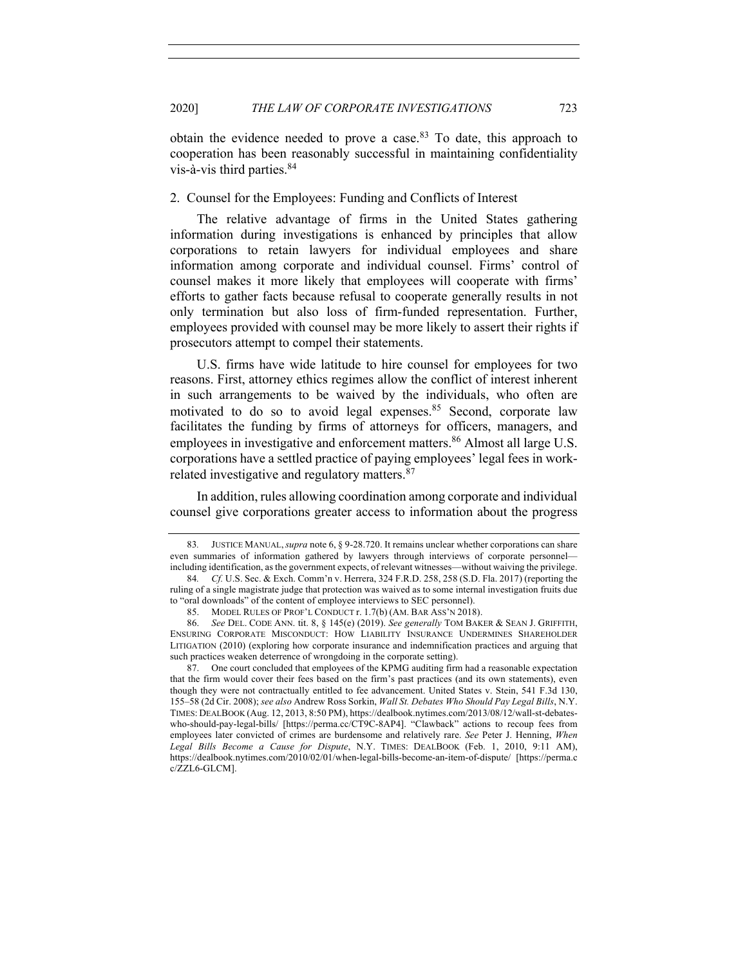obtain the evidence needed to prove a case. $83$  To date, this approach to cooperation has been reasonably successful in maintaining confidentiality vis-à-vis third parties.84

2. Counsel for the Employees: Funding and Conflicts of Interest

The relative advantage of firms in the United States gathering information during investigations is enhanced by principles that allow corporations to retain lawyers for individual employees and share information among corporate and individual counsel. Firms' control of counsel makes it more likely that employees will cooperate with firms' efforts to gather facts because refusal to cooperate generally results in not only termination but also loss of firm-funded representation. Further, employees provided with counsel may be more likely to assert their rights if prosecutors attempt to compel their statements.

U.S. firms have wide latitude to hire counsel for employees for two reasons. First, attorney ethics regimes allow the conflict of interest inherent in such arrangements to be waived by the individuals, who often are motivated to do so to avoid legal expenses.<sup>85</sup> Second, corporate law facilitates the funding by firms of attorneys for officers, managers, and employees in investigative and enforcement matters.<sup>86</sup> Almost all large U.S. corporations have a settled practice of paying employees' legal fees in workrelated investigative and regulatory matters.<sup>87</sup>

In addition, rules allowing coordination among corporate and individual counsel give corporations greater access to information about the progress

<sup>83</sup>*.* JUSTICE MANUAL,*supra* note 6, § 9-28.720. It remains unclear whether corporations can share even summaries of information gathered by lawyers through interviews of corporate personnel including identification, as the government expects, of relevant witnesses—without waiving the privilege.

<sup>84</sup>*. Cf.* U.S. Sec. & Exch. Comm'n v. Herrera, 324 F.R.D. 258, 258 (S.D. Fla. 2017) (reporting the ruling of a single magistrate judge that protection was waived as to some internal investigation fruits due to "oral downloads" of the content of employee interviews to SEC personnel).

<sup>85.</sup> MODEL RULES OF PROF'L CONDUCT r. 1.7(b) (AM. BAR ASS'N 2018).

<sup>86.</sup> *See* DEL. CODE ANN. tit. 8, § 145(e) (2019). *See generally* TOM BAKER & SEAN J. GRIFFITH, ENSURING CORPORATE MISCONDUCT: HOW LIABILITY INSURANCE UNDERMINES SHAREHOLDER LITIGATION (2010) (exploring how corporate insurance and indemnification practices and arguing that such practices weaken deterrence of wrongdoing in the corporate setting).

<sup>87.</sup> One court concluded that employees of the KPMG auditing firm had a reasonable expectation that the firm would cover their fees based on the firm's past practices (and its own statements), even though they were not contractually entitled to fee advancement. United States v. Stein, 541 F.3d 130, 155–58 (2d Cir. 2008); *see also* Andrew Ross Sorkin, *Wall St. Debates Who Should Pay Legal Bills*, N.Y. TIMES: DEALBOOK (Aug. 12, 2013, 8:50 PM), https://dealbook.nytimes.com/2013/08/12/wall-st-debateswho-should-pay-legal-bills/ [https://perma.cc/CT9C-8AP4]. "Clawback" actions to recoup fees from employees later convicted of crimes are burdensome and relatively rare. *See* Peter J. Henning, *When Legal Bills Become a Cause for Dispute*, N.Y. TIMES: DEALBOOK (Feb. 1, 2010, 9:11 AM), https://dealbook.nytimes.com/2010/02/01/when-legal-bills-become-an-item-of-dispute/ [https://perma.c c/ZZL6-GLCM].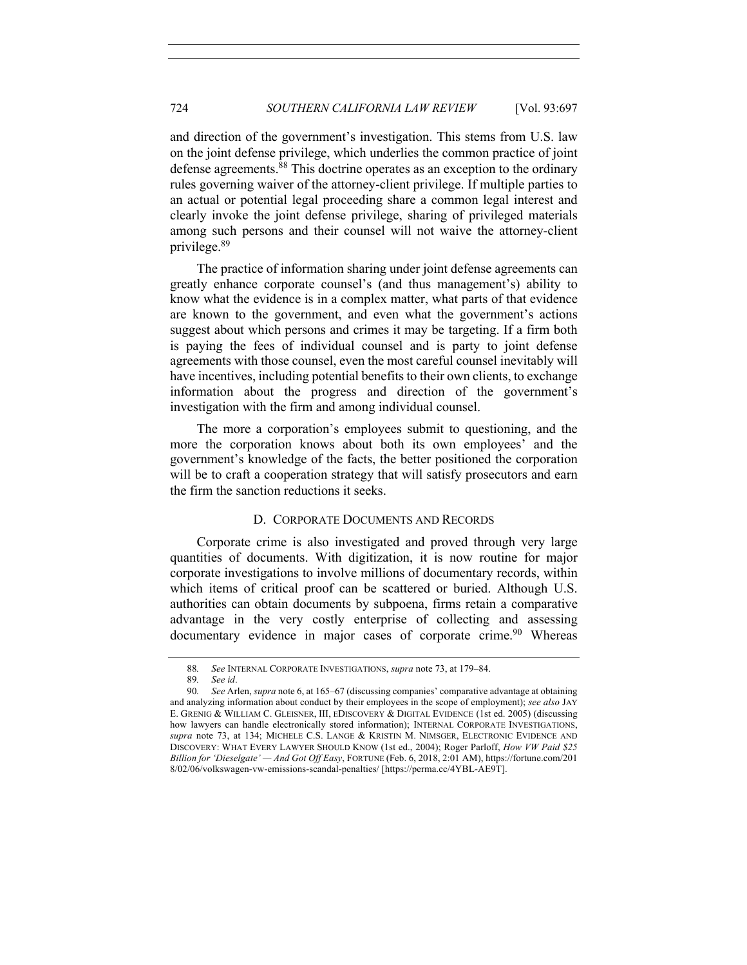and direction of the government's investigation. This stems from U.S. law on the joint defense privilege, which underlies the common practice of joint defense agreements.<sup>88</sup> This doctrine operates as an exception to the ordinary rules governing waiver of the attorney-client privilege. If multiple parties to an actual or potential legal proceeding share a common legal interest and clearly invoke the joint defense privilege, sharing of privileged materials among such persons and their counsel will not waive the attorney-client privilege.89

The practice of information sharing under joint defense agreements can greatly enhance corporate counsel's (and thus management's) ability to know what the evidence is in a complex matter, what parts of that evidence are known to the government, and even what the government's actions suggest about which persons and crimes it may be targeting. If a firm both is paying the fees of individual counsel and is party to joint defense agreements with those counsel, even the most careful counsel inevitably will have incentives, including potential benefits to their own clients, to exchange information about the progress and direction of the government's investigation with the firm and among individual counsel.

The more a corporation's employees submit to questioning, and the more the corporation knows about both its own employees' and the government's knowledge of the facts, the better positioned the corporation will be to craft a cooperation strategy that will satisfy prosecutors and earn the firm the sanction reductions it seeks.

## D. CORPORATE DOCUMENTS AND RECORDS

Corporate crime is also investigated and proved through very large quantities of documents. With digitization, it is now routine for major corporate investigations to involve millions of documentary records, within which items of critical proof can be scattered or buried. Although U.S. authorities can obtain documents by subpoena, firms retain a comparative advantage in the very costly enterprise of collecting and assessing documentary evidence in major cases of corporate crime.<sup>90</sup> Whereas

<sup>88</sup>*. See* INTERNAL CORPORATE INVESTIGATIONS, *supra* note 73, at 179–84.

<sup>89</sup>*. See id*.

<sup>90</sup>*. See* Arlen, *supra* note 6, at 165–67 (discussing companies' comparative advantage at obtaining and analyzing information about conduct by their employees in the scope of employment); *see also* JAY E. GRENIG & WILLIAM C. GLEISNER, III, EDISCOVERY & DIGITAL EVIDENCE (1st ed. 2005) (discussing how lawyers can handle electronically stored information); INTERNAL CORPORATE INVESTIGATIONS, *supra* note 73, at 134; MICHELE C.S. LANGE & KRISTIN M. NIMSGER, ELECTRONIC EVIDENCE AND DISCOVERY: WHAT EVERY LAWYER SHOULD KNOW (1st ed., 2004); Roger Parloff, *How VW Paid \$25 Billion for 'Dieselgate' — And Got Off Easy*, FORTUNE (Feb. 6, 2018, 2:01 AM), https://fortune.com/201 8/02/06/volkswagen-vw-emissions-scandal-penalties/ [https://perma.cc/4YBL-AE9T].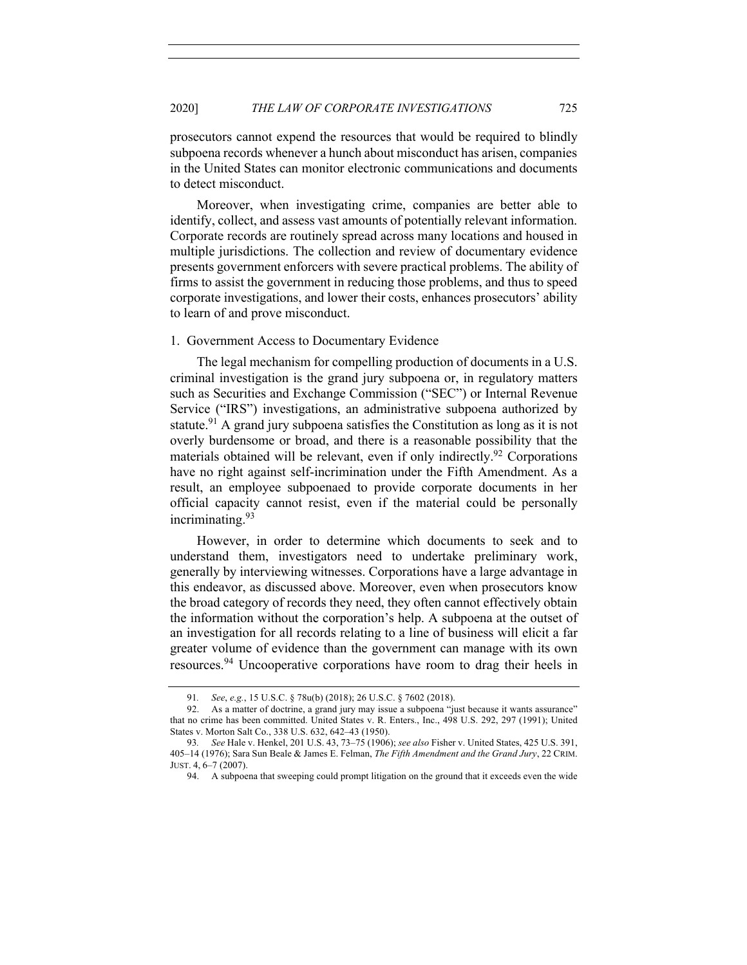prosecutors cannot expend the resources that would be required to blindly subpoena records whenever a hunch about misconduct has arisen, companies in the United States can monitor electronic communications and documents to detect misconduct.

Moreover, when investigating crime, companies are better able to identify, collect, and assess vast amounts of potentially relevant information. Corporate records are routinely spread across many locations and housed in multiple jurisdictions. The collection and review of documentary evidence presents government enforcers with severe practical problems. The ability of firms to assist the government in reducing those problems, and thus to speed corporate investigations, and lower their costs, enhances prosecutors' ability to learn of and prove misconduct.

#### 1. Government Access to Documentary Evidence

The legal mechanism for compelling production of documents in a U.S. criminal investigation is the grand jury subpoena or, in regulatory matters such as Securities and Exchange Commission ("SEC") or Internal Revenue Service ("IRS") investigations, an administrative subpoena authorized by statute.<sup>91</sup> A grand jury subpoena satisfies the Constitution as long as it is not overly burdensome or broad, and there is a reasonable possibility that the materials obtained will be relevant, even if only indirectly.<sup>92</sup> Corporations have no right against self-incrimination under the Fifth Amendment. As a result, an employee subpoenaed to provide corporate documents in her official capacity cannot resist, even if the material could be personally incriminating.<sup>93</sup>

However, in order to determine which documents to seek and to understand them, investigators need to undertake preliminary work, generally by interviewing witnesses. Corporations have a large advantage in this endeavor, as discussed above. Moreover, even when prosecutors know the broad category of records they need, they often cannot effectively obtain the information without the corporation's help. A subpoena at the outset of an investigation for all records relating to a line of business will elicit a far greater volume of evidence than the government can manage with its own resources.<sup>94</sup> Uncooperative corporations have room to drag their heels in

<sup>91</sup>*. See*, *e.g.*, 15 U.S.C. § 78u(b) (2018); 26 U.S.C. § 7602 (2018).

<sup>92.</sup> As a matter of doctrine, a grand jury may issue a subpoena "just because it wants assurance" that no crime has been committed. United States v. R. Enters., Inc., 498 U.S. 292, 297 (1991); United States v. Morton Salt Co., 338 U.S. 632, 642–43 (1950).

<sup>93</sup>*. See* Hale v. Henkel, 201 U.S. 43, 73–75 (1906); *see also* Fisher v. United States, 425 U.S. 391, 405–14 (1976); Sara Sun Beale & James E. Felman, *The Fifth Amendment and the Grand Jury*, 22 CRIM. JUST. 4, 6–7 (2007).

<sup>94.</sup> A subpoena that sweeping could prompt litigation on the ground that it exceeds even the wide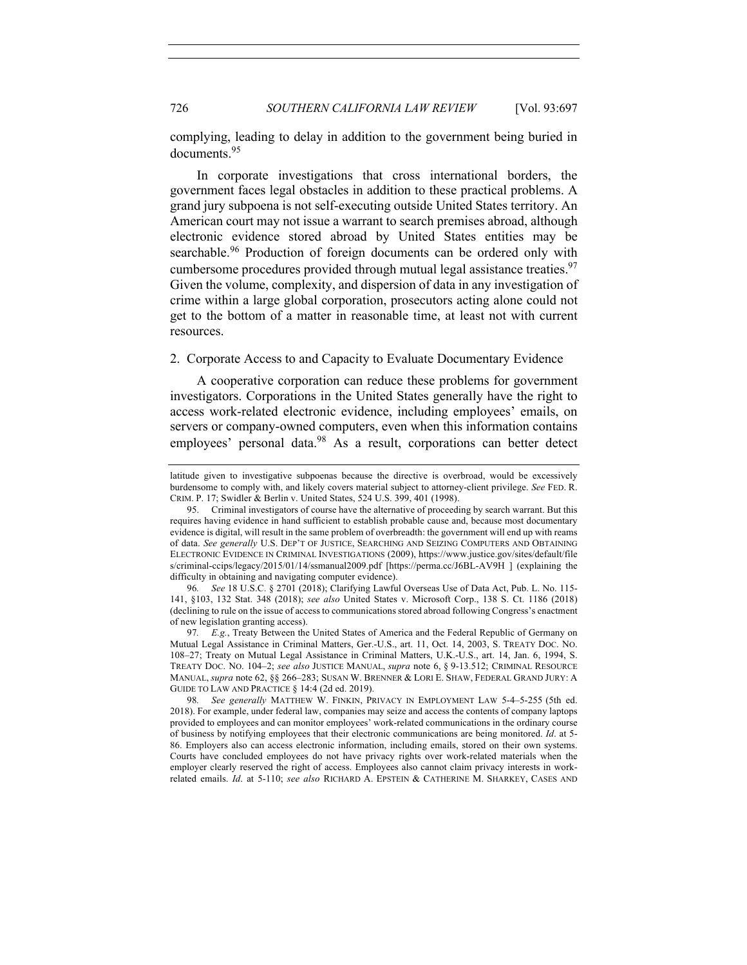complying, leading to delay in addition to the government being buried in documents.95

In corporate investigations that cross international borders, the government faces legal obstacles in addition to these practical problems. A grand jury subpoena is not self-executing outside United States territory. An American court may not issue a warrant to search premises abroad, although electronic evidence stored abroad by United States entities may be searchable.<sup>96</sup> Production of foreign documents can be ordered only with cumbersome procedures provided through mutual legal assistance treaties.<sup>97</sup> Given the volume, complexity, and dispersion of data in any investigation of crime within a large global corporation, prosecutors acting alone could not get to the bottom of a matter in reasonable time, at least not with current resources.

## 2. Corporate Access to and Capacity to Evaluate Documentary Evidence

A cooperative corporation can reduce these problems for government investigators. Corporations in the United States generally have the right to access work-related electronic evidence, including employees' emails, on servers or company-owned computers, even when this information contains employees' personal data.<sup>98</sup> As a result, corporations can better detect

96*. See* 18 U.S.C. § 2701 (2018); Clarifying Lawful Overseas Use of Data Act, Pub. L. No. 115- 141, §103, 132 Stat. 348 (2018); *see also* United States v. Microsoft Corp., 138 S. Ct. 1186 (2018) (declining to rule on the issue of access to communications stored abroad following Congress's enactment of new legislation granting access).

97*. E.g.*, Treaty Between the United States of America and the Federal Republic of Germany on Mutual Legal Assistance in Criminal Matters, Ger.-U.S., art. 11, Oct. 14, 2003, S. TREATY DOC. NO. 108–27; Treaty on Mutual Legal Assistance in Criminal Matters, U.K.-U.S., art. 14, Jan. 6, 1994, S. TREATY DOC. NO. 104–2; *see also* JUSTICE MANUAL, *supra* note 6, § 9-13.512; CRIMINAL RESOURCE MANUAL, *supra* note 62, §§ 266–283; SUSAN W. BRENNER & LORI E. SHAW, FEDERAL GRAND JURY: A GUIDE TO LAW AND PRACTICE § 14:4 (2d ed. 2019).

98*. See generally* MATTHEW W. FINKIN, PRIVACY IN EMPLOYMENT LAW 5-4–5-255 (5th ed. 2018). For example, under federal law, companies may seize and access the contents of company laptops provided to employees and can monitor employees' work-related communications in the ordinary course of business by notifying employees that their electronic communications are being monitored. *Id*. at 5- 86. Employers also can access electronic information, including emails, stored on their own systems. Courts have concluded employees do not have privacy rights over work-related materials when the employer clearly reserved the right of access. Employees also cannot claim privacy interests in workrelated emails. *Id*. at 5-110; *see also* RICHARD A. EPSTEIN & CATHERINE M. SHARKEY, CASES AND

latitude given to investigative subpoenas because the directive is overbroad, would be excessively burdensome to comply with, and likely covers material subject to attorney-client privilege. *See* FED. R. CRIM. P. 17; Swidler & Berlin v. United States, 524 U.S. 399, 401 (1998).

<sup>95.</sup> Criminal investigators of course have the alternative of proceeding by search warrant. But this requires having evidence in hand sufficient to establish probable cause and, because most documentary evidence is digital, will result in the same problem of overbreadth: the government will end up with reams of data. *See generally* U.S. DEP'T OF JUSTICE, SEARCHING AND SEIZING COMPUTERS AND OBTAINING ELECTRONIC EVIDENCE IN CRIMINAL INVESTIGATIONS (2009), https://www.justice.gov/sites/default/file s/criminal-ccips/legacy/2015/01/14/ssmanual2009.pdf [https://perma.cc/J6BL-AV9H ] (explaining the difficulty in obtaining and navigating computer evidence).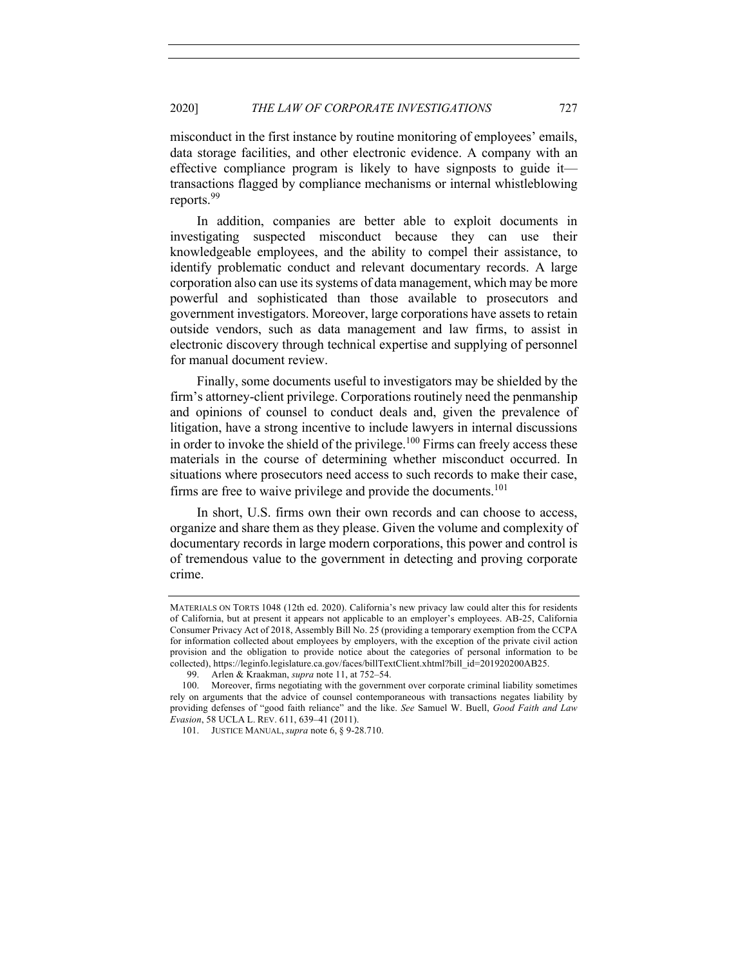misconduct in the first instance by routine monitoring of employees' emails, data storage facilities, and other electronic evidence. A company with an effective compliance program is likely to have signposts to guide it transactions flagged by compliance mechanisms or internal whistleblowing reports.<sup>99</sup>

In addition, companies are better able to exploit documents in investigating suspected misconduct because they can use their knowledgeable employees, and the ability to compel their assistance, to identify problematic conduct and relevant documentary records. A large corporation also can use its systems of data management, which may be more powerful and sophisticated than those available to prosecutors and government investigators. Moreover, large corporations have assets to retain outside vendors, such as data management and law firms, to assist in electronic discovery through technical expertise and supplying of personnel for manual document review.

Finally, some documents useful to investigators may be shielded by the firm's attorney-client privilege. Corporations routinely need the penmanship and opinions of counsel to conduct deals and, given the prevalence of litigation, have a strong incentive to include lawyers in internal discussions in order to invoke the shield of the privilege.<sup>100</sup> Firms can freely access these materials in the course of determining whether misconduct occurred. In situations where prosecutors need access to such records to make their case, firms are free to waive privilege and provide the documents.<sup>101</sup>

In short, U.S. firms own their own records and can choose to access, organize and share them as they please. Given the volume and complexity of documentary records in large modern corporations, this power and control is of tremendous value to the government in detecting and proving corporate crime.

MATERIALS ON TORTS 1048 (12th ed. 2020). California's new privacy law could alter this for residents of California, but at present it appears not applicable to an employer's employees. AB-25, California Consumer Privacy Act of 2018, Assembly Bill No. 25 (providing a temporary exemption from the CCPA for information collected about employees by employers, with the exception of the private civil action provision and the obligation to provide notice about the categories of personal information to be collected), https://leginfo.legislature.ca.gov/faces/billTextClient.xhtml?bill\_id=201920200AB25.

<sup>99.</sup> Arlen & Kraakman, *supra* note 11, at 752–54.

<sup>100.</sup> Moreover, firms negotiating with the government over corporate criminal liability sometimes rely on arguments that the advice of counsel contemporaneous with transactions negates liability by providing defenses of "good faith reliance" and the like. *See* Samuel W. Buell, *Good Faith and Law Evasion*, 58 UCLA L. REV. 611, 639–41 (2011).

<sup>101.</sup> JUSTICE MANUAL, *supra* note 6, § 9-28.710.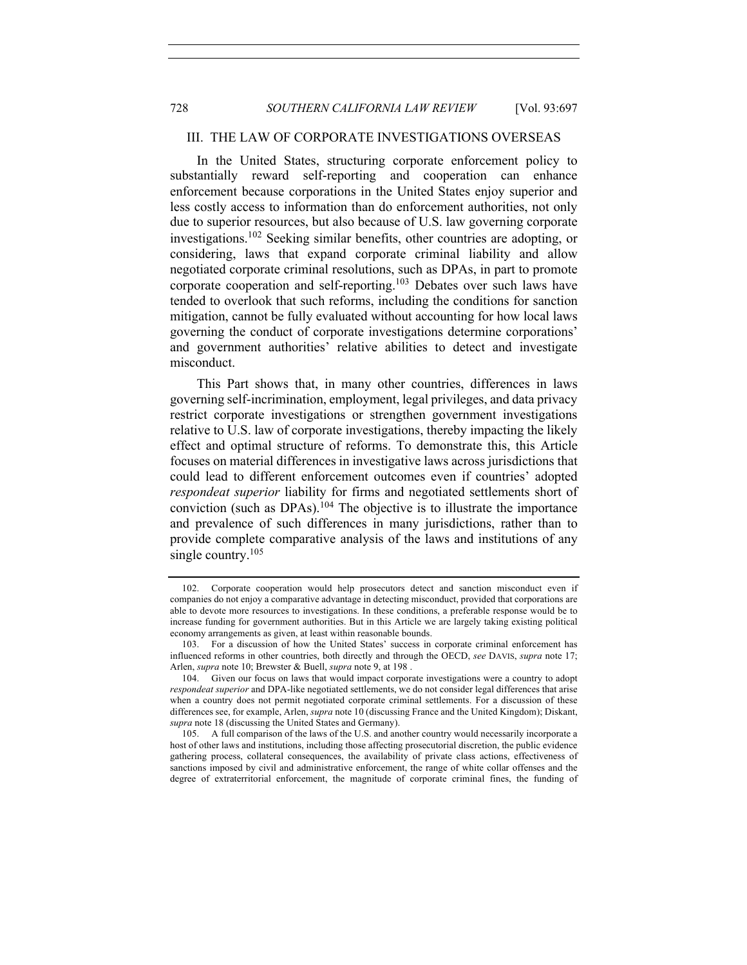#### III. THE LAW OF CORPORATE INVESTIGATIONS OVERSEAS

In the United States, structuring corporate enforcement policy to substantially reward self-reporting and cooperation can enhance enforcement because corporations in the United States enjoy superior and less costly access to information than do enforcement authorities, not only due to superior resources, but also because of U.S. law governing corporate investigations.<sup>102</sup> Seeking similar benefits, other countries are adopting, or considering, laws that expand corporate criminal liability and allow negotiated corporate criminal resolutions, such as DPAs, in part to promote corporate cooperation and self-reporting.<sup>103</sup> Debates over such laws have tended to overlook that such reforms, including the conditions for sanction mitigation, cannot be fully evaluated without accounting for how local laws governing the conduct of corporate investigations determine corporations' and government authorities' relative abilities to detect and investigate misconduct.

This Part shows that, in many other countries, differences in laws governing self-incrimination, employment, legal privileges, and data privacy restrict corporate investigations or strengthen government investigations relative to U.S. law of corporate investigations, thereby impacting the likely effect and optimal structure of reforms. To demonstrate this, this Article focuses on material differences in investigative laws across jurisdictions that could lead to different enforcement outcomes even if countries' adopted *respondeat superior* liability for firms and negotiated settlements short of conviction (such as  $DPAs$ ).<sup>104</sup> The objective is to illustrate the importance and prevalence of such differences in many jurisdictions, rather than to provide complete comparative analysis of the laws and institutions of any single country.<sup>105</sup>

<sup>102.</sup> Corporate cooperation would help prosecutors detect and sanction misconduct even if companies do not enjoy a comparative advantage in detecting misconduct, provided that corporations are able to devote more resources to investigations. In these conditions, a preferable response would be to increase funding for government authorities. But in this Article we are largely taking existing political economy arrangements as given, at least within reasonable bounds.

<sup>103.</sup> For a discussion of how the United States' success in corporate criminal enforcement has influenced reforms in other countries, both directly and through the OECD, *see* DAVIS, *supra* note 17; Arlen, *supra* note 10; Brewster & Buell, *supra* note 9, at 198 .

<sup>104.</sup> Given our focus on laws that would impact corporate investigations were a country to adopt *respondeat superior* and DPA-like negotiated settlements, we do not consider legal differences that arise when a country does not permit negotiated corporate criminal settlements. For a discussion of these differences see, for example, Arlen, *supra* note 10 (discussing France and the United Kingdom); Diskant, *supra* note 18 (discussing the United States and Germany).

<sup>105.</sup> A full comparison of the laws of the U.S. and another country would necessarily incorporate a host of other laws and institutions, including those affecting prosecutorial discretion, the public evidence gathering process, collateral consequences, the availability of private class actions, effectiveness of sanctions imposed by civil and administrative enforcement, the range of white collar offenses and the degree of extraterritorial enforcement, the magnitude of corporate criminal fines, the funding of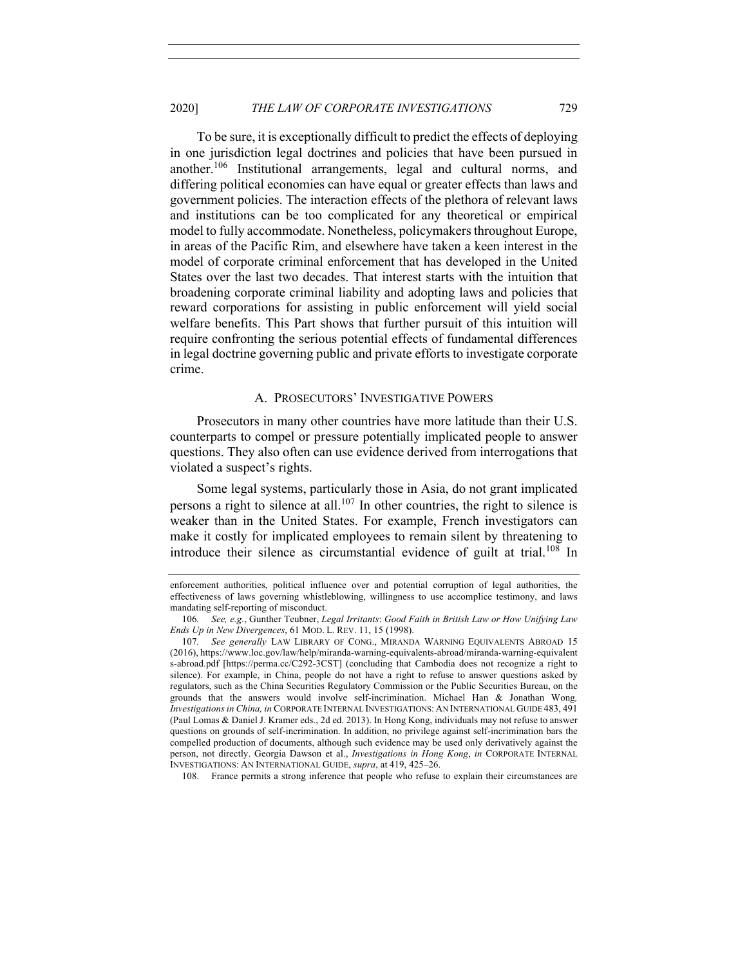To be sure, it is exceptionally difficult to predict the effects of deploying in one jurisdiction legal doctrines and policies that have been pursued in another.<sup>106</sup> Institutional arrangements, legal and cultural norms, and differing political economies can have equal or greater effects than laws and government policies. The interaction effects of the plethora of relevant laws and institutions can be too complicated for any theoretical or empirical model to fully accommodate. Nonetheless, policymakers throughout Europe, in areas of the Pacific Rim, and elsewhere have taken a keen interest in the model of corporate criminal enforcement that has developed in the United States over the last two decades. That interest starts with the intuition that broadening corporate criminal liability and adopting laws and policies that reward corporations for assisting in public enforcement will yield social welfare benefits. This Part shows that further pursuit of this intuition will require confronting the serious potential effects of fundamental differences in legal doctrine governing public and private efforts to investigate corporate crime.

#### A. PROSECUTORS' INVESTIGATIVE POWERS

Prosecutors in many other countries have more latitude than their U.S. counterparts to compel or pressure potentially implicated people to answer questions. They also often can use evidence derived from interrogations that violated a suspect's rights.

Some legal systems, particularly those in Asia, do not grant implicated persons a right to silence at all.107 In other countries, the right to silence is weaker than in the United States. For example, French investigators can make it costly for implicated employees to remain silent by threatening to introduce their silence as circumstantial evidence of guilt at trial.<sup>108</sup> In

108. France permits a strong inference that people who refuse to explain their circumstances are

enforcement authorities, political influence over and potential corruption of legal authorities, the effectiveness of laws governing whistleblowing, willingness to use accomplice testimony, and laws mandating self-reporting of misconduct.

<sup>106</sup>*. See, e.g.*, Gunther Teubner, *Legal Irritants*: *Good Faith in British Law or How Unifying Law Ends Up in New Divergences*, 61 MOD. L. REV. 11, 15 (1998).

<sup>107</sup>*. See generally* LAW LIBRARY OF CONG., MIRANDA WARNING EQUIVALENTS ABROAD 15 (2016), https://www.loc.gov/law/help/miranda-warning-equivalents-abroad/miranda-warning-equivalent s-abroad.pdf [https://perma.cc/C292-3CST] (concluding that Cambodia does not recognize a right to silence). For example, in China, people do not have a right to refuse to answer questions asked by regulators, such as the China Securities Regulatory Commission or the Public Securities Bureau, on the grounds that the answers would involve self-incrimination. Michael Han & Jonathan Wong*, Investigations in China, in* CORPORATE INTERNAL INVESTIGATIONS: AN INTERNATIONAL GUIDE 483, 491 (Paul Lomas & Daniel J. Kramer eds., 2d ed. 2013). In Hong Kong, individuals may not refuse to answer questions on grounds of self-incrimination. In addition, no privilege against self-incrimination bars the compelled production of documents, although such evidence may be used only derivatively against the person, not directly. Georgia Dawson et al., *Investigations in Hong Kong*, *in* CORPORATE INTERNAL INVESTIGATIONS: AN INTERNATIONAL GUIDE, *supra*, at 419, 425–26.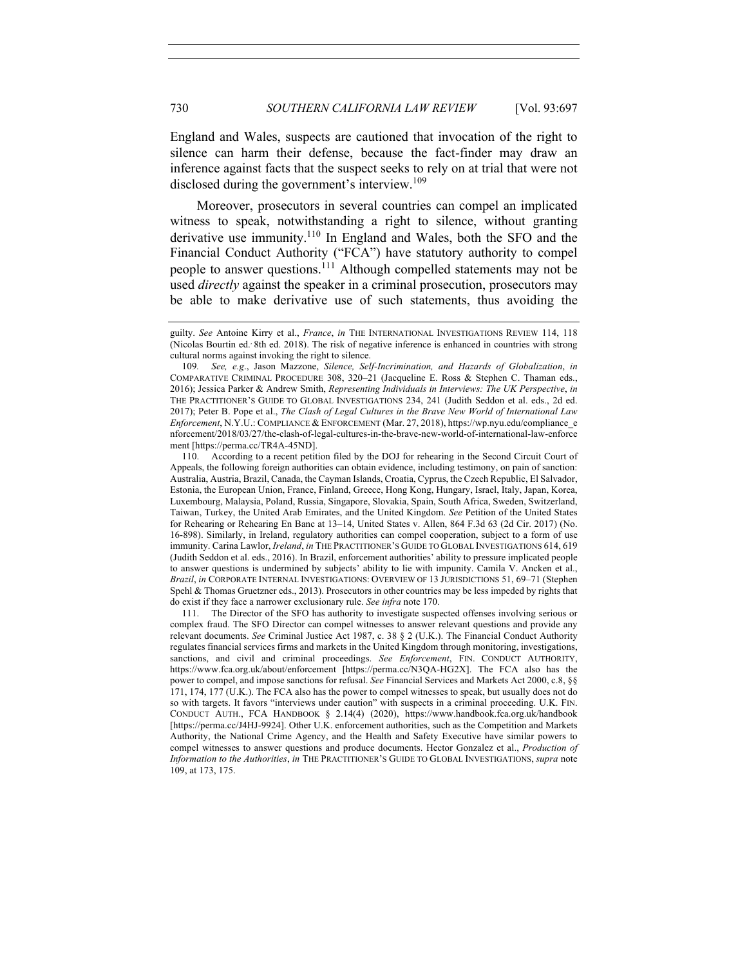England and Wales, suspects are cautioned that invocation of the right to silence can harm their defense, because the fact-finder may draw an inference against facts that the suspect seeks to rely on at trial that were not disclosed during the government's interview.<sup>109</sup>

Moreover, prosecutors in several countries can compel an implicated witness to speak, notwithstanding a right to silence, without granting derivative use immunity.110 In England and Wales, both the SFO and the Financial Conduct Authority ("FCA") have statutory authority to compel people to answer questions.111 Although compelled statements may not be used *directly* against the speaker in a criminal prosecution, prosecutors may be able to make derivative use of such statements, thus avoiding the

110. According to a recent petition filed by the DOJ for rehearing in the Second Circuit Court of Appeals, the following foreign authorities can obtain evidence, including testimony, on pain of sanction: Australia, Austria, Brazil, Canada, the Cayman Islands, Croatia, Cyprus, the Czech Republic, El Salvador, Estonia, the European Union, France, Finland, Greece, Hong Kong, Hungary, Israel, Italy, Japan, Korea, Luxembourg, Malaysia, Poland, Russia, Singapore, Slovakia, Spain, South Africa, Sweden, Switzerland, Taiwan, Turkey, the United Arab Emirates, and the United Kingdom. *See* Petition of the United States for Rehearing or Rehearing En Banc at 13–14, United States v. Allen, 864 F.3d 63 (2d Cir. 2017) (No. 16-898). Similarly, in Ireland, regulatory authorities can compel cooperation, subject to a form of use immunity. Carina Lawlor, *Ireland*, *in* THE PRACTITIONER'S GUIDE TO GLOBAL INVESTIGATIONS 614, 619 (Judith Seddon et al. eds., 2016). In Brazil, enforcement authorities' ability to pressure implicated people to answer questions is undermined by subjects' ability to lie with impunity. Camila V. Ancken et al., *Brazil*, *in* CORPORATE INTERNAL INVESTIGATIONS: OVERVIEW OF 13 JURISDICTIONS 51, 69–71 (Stephen Spehl & Thomas Gruetzner eds., 2013). Prosecutors in other countries may be less impeded by rights that do exist if they face a narrower exclusionary rule. *See infra* note 170.

111. The Director of the SFO has authority to investigate suspected offenses involving serious or complex fraud. The SFO Director can compel witnesses to answer relevant questions and provide any relevant documents. *See* Criminal Justice Act 1987, c. 38 § 2 (U.K.). The Financial Conduct Authority regulates financial services firms and markets in the United Kingdom through monitoring, investigations, sanctions, and civil and criminal proceedings. *See Enforcement*, FIN. CONDUCT AUTHORITY, https://www.fca.org.uk/about/enforcement [https://perma.cc/N3QA-HG2X]. The FCA also has the power to compel, and impose sanctions for refusal. *See* Financial Services and Markets Act 2000, c.8, §§ 171, 174, 177 (U.K.). The FCA also has the power to compel witnesses to speak, but usually does not do so with targets. It favors "interviews under caution" with suspects in a criminal proceeding. U.K. FIN. CONDUCT AUTH., FCA HANDBOOK § 2.14(4) (2020), https://www.handbook.fca.org.uk/handbook [https://perma.cc/J4HJ-9924]. Other U.K. enforcement authorities, such as the Competition and Markets Authority, the National Crime Agency, and the Health and Safety Executive have similar powers to compel witnesses to answer questions and produce documents. Hector Gonzalez et al., *Production of Information to the Authorities*, *in* THE PRACTITIONER'S GUIDE TO GLOBAL INVESTIGATIONS, *supra* note 109, at 173, 175.

guilty. *See* Antoine Kirry et al., *France*, *in* THE INTERNATIONAL INVESTIGATIONS REVIEW 114, 118 (Nicolas Bourtin ed., 8th ed. 2018). The risk of negative inference is enhanced in countries with strong cultural norms against invoking the right to silence.

<sup>109</sup>*. See, e.g*., Jason Mazzone, *Silence, Self-Incrimination, and Hazards of Globalization*, *in* COMPARATIVE CRIMINAL PROCEDURE 308, 320–21 (Jacqueline E. Ross & Stephen C. Thaman eds., 2016); Jessica Parker & Andrew Smith, *Representing Individuals in Interviews: The UK Perspective*, *in* THE PRACTITIONER'S GUIDE TO GLOBAL INVESTIGATIONS 234, 241 (Judith Seddon et al. eds., 2d ed. 2017); Peter B. Pope et al., *The Clash of Legal Cultures in the Brave New World of International Law Enforcement*, N.Y.U.: COMPLIANCE & ENFORCEMENT (Mar. 27, 2018), https://wp.nyu.edu/compliance\_e nforcement/2018/03/27/the-clash-of-legal-cultures-in-the-brave-new-world-of-international-law-enforce ment [https://perma.cc/TR4A-45ND].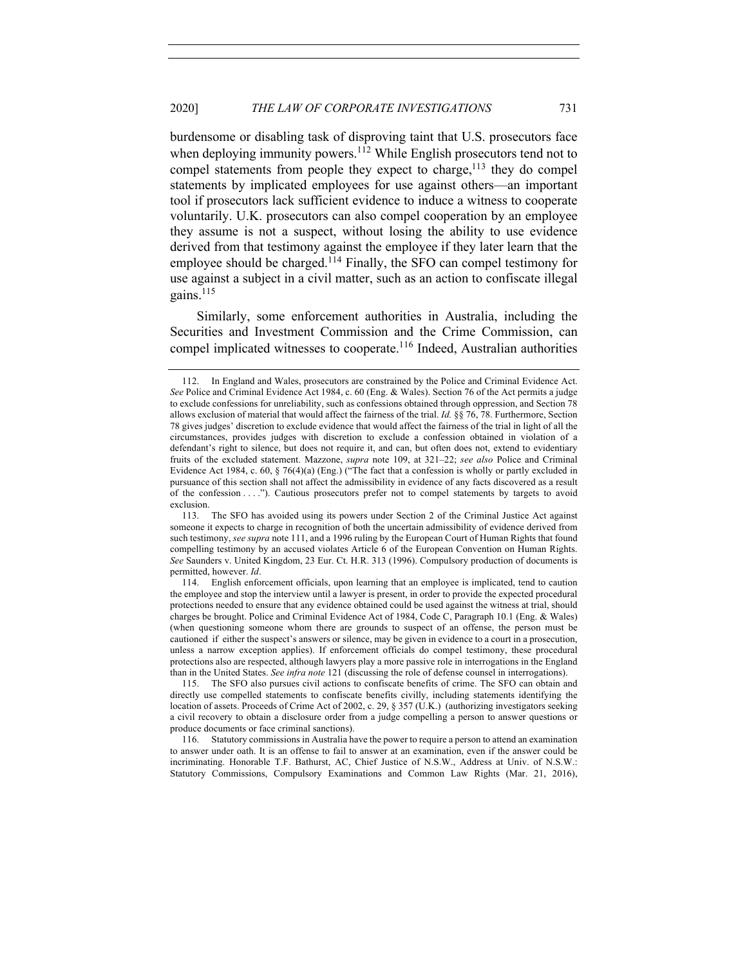burdensome or disabling task of disproving taint that U.S. prosecutors face when deploying immunity powers.<sup>112</sup> While English prosecutors tend not to compel statements from people they expect to charge,<sup>113</sup> they do compel statements by implicated employees for use against others—an important tool if prosecutors lack sufficient evidence to induce a witness to cooperate voluntarily. U.K. prosecutors can also compel cooperation by an employee they assume is not a suspect, without losing the ability to use evidence derived from that testimony against the employee if they later learn that the employee should be charged.<sup>114</sup> Finally, the SFO can compel testimony for use against a subject in a civil matter, such as an action to confiscate illegal gains.<sup>115</sup>

Similarly, some enforcement authorities in Australia, including the Securities and Investment Commission and the Crime Commission, can compel implicated witnesses to cooperate.<sup>116</sup> Indeed, Australian authorities

<sup>112.</sup> In England and Wales, prosecutors are constrained by the Police and Criminal Evidence Act. *See* Police and Criminal Evidence Act 1984, c. 60 (Eng. & Wales). Section 76 of the Act permits a judge to exclude confessions for unreliability, such as confessions obtained through oppression, and Section 78 allows exclusion of material that would affect the fairness of the trial. *Id.* §§ 76, 78. Furthermore, Section 78 gives judges' discretion to exclude evidence that would affect the fairness of the trial in light of all the circumstances, provides judges with discretion to exclude a confession obtained in violation of a defendant's right to silence, but does not require it, and can, but often does not, extend to evidentiary fruits of the excluded statement. Mazzone, *supra* note 109, at 321–22; *see also* Police and Criminal Evidence Act 1984, c. 60, § 76(4)(a) (Eng.) ("The fact that a confession is wholly or partly excluded in pursuance of this section shall not affect the admissibility in evidence of any facts discovered as a result of the confession . . . ."). Cautious prosecutors prefer not to compel statements by targets to avoid exclusion.

<sup>113.</sup> The SFO has avoided using its powers under Section 2 of the Criminal Justice Act against someone it expects to charge in recognition of both the uncertain admissibility of evidence derived from such testimony, *see supra* note 111, and a 1996 ruling by the European Court of Human Rights that found compelling testimony by an accused violates Article 6 of the European Convention on Human Rights. *See* Saunders v. United Kingdom, 23 Eur. Ct. H.R. 313 (1996). Compulsory production of documents is permitted, however. *Id*.

<sup>114.</sup> English enforcement officials, upon learning that an employee is implicated, tend to caution the employee and stop the interview until a lawyer is present, in order to provide the expected procedural protections needed to ensure that any evidence obtained could be used against the witness at trial, should charges be brought. Police and Criminal Evidence Act of 1984, Code C, Paragraph 10.1 (Eng. & Wales) (when questioning someone whom there are grounds to suspect of an offense, the person must be cautioned if either the suspect's answers or silence, may be given in evidence to a court in a prosecution, unless a narrow exception applies). If enforcement officials do compel testimony, these procedural protections also are respected, although lawyers play a more passive role in interrogations in the England than in the United States. *See infra note* 121 (discussing the role of defense counsel in interrogations).

<sup>115.</sup> The SFO also pursues civil actions to confiscate benefits of crime. The SFO can obtain and directly use compelled statements to confiscate benefits civilly, including statements identifying the location of assets. Proceeds of Crime Act of 2002, c. 29, § 357 (U.K.) (authorizing investigators seeking a civil recovery to obtain a disclosure order from a judge compelling a person to answer questions or produce documents or face criminal sanctions).

<sup>116.</sup> Statutory commissions in Australia have the power to require a person to attend an examination to answer under oath. It is an offense to fail to answer at an examination, even if the answer could be incriminating. Honorable T.F. Bathurst, AC, Chief Justice of N.S.W., Address at Univ. of N.S.W.: Statutory Commissions, Compulsory Examinations and Common Law Rights (Mar. 21, 2016),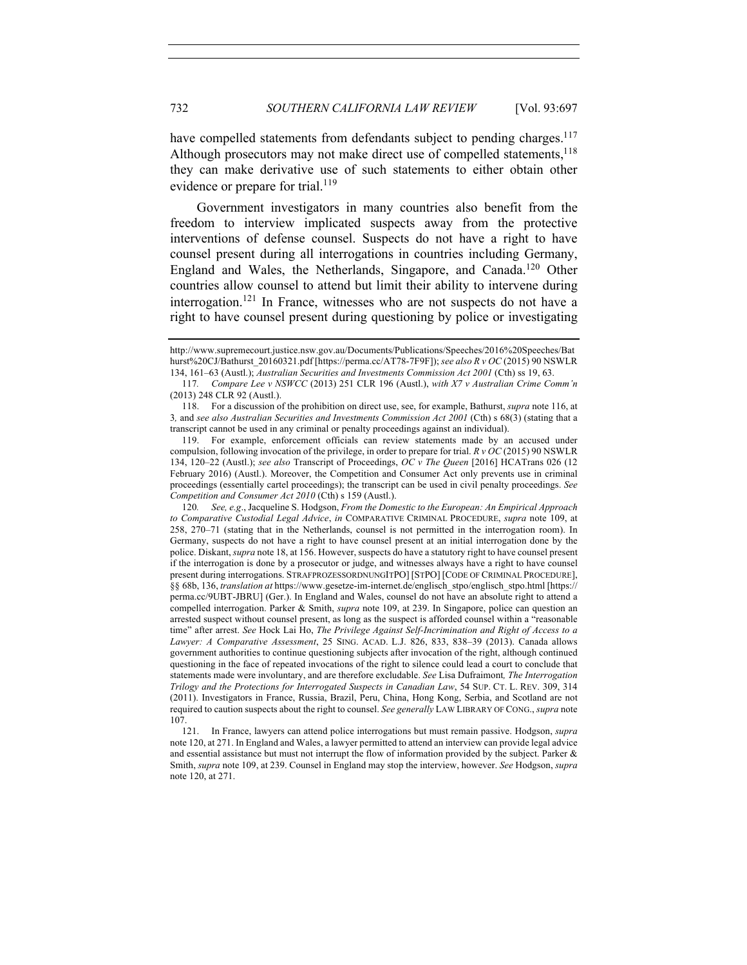have compelled statements from defendants subject to pending charges.<sup>117</sup> Although prosecutors may not make direct use of compelled statements,<sup>118</sup> they can make derivative use of such statements to either obtain other evidence or prepare for trial.<sup>119</sup>

Government investigators in many countries also benefit from the freedom to interview implicated suspects away from the protective interventions of defense counsel. Suspects do not have a right to have counsel present during all interrogations in countries including Germany, England and Wales, the Netherlands, Singapore, and Canada.120 Other countries allow counsel to attend but limit their ability to intervene during interrogation.<sup>121</sup> In France, witnesses who are not suspects do not have a right to have counsel present during questioning by police or investigating

120*. See, e.g*., Jacqueline S. Hodgson, *From the Domestic to the European: An Empirical Approach to Comparative Custodial Legal Advice*, *in* COMPARATIVE CRIMINAL PROCEDURE, *supra* note 109, at 258, 270–71 (stating that in the Netherlands, counsel is not permitted in the interrogation room). In Germany, suspects do not have a right to have counsel present at an initial interrogation done by the police. Diskant, *supra* note 18, at 156. However, suspects do have a statutory right to have counsel present if the interrogation is done by a prosecutor or judge, and witnesses always have a right to have counsel present during interrogations. STRAFPROZESSORDNUNGITPO] [STPO] [CODE OF CRIMINAL PROCEDURE], §§ 68b, 136, *translation at* https://www.gesetze-im-internet.de/englisch\_stpo/englisch\_stpo.html [https:// perma.cc/9UBT-JBRU] (Ger.). In England and Wales, counsel do not have an absolute right to attend a compelled interrogation. Parker & Smith, *supra* note 109, at 239. In Singapore, police can question an arrested suspect without counsel present, as long as the suspect is afforded counsel within a "reasonable time" after arrest. *See* Hock Lai Ho, *The Privilege Against Self-Incrimination and Right of Access to a Lawyer: A Comparative Assessment*, 25 SING. ACAD. L.J. 826, 833, 838–39 (2013). Canada allows government authorities to continue questioning subjects after invocation of the right, although continued questioning in the face of repeated invocations of the right to silence could lead a court to conclude that statements made were involuntary, and are therefore excludable. *See* Lisa Dufraimont*, The Interrogation Trilogy and the Protections for Interrogated Suspects in Canadian Law*, 54 SUP. CT. L. REV. 309, 314 (2011). Investigators in France, Russia, Brazil, Peru, China, Hong Kong, Serbia, and Scotland are not required to caution suspects about the right to counsel. *See generally* LAW LIBRARY OF CONG., *supra* note 107.

121. In France, lawyers can attend police interrogations but must remain passive. Hodgson, *supra* note 120, at 271. In England and Wales, a lawyer permitted to attend an interview can provide legal advice and essential assistance but must not interrupt the flow of information provided by the subject. Parker & Smith, *supra* note 109, at 239. Counsel in England may stop the interview, however. *See* Hodgson, *supra* note 120, at 271.

http://www.supremecourt.justice.nsw.gov.au/Documents/Publications/Speeches/2016%20Speeches/Bat hurst%20CJ/Bathurst\_20160321.pdf [https://perma.cc/AT78-7F9F]); *see also R v OC* (2015) 90 NSWLR 134, 161–63 (Austl.); *Australian Securities and Investments Commission Act 2001* (Cth) ss 19, 63.

<sup>117</sup>*. Compare Lee v NSWCC* (2013) 251 CLR 196 (Austl.), *with X7 v Australian Crime Comm'n* (2013) 248 CLR 92 (Austl.).

<sup>118.</sup> For a discussion of the prohibition on direct use, see, for example, Bathurst, *supra* note 116, at 3*,* and *see also Australian Securities and Investments Commission Act 2001* (Cth) s 68(3) (stating that a transcript cannot be used in any criminal or penalty proceedings against an individual).

<sup>119.</sup> For example, enforcement officials can review statements made by an accused under compulsion, following invocation of the privilege, in order to prepare for trial. *R v OC* (2015) 90 NSWLR 134, 120–22 (Austl.); *see also* Transcript of Proceedings, *OC v The Queen* [2016] HCATrans 026 (12 February 2016) (Austl.). Moreover, the Competition and Consumer Act only prevents use in criminal proceedings (essentially cartel proceedings); the transcript can be used in civil penalty proceedings. *See Competition and Consumer Act 2010* (Cth) s 159 (Austl.).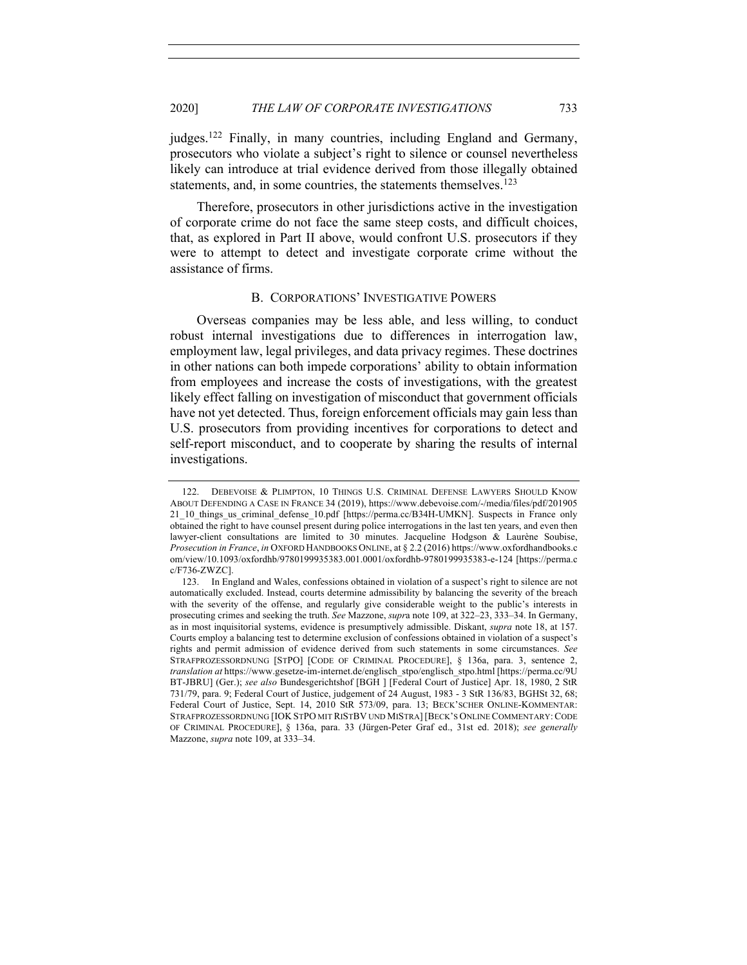judges.<sup>122</sup> Finally, in many countries, including England and Germany, prosecutors who violate a subject's right to silence or counsel nevertheless likely can introduce at trial evidence derived from those illegally obtained statements, and, in some countries, the statements themselves.<sup>123</sup>

Therefore, prosecutors in other jurisdictions active in the investigation of corporate crime do not face the same steep costs, and difficult choices, that, as explored in Part II above, would confront U.S. prosecutors if they were to attempt to detect and investigate corporate crime without the assistance of firms.

#### B. CORPORATIONS' INVESTIGATIVE POWERS

Overseas companies may be less able, and less willing, to conduct robust internal investigations due to differences in interrogation law, employment law, legal privileges, and data privacy regimes. These doctrines in other nations can both impede corporations' ability to obtain information from employees and increase the costs of investigations, with the greatest likely effect falling on investigation of misconduct that government officials have not yet detected. Thus, foreign enforcement officials may gain less than U.S. prosecutors from providing incentives for corporations to detect and self-report misconduct, and to cooperate by sharing the results of internal investigations.

<sup>122.</sup> DEBEVOISE & PLIMPTON, 10 THINGS U.S. CRIMINAL DEFENSE LAWYERS SHOULD KNOW ABOUT DEFENDING A CASE IN FRANCE 34 (2019), https://www.debevoise.com/-/media/files/pdf/201905 21\_10\_things\_us\_criminal\_defense\_10.pdf [https://perma.cc/B34H-UMKN]. Suspects in France only obtained the right to have counsel present during police interrogations in the last ten years, and even then lawyer-client consultations are limited to 30 minutes. Jacqueline Hodgson & Laurène Soubise, *Prosecution in France*, *in* OXFORD HANDBOOKS ONLINE, at § 2.2 (2016) https://www.oxfordhandbooks.c om/view/10.1093/oxfordhb/9780199935383.001.0001/oxfordhb-9780199935383-e-124 [https://perma.c c/F736-ZWZC].

<sup>123.</sup> In England and Wales, confessions obtained in violation of a suspect's right to silence are not automatically excluded. Instead, courts determine admissibility by balancing the severity of the breach with the severity of the offense, and regularly give considerable weight to the public's interests in prosecuting crimes and seeking the truth. *See* Mazzone, *supr*a note 109, at 322–23, 333–34. In Germany, as in most inquisitorial systems, evidence is presumptively admissible. Diskant, *supra* note 18, at 157. Courts employ a balancing test to determine exclusion of confessions obtained in violation of a suspect's rights and permit admission of evidence derived from such statements in some circumstances. *See*  STRAFPROZESSORDNUNG [STPO] [CODE OF CRIMINAL PROCEDURE], § 136a, para. 3, sentence 2, *translation at* https://www.gesetze-im-internet.de/englisch\_stpo/englisch\_stpo.html [https://perma.cc/9U BT-JBRU] (Ger.); *see also* Bundesgerichtshof [BGH ] [Federal Court of Justice] Apr. 18, 1980, 2 StR 731/79, para. 9; Federal Court of Justice, judgement of 24 August, 1983 - 3 StR 136/83, BGHSt 32, 68; Federal Court of Justice, Sept. 14, 2010 StR 573/09, para. 13; BECK'SCHER ONLINE-KOMMENTAR: STRAFPROZESSORDNUNG [IOK STPO MIT RISTBV UND MISTRA] [BECK'S ONLINE COMMENTARY: CODE OF CRIMINAL PROCEDURE], § 136a, para. 33 (Jürgen-Peter Graf ed., 31st ed. 2018); *see generally* Mazzone, *supra* note 109, at 333–34.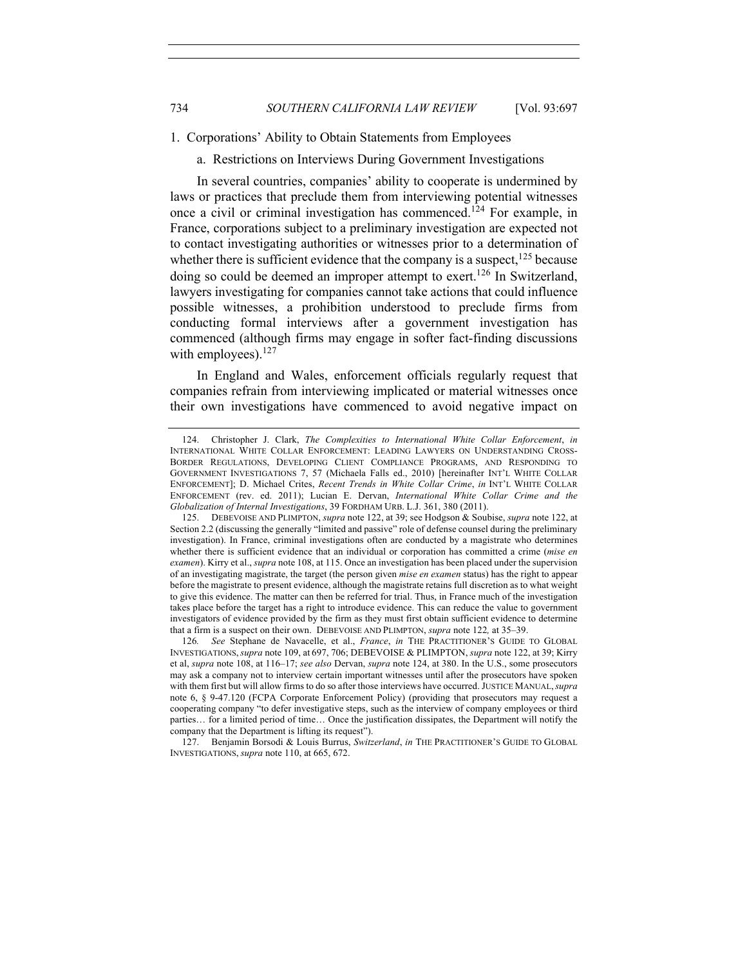1. Corporations' Ability to Obtain Statements from Employees

a. Restrictions on Interviews During Government Investigations

In several countries, companies' ability to cooperate is undermined by laws or practices that preclude them from interviewing potential witnesses once a civil or criminal investigation has commenced.<sup>124</sup> For example, in France, corporations subject to a preliminary investigation are expected not to contact investigating authorities or witnesses prior to a determination of whether there is sufficient evidence that the company is a suspect,  $^{125}$  because doing so could be deemed an improper attempt to exert.<sup>126</sup> In Switzerland, lawyers investigating for companies cannot take actions that could influence possible witnesses, a prohibition understood to preclude firms from conducting formal interviews after a government investigation has commenced (although firms may engage in softer fact-finding discussions with employees).<sup>127</sup>

In England and Wales, enforcement officials regularly request that companies refrain from interviewing implicated or material witnesses once their own investigations have commenced to avoid negative impact on

<sup>124.</sup> Christopher J. Clark, *The Complexities to International White Collar Enforcement*, *in* INTERNATIONAL WHITE COLLAR ENFORCEMENT: LEADING LAWYERS ON UNDERSTANDING CROSS-BORDER REGULATIONS, DEVELOPING CLIENT COMPLIANCE PROGRAMS, AND RESPONDING TO GOVERNMENT INVESTIGATIONS 7, 57 (Michaela Falls ed., 2010) [hereinafter INT'L WHITE COLLAR ENFORCEMENT]; D. Michael Crites, *Recent Trends in White Collar Crime*, *in* INT'L WHITE COLLAR ENFORCEMENT (rev. ed. 2011); Lucian E. Dervan, *International White Collar Crime and the Globalization of Internal Investigations*, 39 FORDHAM URB. L.J. 361, 380 (2011).

<sup>125.</sup> DEBEVOISE AND PLIMPTON, *supra* note 122, at 39; see Hodgson & Soubise, *supra* note 122, at Section 2.2 (discussing the generally "limited and passive" role of defense counsel during the preliminary investigation). In France, criminal investigations often are conducted by a magistrate who determines whether there is sufficient evidence that an individual or corporation has committed a crime (*mise en examen*). Kirry et al., *supra* note 108, at 115. Once an investigation has been placed under the supervision of an investigating magistrate, the target (the person given *mise en examen* status) has the right to appear before the magistrate to present evidence, although the magistrate retains full discretion as to what weight to give this evidence. The matter can then be referred for trial. Thus, in France much of the investigation takes place before the target has a right to introduce evidence. This can reduce the value to government investigators of evidence provided by the firm as they must first obtain sufficient evidence to determine that a firm is a suspect on their own. DEBEVOISE AND PLIMPTON, *supra* note 122*,* at 35–39.

<sup>126</sup>*. See* Stephane de Navacelle, et al., *France*, *in* THE PRACTITIONER'S GUIDE TO GLOBAL INVESTIGATIONS,*supra* note 109, at 697, 706; DEBEVOISE & PLIMPTON, *supra* note 122, at 39; Kirry et al, *supra* note 108, at 116–17; *see also* Dervan, *supra* note 124, at 380. In the U.S., some prosecutors may ask a company not to interview certain important witnesses until after the prosecutors have spoken with them first but will allow firms to do so after those interviews have occurred. JUSTICE MANUAL,*supra* note 6, § 9-47.120 (FCPA Corporate Enforcement Policy) (providing that prosecutors may request a cooperating company "to defer investigative steps, such as the interview of company employees or third parties… for a limited period of time… Once the justification dissipates, the Department will notify the company that the Department is lifting its request").

<sup>127.</sup> Benjamin Borsodi & Louis Burrus, *Switzerland*, *in* THE PRACTITIONER'S GUIDE TO GLOBAL INVESTIGATIONS, *supra* note 110, at 665, 672.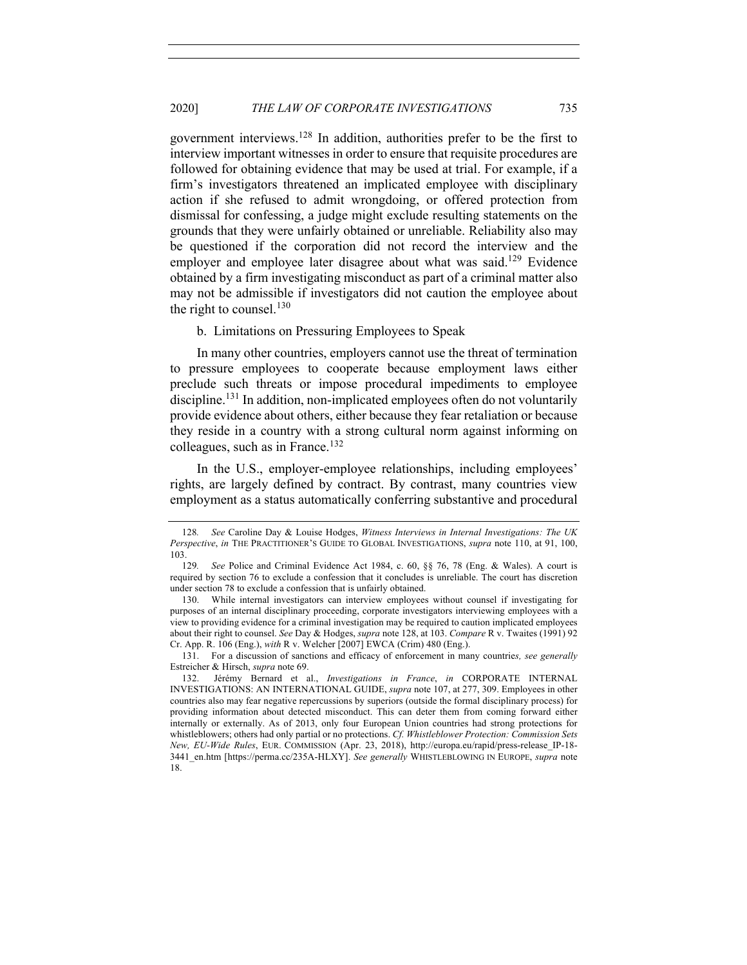government interviews.<sup>128</sup> In addition, authorities prefer to be the first to interview important witnesses in order to ensure that requisite procedures are followed for obtaining evidence that may be used at trial. For example, if a firm's investigators threatened an implicated employee with disciplinary action if she refused to admit wrongdoing, or offered protection from dismissal for confessing, a judge might exclude resulting statements on the grounds that they were unfairly obtained or unreliable. Reliability also may be questioned if the corporation did not record the interview and the employer and employee later disagree about what was said.<sup>129</sup> Evidence obtained by a firm investigating misconduct as part of a criminal matter also may not be admissible if investigators did not caution the employee about the right to counsel. $130$ 

b. Limitations on Pressuring Employees to Speak

In many other countries, employers cannot use the threat of termination to pressure employees to cooperate because employment laws either preclude such threats or impose procedural impediments to employee discipline.<sup>131</sup> In addition, non-implicated employees often do not voluntarily provide evidence about others, either because they fear retaliation or because they reside in a country with a strong cultural norm against informing on colleagues, such as in France.<sup>132</sup>

In the U.S., employer-employee relationships, including employees' rights, are largely defined by contract. By contrast, many countries view employment as a status automatically conferring substantive and procedural

131. For a discussion of sanctions and efficacy of enforcement in many countrie*s, see generally* Estreicher & Hirsch, *supra* note 69.

<sup>128</sup>*. See* Caroline Day & Louise Hodges, *Witness Interviews in Internal Investigations: The UK Perspective*, *in* THE PRACTITIONER'S GUIDE TO GLOBAL INVESTIGATIONS, *supra* note 110, at 91, 100, 103.

<sup>129</sup>*. See* Police and Criminal Evidence Act 1984, c. 60, §§ 76, 78 (Eng. & Wales). A court is required by section 76 to exclude a confession that it concludes is unreliable. The court has discretion under section 78 to exclude a confession that is unfairly obtained.

<sup>130.</sup> While internal investigators can interview employees without counsel if investigating for purposes of an internal disciplinary proceeding, corporate investigators interviewing employees with a view to providing evidence for a criminal investigation may be required to caution implicated employees about their right to counsel. *See* Day & Hodges, *supra* note 128, at 103. *Compare* R v. Twaites (1991) 92 Cr. App. R. 106 (Eng.), *with* R v. Welcher [2007] EWCA (Crim) 480 (Eng.).

<sup>132.</sup> Jérémy Bernard et al., *Investigations in France*, *in* CORPORATE INTERNAL INVESTIGATIONS: AN INTERNATIONAL GUIDE, *supra* note 107, at 277, 309. Employees in other countries also may fear negative repercussions by superiors (outside the formal disciplinary process) for providing information about detected misconduct. This can deter them from coming forward either internally or externally. As of 2013, only four European Union countries had strong protections for whistleblowers; others had only partial or no protections. *Cf. Whistleblower Protection: Commission Sets New, EU-Wide Rules*, EUR. COMMISSION (Apr. 23, 2018), http://europa.eu/rapid/press-release\_IP-18- 3441\_en.htm [https://perma.cc/235A-HLXY]. *See generally* WHISTLEBLOWING IN EUROPE, *supra* note 18.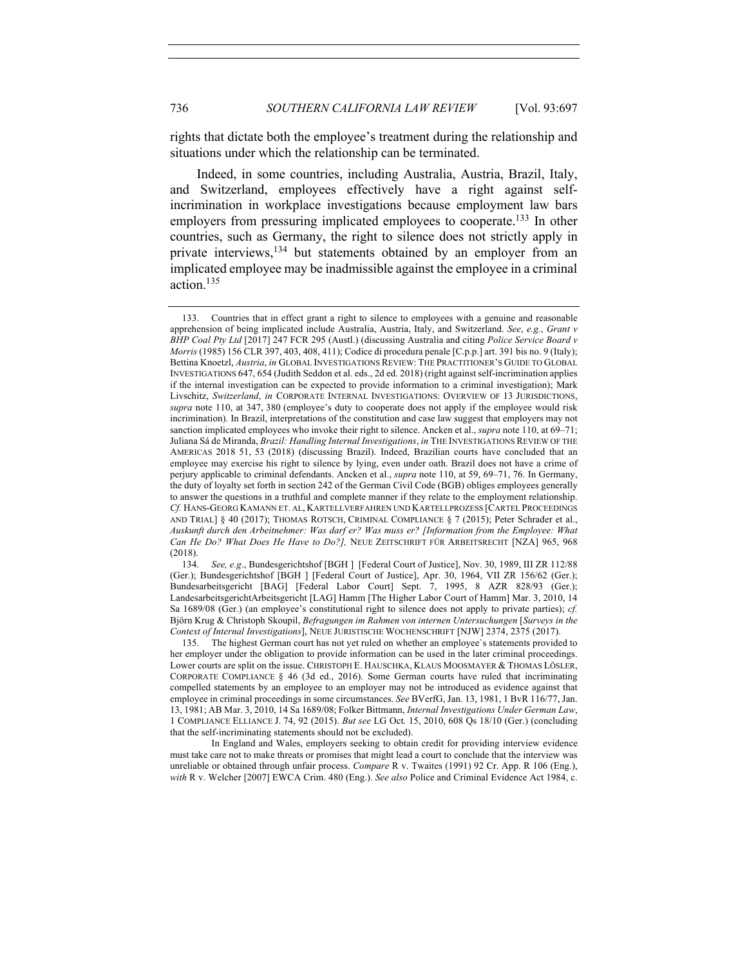rights that dictate both the employee's treatment during the relationship and

situations under which the relationship can be terminated.

Indeed, in some countries, including Australia, Austria, Brazil, Italy, and Switzerland, employees effectively have a right against selfincrimination in workplace investigations because employment law bars employers from pressuring implicated employees to cooperate.<sup>133</sup> In other countries, such as Germany, the right to silence does not strictly apply in private interviews,<sup>134</sup> but statements obtained by an employer from an implicated employee may be inadmissible against the employee in a criminal action.135

134*. See, e.g*., Bundesgerichtshof [BGH ] [Federal Court of Justice], Nov. 30, 1989, III ZR 112/88 (Ger.); Bundesgerichtshof [BGH ] [Federal Court of Justice], Apr. 30, 1964, VII ZR 156/62 (Ger.); Bundesarbeitsgericht [BAG] [Federal Labor Court] Sept. 7, 1995, 8 AZR 828/93 (Ger.); LandesarbeitsgerichtArbeitsgericht [LAG] Hamm [The Higher Labor Court of Hamm] Mar. 3, 2010, 14 Sa 1689/08 (Ger.) (an employee's constitutional right to silence does not apply to private parties); *cf.* Björn Krug & Christoph Skoupil, *Befragungen im Rahmen von internen Untersuchungen* [*Surveys in the Context of Internal Investigations*], NEUE JURISTISCHE WOCHENSCHRIFT [NJW] 2374, 2375 (2017).

The highest German court has not yet ruled on whether an employee's statements provided to her employer under the obligation to provide information can be used in the later criminal proceedings. Lower courts are split on the issue. CHRISTOPH E. HAUSCHKA, KLAUS MOOSMAYER & THOMAS LÖSLER, CORPORATE COMPLIANCE § 46 (3d ed., 2016). Some German courts have ruled that incriminating compelled statements by an employee to an employer may not be introduced as evidence against that employee in criminal proceedings in some circumstances. *See* BVerfG, Jan. 13, 1981, 1 BvR 116/77, Jan. 13, 1981; AB Mar. 3, 2010, 14 Sa 1689/08; Folker Bittmann, *Internal Investigations Under German Law*, 1 COMPLIANCE ELLIANCE J. 74, 92 (2015). *But see* LG Oct. 15, 2010, 608 Qs 18/10 (Ger.) (concluding that the self-incriminating statements should not be excluded).

In England and Wales, employers seeking to obtain credit for providing interview evidence must take care not to make threats or promises that might lead a court to conclude that the interview was unreliable or obtained through unfair process. *Compare* R v. Twaites (1991) 92 Cr. App. R 106 (Eng.), *with* R v. Welcher [2007] EWCA Crim. 480 (Eng.). *See also* Police and Criminal Evidence Act 1984, c.

<sup>133.</sup> Countries that in effect grant a right to silence to employees with a genuine and reasonable apprehension of being implicated include Australia, Austria, Italy, and Switzerland. *See*, *e.g.*, *Grant v BHP Coal Pty Ltd* [2017] 247 FCR 295 (Austl.) (discussing Australia and citing *Police Service Board v Morris* (1985) 156 CLR 397, 403, 408, 411); Codice di procedura penale [C.p.p.] art. 391 bis no. 9 (Italy); Bettina Knoetzl, *Austria*, *in* GLOBAL INVESTIGATIONS REVIEW: THE PRACTITIONER'S GUIDE TO GLOBAL INVESTIGATIONS 647, 654 (Judith Seddon et al. eds., 2d ed. 2018) (right against self-incrimination applies if the internal investigation can be expected to provide information to a criminal investigation); Mark Livschitz, *Switzerland*, *in* CORPORATE INTERNAL INVESTIGATIONS: OVERVIEW OF 13 JURISDICTIONS, *supra* note 110, at 347, 380 (employee's duty to cooperate does not apply if the employee would risk incrimination). In Brazil, interpretations of the constitution and case law suggest that employers may not sanction implicated employees who invoke their right to silence. Ancken et al., *supra* note 110, at 69–71; Juliana Sá de Miranda, *Brazil: Handling Internal Investigations*, *in* THE INVESTIGATIONS REVIEW OF THE AMERICAS 2018 51, 53 (2018) (discussing Brazil). Indeed, Brazilian courts have concluded that an employee may exercise his right to silence by lying, even under oath. Brazil does not have a crime of perjury applicable to criminal defendants. Ancken et al., *supra* note 110, at 59, 69–71, 76. In Germany, the duty of loyalty set forth in section 242 of the German Civil Code (BGB) obliges employees generally to answer the questions in a truthful and complete manner if they relate to the employment relationship. *Cf.* HANS-GEORG KAMANN ET. AL, KARTELLVERFAHREN UND KARTELLPROZESS [CARTEL PROCEEDINGS AND TRIAL] § 40 (2017); THOMAS ROTSCH, CRIMINAL COMPLIANCE § 7 (2015); Peter Schrader et al., *Auskunft durch den Arbeitnehmer: Was darf er? Was muss er? [Information from the Employee: What Can He Do? What Does He Have to Do?],* NEUE ZEITSCHRIFT FÜR ARBEITSRECHT [NZA] 965, 968 (2018).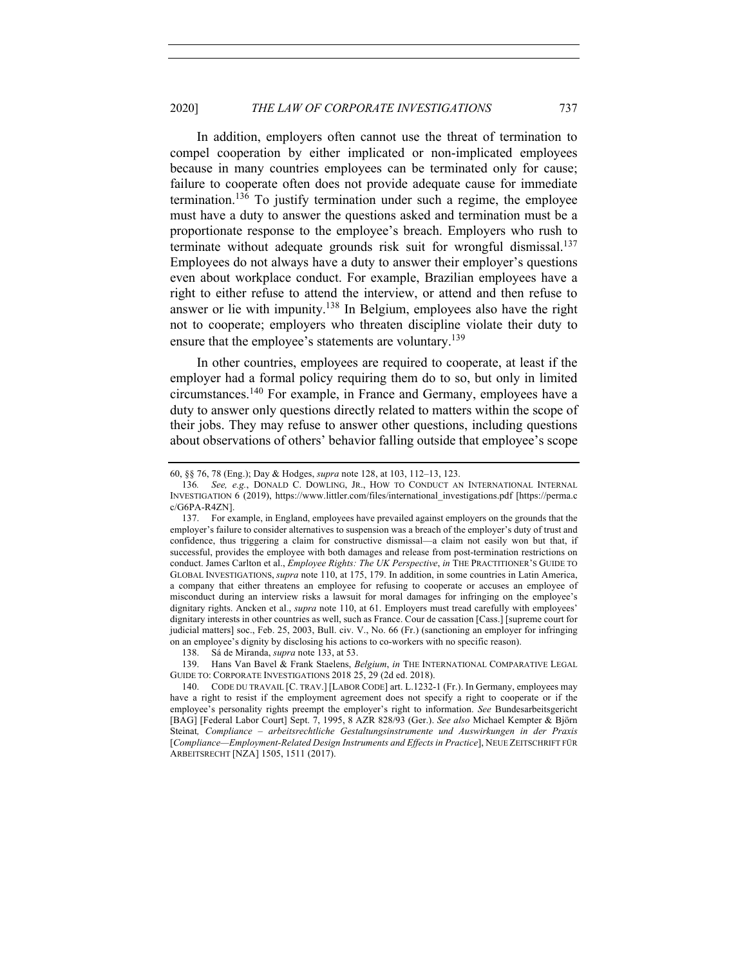In addition, employers often cannot use the threat of termination to compel cooperation by either implicated or non-implicated employees because in many countries employees can be terminated only for cause; failure to cooperate often does not provide adequate cause for immediate termination.<sup>136</sup> To justify termination under such a regime, the employee must have a duty to answer the questions asked and termination must be a proportionate response to the employee's breach. Employers who rush to terminate without adequate grounds risk suit for wrongful dismissal.<sup>137</sup> Employees do not always have a duty to answer their employer's questions even about workplace conduct. For example, Brazilian employees have a right to either refuse to attend the interview, or attend and then refuse to answer or lie with impunity.<sup>138</sup> In Belgium, employees also have the right not to cooperate; employers who threaten discipline violate their duty to ensure that the employee's statements are voluntary.<sup>139</sup>

In other countries, employees are required to cooperate, at least if the employer had a formal policy requiring them do to so, but only in limited circumstances.140 For example, in France and Germany, employees have a duty to answer only questions directly related to matters within the scope of their jobs. They may refuse to answer other questions, including questions about observations of others' behavior falling outside that employee's scope

<sup>60, §§ 76, 78 (</sup>Eng.); Day & Hodges, *supra* note 128, at 103, 112–13, 123.

<sup>136</sup>*. See, e.g.*, DONALD C. DOWLING, JR., HOW TO CONDUCT AN INTERNATIONAL INTERNAL INVESTIGATION 6 (2019), https://www.littler.com/files/international\_investigations.pdf [https://perma.c c/G6PA-R4ZN].

<sup>137.</sup> For example, in England, employees have prevailed against employers on the grounds that the employer's failure to consider alternatives to suspension was a breach of the employer's duty of trust and confidence, thus triggering a claim for constructive dismissal—a claim not easily won but that, if successful, provides the employee with both damages and release from post-termination restrictions on conduct. James Carlton et al., *Employee Rights: The UK Perspective*, *in* THE PRACTITIONER'S GUIDE TO GLOBAL INVESTIGATIONS, *supra* note 110, at 175, 179. In addition, in some countries in Latin America, a company that either threatens an employee for refusing to cooperate or accuses an employee of misconduct during an interview risks a lawsuit for moral damages for infringing on the employee's dignitary rights. Ancken et al., *supra* note 110, at 61. Employers must tread carefully with employees' dignitary interests in other countries as well, such as France. Cour de cassation [Cass.] [supreme court for judicial matters] soc., Feb. 25, 2003, Bull. civ. V., No. 66 (Fr.) (sanctioning an employer for infringing on an employee's dignity by disclosing his actions to co-workers with no specific reason).

<sup>138.</sup> Sá de Miranda, *supra* note 133, at 53.

<sup>139.</sup> Hans Van Bavel & Frank Staelens, *Belgium*, *in* THE INTERNATIONAL COMPARATIVE LEGAL GUIDE TO: CORPORATE INVESTIGATIONS 2018 25, 29 (2d ed. 2018).

<sup>140.</sup> CODE DU TRAVAIL [C. TRAV.] [LABOR CODE] art. L.1232-1 (Fr.). In Germany, employees may have a right to resist if the employment agreement does not specify a right to cooperate or if the employee's personality rights preempt the employer's right to information. *See* Bundesarbeitsgericht [BAG] [Federal Labor Court] Sept. 7, 1995, 8 AZR 828/93 (Ger.). *See also* Michael Kempter & Björn Steinat*, Compliance – arbeitsrechtliche Gestaltungsinstrumente und Auswirkungen in der Praxis* [*Compliance—Employment-Related Design Instruments and Effects in Practice*], NEUE ZEITSCHRIFT FÜR ARBEITSRECHT [NZA] 1505, 1511 (2017).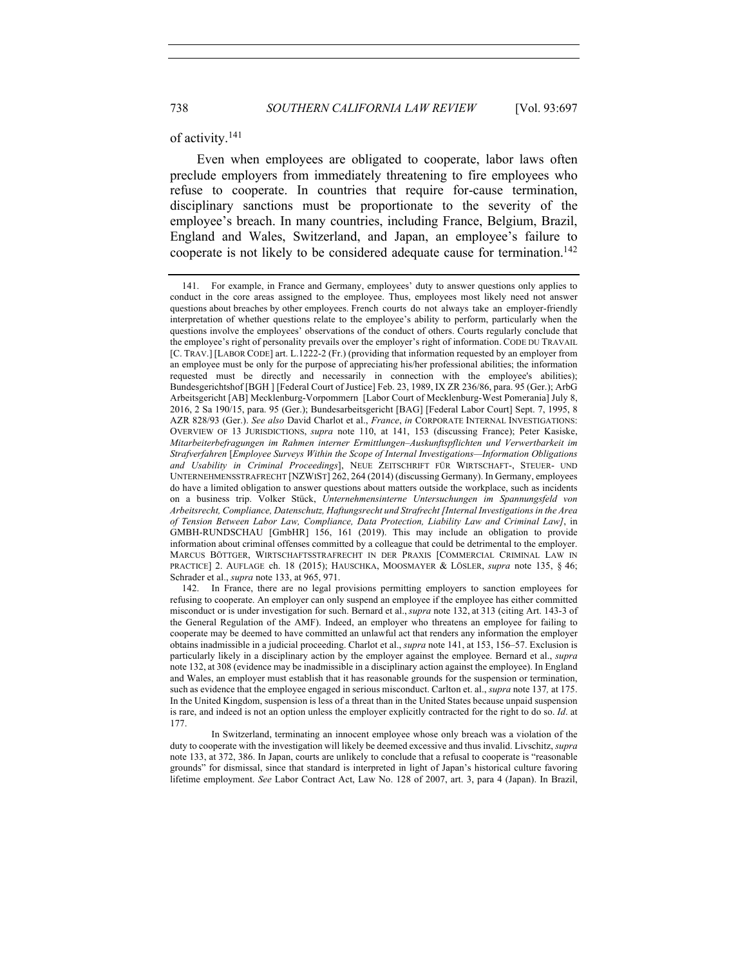#### of activity.<sup>141</sup>

Even when employees are obligated to cooperate, labor laws often preclude employers from immediately threatening to fire employees who refuse to cooperate. In countries that require for-cause termination, disciplinary sanctions must be proportionate to the severity of the employee's breach. In many countries, including France, Belgium, Brazil, England and Wales, Switzerland, and Japan, an employee's failure to cooperate is not likely to be considered adequate cause for termination.<sup>142</sup>

<sup>141.</sup> For example, in France and Germany, employees' duty to answer questions only applies to conduct in the core areas assigned to the employee. Thus, employees most likely need not answer questions about breaches by other employees. French courts do not always take an employer-friendly interpretation of whether questions relate to the employee's ability to perform, particularly when the questions involve the employees' observations of the conduct of others. Courts regularly conclude that the employee's right of personality prevails over the employer's right of information. CODE DU TRAVAIL [C. TRAV.] [LABOR CODE] art. L.1222-2 (Fr.) (providing that information requested by an employer from an employee must be only for the purpose of appreciating his/her professional abilities; the information requested must be directly and necessarily in connection with the employee's abilities); Bundesgerichtshof [BGH ] [Federal Court of Justice] Feb. 23, 1989, IX ZR 236/86, para. 95 (Ger.); ArbG Arbeitsgericht [AB] Mecklenburg-Vorpommern [Labor Court of Mecklenburg-West Pomerania] July 8, 2016, 2 Sa 190/15, para. 95 (Ger.); Bundesarbeitsgericht [BAG] [Federal Labor Court] Sept. 7, 1995, 8 AZR 828/93 (Ger.). *See also* David Charlot et al., *France*, *in* CORPORATE INTERNAL INVESTIGATIONS: OVERVIEW OF 13 JURISDICTIONS, *supra* note 110, at 141, 153 (discussing France); Peter Kasiske, *Mitarbeiterbefragungen im Rahmen interner Ermittlungen–Auskunftspflichten und Verwertbarkeit im Strafverfahren* [*Employee Surveys Within the Scope of Internal Investigations—Information Obligations and Usability in Criminal Proceedings*], NEUE ZEITSCHRIFT FÜR WIRTSCHAFT-, STEUER- UND UNTERNEHMENSSTRAFRECHT [NZWIST] 262, 264 (2014) (discussing Germany). In Germany, employees do have a limited obligation to answer questions about matters outside the workplace, such as incidents on a business trip. Volker Stück, *Unternehmensinterne Untersuchungen im Spannungsfeld von Arbeitsrecht, Compliance, Datenschutz, Haftungsrecht und Strafrecht [Internal Investigations in the Area of Tension Between Labor Law, Compliance, Data Protection, Liability Law and Criminal Law]*, in GMBH-RUNDSCHAU [GmbHR] 156, 161 (2019). This may include an obligation to provide information about criminal offenses committed by a colleague that could be detrimental to the employer. MARCUS BÖTTGER, WIRTSCHAFTSSTRAFRECHT IN DER PRAXIS [COMMERCIAL CRIMINAL LAW IN PRACTICE] 2. AUFLAGE ch. 18 (2015); HAUSCHKA, MOOSMAYER & LÖSLER, *supra* note 135, § 46; Schrader et al., *supra* note 133, at 965, 971.

<sup>142.</sup> In France, there are no legal provisions permitting employers to sanction employees for refusing to cooperate. An employer can only suspend an employee if the employee has either committed misconduct or is under investigation for such. Bernard et al., *supra* note 132, at 313 (citing Art. 143-3 of the General Regulation of the AMF). Indeed, an employer who threatens an employee for failing to cooperate may be deemed to have committed an unlawful act that renders any information the employer obtains inadmissible in a judicial proceeding. Charlot et al., *supra* note 141, at 153, 156–57. Exclusion is particularly likely in a disciplinary action by the employer against the employee. Bernard et al., *supra* note 132, at 308 (evidence may be inadmissible in a disciplinary action against the employee). In England and Wales, an employer must establish that it has reasonable grounds for the suspension or termination, such as evidence that the employee engaged in serious misconduct. Carlton et. al., *supra* note 137*,* at 175. In the United Kingdom, suspension is less of a threat than in the United States because unpaid suspension is rare, and indeed is not an option unless the employer explicitly contracted for the right to do so. *Id*. at 177.

In Switzerland, terminating an innocent employee whose only breach was a violation of the duty to cooperate with the investigation will likely be deemed excessive and thus invalid. Livschitz, *supra* note 133, at 372, 386. In Japan, courts are unlikely to conclude that a refusal to cooperate is "reasonable grounds" for dismissal, since that standard is interpreted in light of Japan's historical culture favoring lifetime employment. *See* Labor Contract Act, Law No. 128 of 2007, art. 3, para 4 (Japan). In Brazil,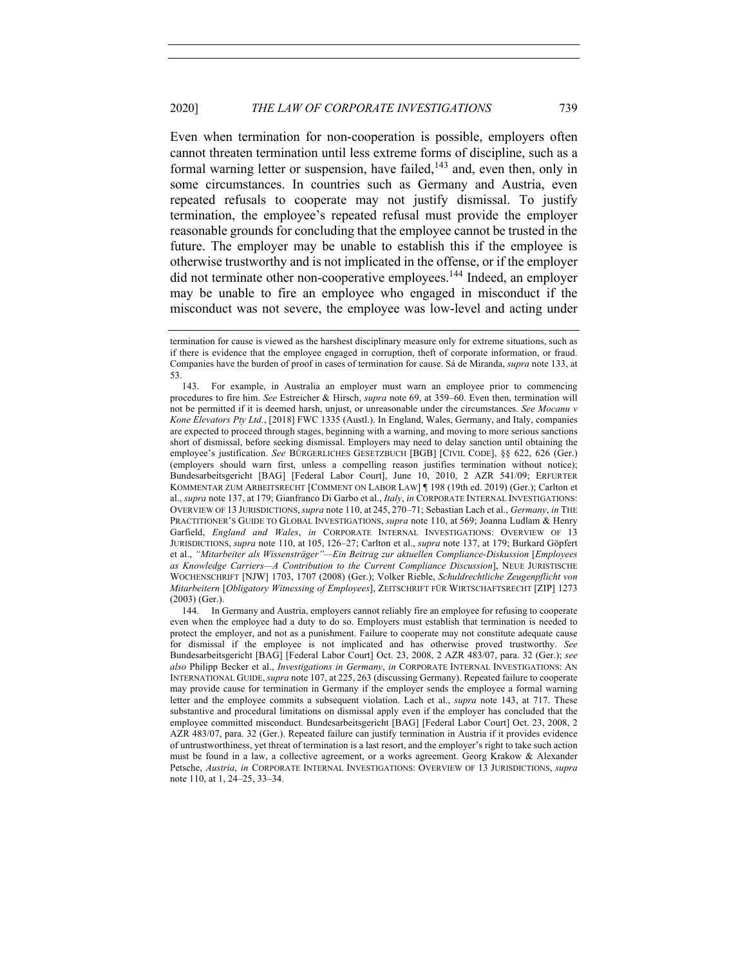Even when termination for non-cooperation is possible, employers often cannot threaten termination until less extreme forms of discipline, such as a formal warning letter or suspension, have failed, $143$  and, even then, only in some circumstances. In countries such as Germany and Austria, even repeated refusals to cooperate may not justify dismissal. To justify termination, the employee's repeated refusal must provide the employer reasonable grounds for concluding that the employee cannot be trusted in the future. The employer may be unable to establish this if the employee is otherwise trustworthy and is not implicated in the offense, or if the employer did not terminate other non-cooperative employees.<sup>144</sup> Indeed, an employer may be unable to fire an employee who engaged in misconduct if the misconduct was not severe, the employee was low-level and acting under

termination for cause is viewed as the harshest disciplinary measure only for extreme situations, such as if there is evidence that the employee engaged in corruption, theft of corporate information, or fraud. Companies have the burden of proof in cases of termination for cause. Sá de Miranda, *supra* note 133, at 53.

<sup>143.</sup> For example, in Australia an employer must warn an employee prior to commencing procedures to fire him. *See* Estreicher & Hirsch, *supra* note 69, at 359–60. Even then, termination will not be permitted if it is deemed harsh, unjust, or unreasonable under the circumstances. *See Mocanu v Kone Elevators Pty Ltd.*, [2018] FWC 1335 (Austl.). In England, Wales, Germany, and Italy, companies are expected to proceed through stages, beginning with a warning, and moving to more serious sanctions short of dismissal, before seeking dismissal. Employers may need to delay sanction until obtaining the employee's justification. *See* BÜRGERLICHES GESETZBUCH [BGB] [CIVIL CODE], §§ 622, 626 (Ger.) (employers should warn first, unless a compelling reason justifies termination without notice); Bundesarbeitsgericht [BAG] [Federal Labor Court], June 10, 2010, 2 AZR 541/09; ERFURTER KOMMENTAR ZUM ARBEITSRECHT [COMMENT ON LABOR LAW] ¶ 198 (19th ed. 2019) (Ger.); Carlton et al., *supra* note 137, at 179; Gianfranco Di Garbo et al., *Italy*, *in* CORPORATE INTERNAL INVESTIGATIONS: OVERVIEW OF 13 JURISDICTIONS,*supra* note 110, at 245, 270–71; Sebastian Lach et al., *Germany*, *in* THE PRACTITIONER'S GUIDE TO GLOBAL INVESTIGATIONS, *supra* note 110, at 569; Joanna Ludlam & Henry Garfield, *England and Wales*, *in* CORPORATE INTERNAL INVESTIGATIONS: OVERVIEW OF 13 JURISDICTIONS, *supra* note 110, at 105, 126–27; Carlton et al., *supra* note 137, at 179; Burkard Göpfert et al., *"Mitarbeiter als Wissensträger"—Ein Beitrag zur aktuellen Compliance-Diskussion* [*Employees as Knowledge Carriers—A Contribution to the Current Compliance Discussion*], NEUE JURISTISCHE WOCHENSCHRIFT [NJW] 1703, 1707 (2008) (Ger.); Volker Rieble, *Schuldrechtliche Zeugenpflicht von Mitarbeitern* [*Obligatory Witnessing of Employees*], ZEITSCHRIFT FÜR WIRTSCHAFTSRECHT [ZIP] 1273 (2003) (Ger.).

<sup>144.</sup> In Germany and Austria, employers cannot reliably fire an employee for refusing to cooperate even when the employee had a duty to do so. Employers must establish that termination is needed to protect the employer, and not as a punishment. Failure to cooperate may not constitute adequate cause for dismissal if the employee is not implicated and has otherwise proved trustworthy. *See* Bundesarbeitsgericht [BAG] [Federal Labor Court] Oct. 23, 2008, 2 AZR 483/07, para. 32 (Ger.); *see also* Philipp Becker et al., *Investigations in Germany*, *in* CORPORATE INTERNAL INVESTIGATIONS: AN INTERNATIONAL GUIDE,*supra* note 107, at 225, 263 (discussing Germany). Repeated failure to cooperate may provide cause for termination in Germany if the employer sends the employee a formal warning letter and the employee commits a subsequent violation. Lach et al., *supra* note 143, at 717. These substantive and procedural limitations on dismissal apply even if the employer has concluded that the employee committed misconduct. Bundesarbeitsgericht [BAG] [Federal Labor Court] Oct. 23, 2008, 2 AZR 483/07, para. 32 (Ger.). Repeated failure can justify termination in Austria if it provides evidence of untrustworthiness, yet threat of termination is a last resort, and the employer's right to take such action must be found in a law, a collective agreement, or a works agreement. Georg Krakow & Alexander Petsche, *Austria*, *in* CORPORATE INTERNAL INVESTIGATIONS: OVERVIEW OF 13 JURISDICTIONS, *supra* note 110, at 1, 24–25, 33–34.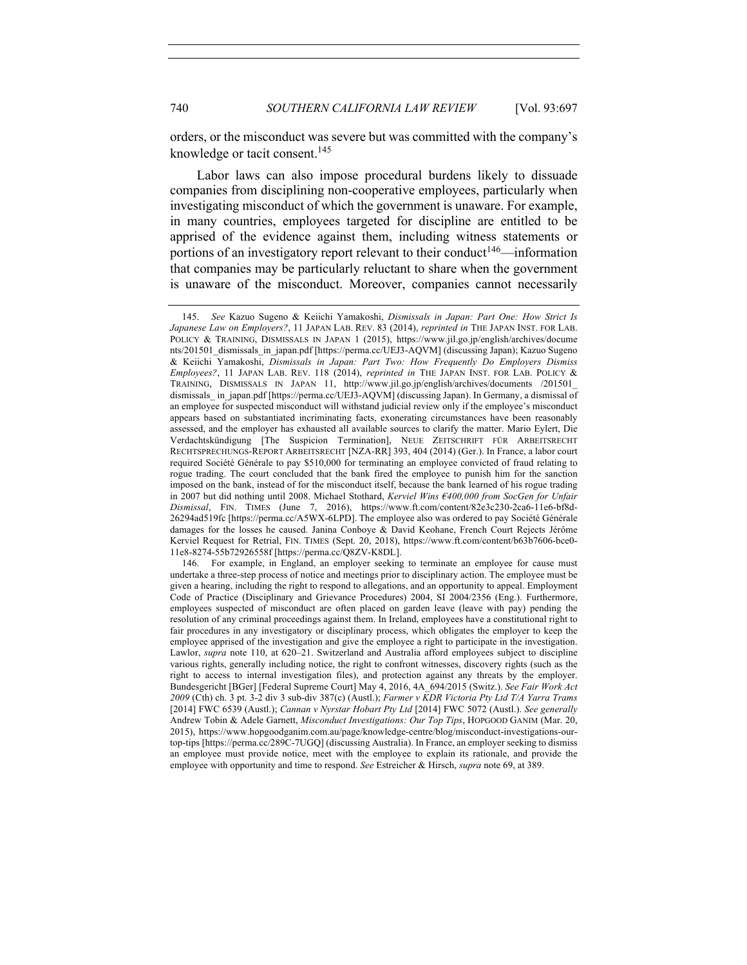orders, or the misconduct was severe but was committed with the company's knowledge or tacit consent.<sup>145</sup>

Labor laws can also impose procedural burdens likely to dissuade companies from disciplining non-cooperative employees, particularly when investigating misconduct of which the government is unaware. For example, in many countries, employees targeted for discipline are entitled to be apprised of the evidence against them, including witness statements or portions of an investigatory report relevant to their conduct<sup>146</sup>—information that companies may be particularly reluctant to share when the government is unaware of the misconduct. Moreover, companies cannot necessarily

<sup>145.</sup> *See* Kazuo Sugeno & Keiichi Yamakoshi, *Dismissals in Japan: Part One: How Strict Is Japanese Law on Employers?*, 11 JAPAN LAB. REV. 83 (2014), *reprinted in* THE JAPAN INST. FOR LAB. POLICY & TRAINING, DISMISSALS IN JAPAN 1 (2015), https://www.jil.go.jp/english/archives/docume nts/201501\_dismissals\_in\_japan.pdf [https://perma.cc/UEJ3-AQVM] (discussing Japan); Kazuo Sugeno & Keiichi Yamakoshi, *Dismissals in Japan: Part Two: How Frequently Do Employers Dismiss Employees?*, 11 JAPAN LAB. REV. 118 (2014), *reprinted in* THE JAPAN INST. FOR LAB. POLICY & TRAINING, DISMISSALS IN JAPAN 11, http://www.jil.go.jp/english/archives/documents /201501\_ dismissals\_ in\_japan.pdf [https://perma.cc/UEJ3-AQVM] (discussing Japan). In Germany, a dismissal of an employee for suspected misconduct will withstand judicial review only if the employee's misconduct appears based on substantiated incriminating facts, exonerating circumstances have been reasonably assessed, and the employer has exhausted all available sources to clarify the matter. Mario Eylert, Die Verdachtskündigung [The Suspicion Termination], NEUE ZEITSCHRIFT FÜR ARBEITSRECHT RECHTSPRECHUNGS-REPORT ARBEITSRECHT [NZA-RR] 393, 404 (2014) (Ger.). In France, a labor court required Société Générale to pay \$510,000 for terminating an employee convicted of fraud relating to rogue trading. The court concluded that the bank fired the employee to punish him for the sanction imposed on the bank, instead of for the misconduct itself, because the bank learned of his rogue trading in 2007 but did nothing until 2008. Michael Stothard, *Kerviel Wins €400,000 from SocGen for Unfair Dismissal*, FIN. TIMES (June 7, 2016), https://www.ft.com/content/82e3c230-2ca6-11e6-bf8d-26294ad519fc [https://perma.cc/A5WX-6LPD]. The employee also was ordered to pay Société Générale damages for the losses he caused. Janina Conboye & David Keohane, French Court Rejects Jérôme Kerviel Request for Retrial, FIN. TIMES (Sept. 20, 2018), https://www.ft.com/content/b63b7606-bce0- 11e8-8274-55b72926558f [https://perma.cc/Q8ZV-K8DL].

<sup>146.</sup> For example, in England, an employer seeking to terminate an employee for cause must undertake a three-step process of notice and meetings prior to disciplinary action. The employee must be given a hearing, including the right to respond to allegations, and an opportunity to appeal. Employment Code of Practice (Disciplinary and Grievance Procedures) 2004, SI 2004/2356 (Eng.). Furthermore, employees suspected of misconduct are often placed on garden leave (leave with pay) pending the resolution of any criminal proceedings against them. In Ireland, employees have a constitutional right to fair procedures in any investigatory or disciplinary process, which obligates the employer to keep the employee apprised of the investigation and give the employee a right to participate in the investigation. Lawlor, *supra* note 110, at 620–21. Switzerland and Australia afford employees subject to discipline various rights, generally including notice, the right to confront witnesses, discovery rights (such as the right to access to internal investigation files), and protection against any threats by the employer. Bundesgericht [BGer] [Federal Supreme Court] May 4, 2016, 4A\_694/2015 (Switz.). *See Fair Work Act 2009* (Cth) ch. 3 pt. 3-2 div 3 sub-div 387(c) (Austl.); *Farmer v KDR Victoria Pty Ltd T/A Yarra Trams* [2014] FWC 6539 (Austl.); *Cannan v Nyrstar Hobart Pty Ltd* [2014] FWC 5072 (Austl.). *See generally* Andrew Tobin & Adele Garnett, *Misconduct Investigations: Our Top Tips*, HOPGOOD GANIM (Mar. 20, 2015), https://www.hopgoodganim.com.au/page/knowledge-centre/blog/misconduct-investigations-ourtop-tips [https://perma.cc/289C-7UGQ] (discussing Australia). In France, an employer seeking to dismiss an employee must provide notice, meet with the employee to explain its rationale, and provide the employee with opportunity and time to respond. *See* Estreicher & Hirsch, *supra* note 69, at 389.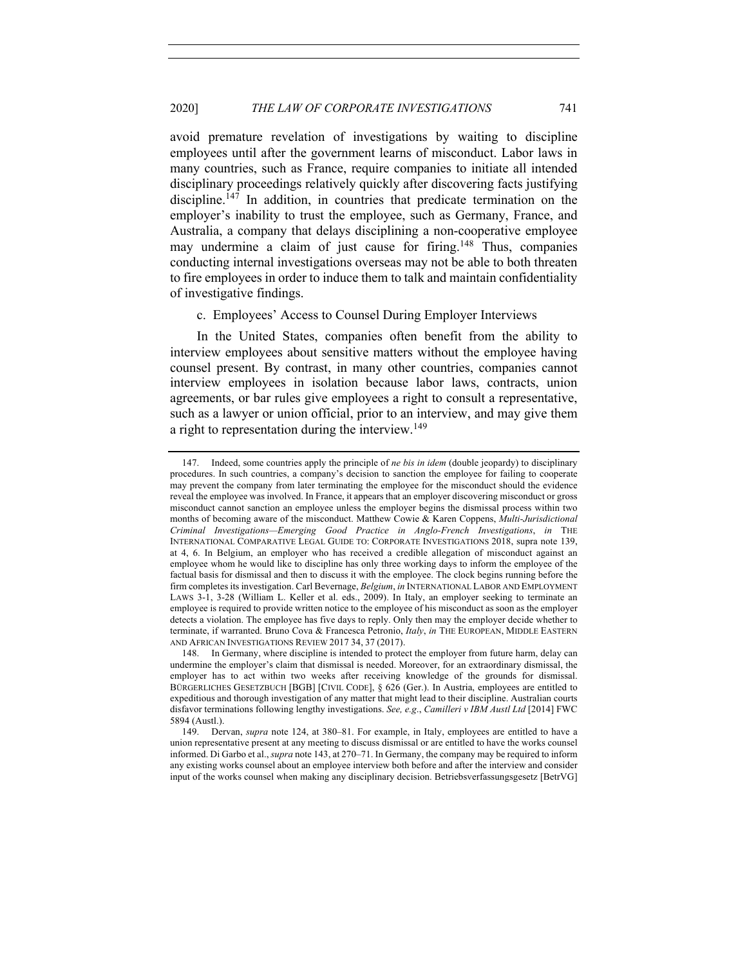avoid premature revelation of investigations by waiting to discipline employees until after the government learns of misconduct. Labor laws in many countries, such as France, require companies to initiate all intended disciplinary proceedings relatively quickly after discovering facts justifying discipline.<sup>147</sup> In addition, in countries that predicate termination on the employer's inability to trust the employee, such as Germany, France, and Australia, a company that delays disciplining a non-cooperative employee may undermine a claim of just cause for firing.<sup>148</sup> Thus, companies conducting internal investigations overseas may not be able to both threaten to fire employees in order to induce them to talk and maintain confidentiality of investigative findings.

c. Employees' Access to Counsel During Employer Interviews

In the United States, companies often benefit from the ability to interview employees about sensitive matters without the employee having counsel present. By contrast, in many other countries, companies cannot interview employees in isolation because labor laws, contracts, union agreements, or bar rules give employees a right to consult a representative, such as a lawyer or union official, prior to an interview, and may give them a right to representation during the interview.<sup>149</sup>

<sup>147.</sup> Indeed, some countries apply the principle of *ne bis in idem* (double jeopardy) to disciplinary procedures. In such countries, a company's decision to sanction the employee for failing to cooperate may prevent the company from later terminating the employee for the misconduct should the evidence reveal the employee was involved. In France, it appears that an employer discovering misconduct or gross misconduct cannot sanction an employee unless the employer begins the dismissal process within two months of becoming aware of the misconduct. Matthew Cowie & Karen Coppens, *Multi-Jurisdictional Criminal Investigations—Emerging Good Practice in Anglo-French Investigations*, *in* THE INTERNATIONAL COMPARATIVE LEGAL GUIDE TO: CORPORATE INVESTIGATIONS 2018, supra note 139, at 4, 6. In Belgium, an employer who has received a credible allegation of misconduct against an employee whom he would like to discipline has only three working days to inform the employee of the factual basis for dismissal and then to discuss it with the employee. The clock begins running before the firm completes its investigation. Carl Bevernage, *Belgium*, *in* INTERNATIONAL LABOR AND EMPLOYMENT LAWS 3-1, 3-28 (William L. Keller et al. eds., 2009). In Italy, an employer seeking to terminate an employee is required to provide written notice to the employee of his misconduct as soon as the employer detects a violation. The employee has five days to reply. Only then may the employer decide whether to terminate, if warranted. Bruno Cova & Francesca Petronio, *Italy*, *in* THE EUROPEAN, MIDDLE EASTERN AND AFRICAN INVESTIGATIONS REVIEW 2017 34, 37 (2017).

<sup>148.</sup> In Germany, where discipline is intended to protect the employer from future harm, delay can undermine the employer's claim that dismissal is needed. Moreover, for an extraordinary dismissal, the employer has to act within two weeks after receiving knowledge of the grounds for dismissal. BÜRGERLICHES GESETZBUCH [BGB] [CIVIL CODE], § 626 (Ger.). In Austria, employees are entitled to expeditious and thorough investigation of any matter that might lead to their discipline. Australian courts disfavor terminations following lengthy investigations. *See, e.g*., *Camilleri v IBM Austl Ltd* [2014] FWC 5894 (Austl.).

<sup>149.</sup> Dervan, *supra* note 124, at 380–81. For example, in Italy, employees are entitled to have a union representative present at any meeting to discuss dismissal or are entitled to have the works counsel informed. Di Garbo et al., *supra* note 143, at 270–71. In Germany, the company may be required to inform any existing works counsel about an employee interview both before and after the interview and consider input of the works counsel when making any disciplinary decision. Betriebsverfassungsgesetz [BetrVG]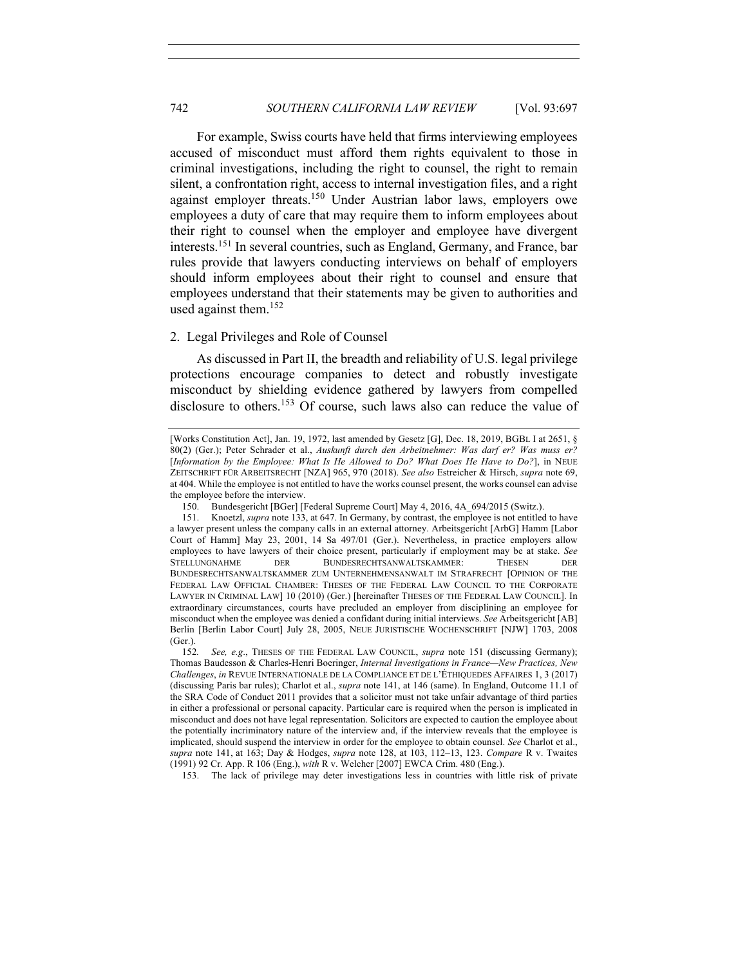For example, Swiss courts have held that firms interviewing employees accused of misconduct must afford them rights equivalent to those in criminal investigations, including the right to counsel, the right to remain silent, a confrontation right, access to internal investigation files, and a right against employer threats.150 Under Austrian labor laws, employers owe employees a duty of care that may require them to inform employees about their right to counsel when the employer and employee have divergent interests.151 In several countries, such as England, Germany, and France, bar rules provide that lawyers conducting interviews on behalf of employers should inform employees about their right to counsel and ensure that employees understand that their statements may be given to authorities and used against them.152

#### 2. Legal Privileges and Role of Counsel

As discussed in Part II, the breadth and reliability of U.S. legal privilege protections encourage companies to detect and robustly investigate misconduct by shielding evidence gathered by lawyers from compelled disclosure to others.<sup>153</sup> Of course, such laws also can reduce the value of

153. The lack of privilege may deter investigations less in countries with little risk of private

<sup>[</sup>Works Constitution Act], Jan. 19, 1972, last amended by Gesetz [G], Dec. 18, 2019, BGBL I at 2651, § 80(2) (Ger.); Peter Schrader et al., *Auskunft durch den Arbeitnehmer: Was darf er? Was muss er?* [*Information by the Employee: What Is He Allowed to Do? What Does He Have to Do?*], in NEUE ZEITSCHRIFT FÜR ARBEITSRECHT [NZA] 965, 970 (2018). *See also* Estreicher & Hirsch, *supra* note 69, at 404. While the employee is not entitled to have the works counsel present, the works counsel can advise the employee before the interview.

<sup>150.</sup> Bundesgericht [BGer] [Federal Supreme Court] May 4, 2016, 4A\_694/2015 (Switz.).

<sup>151.</sup> Knoetzl, *supra* note 133, at 647. In Germany, by contrast, the employee is not entitled to have a lawyer present unless the company calls in an external attorney. Arbeitsgericht [ArbG] Hamm [Labor Court of Hamm] May 23, 2001, 14 Sa 497/01 (Ger.). Nevertheless, in practice employers allow employees to have lawyers of their choice present, particularly if employment may be at stake. *See* STELLUNGNAHME DER BUNDESRECHTSANWALTSKAMMER: THESEN DER BUNDESRECHTSANWALTSKAMMER ZUM UNTERNEHMENSANWALT IM STRAFRECHT [OPINION OF THE FEDERAL LAW OFFICIAL CHAMBER: THESES OF THE FEDERAL LAW COUNCIL TO THE CORPORATE LAWYER IN CRIMINAL LAW] 10 (2010) (Ger.) [hereinafter THESES OF THE FEDERAL LAW COUNCIL]. In extraordinary circumstances, courts have precluded an employer from disciplining an employee for misconduct when the employee was denied a confidant during initial interviews. *See* Arbeitsgericht [AB] Berlin [Berlin Labor Court] July 28, 2005, NEUE JURISTISCHE WOCHENSCHRIFT [NJW] 1703, 2008 (Ger.).

<sup>152</sup>*. See, e.g*., THESES OF THE FEDERAL LAW COUNCIL, *supra* note 151 (discussing Germany); Thomas Baudesson & Charles-Henri Boeringer, *Internal Investigations in France—New Practices, New Challenges*, *in* REVUE INTERNATIONALE DE LA COMPLIANCE ET DE L'ÉTHIQUEDES AFFAIRES 1, 3 (2017) (discussing Paris bar rules); Charlot et al., *supra* note 141, at 146 (same). In England, Outcome 11.1 of the SRA Code of Conduct 2011 provides that a solicitor must not take unfair advantage of third parties in either a professional or personal capacity. Particular care is required when the person is implicated in misconduct and does not have legal representation. Solicitors are expected to caution the employee about the potentially incriminatory nature of the interview and, if the interview reveals that the employee is implicated, should suspend the interview in order for the employee to obtain counsel. *See* Charlot et al., *supra* note 141, at 163; Day & Hodges, *supra* note 128, at 103, 112–13, 123. *Compare* R v. Twaites (1991) 92 Cr. App. R 106 (Eng.), *with* R v. Welcher [2007] EWCA Crim. 480 (Eng.).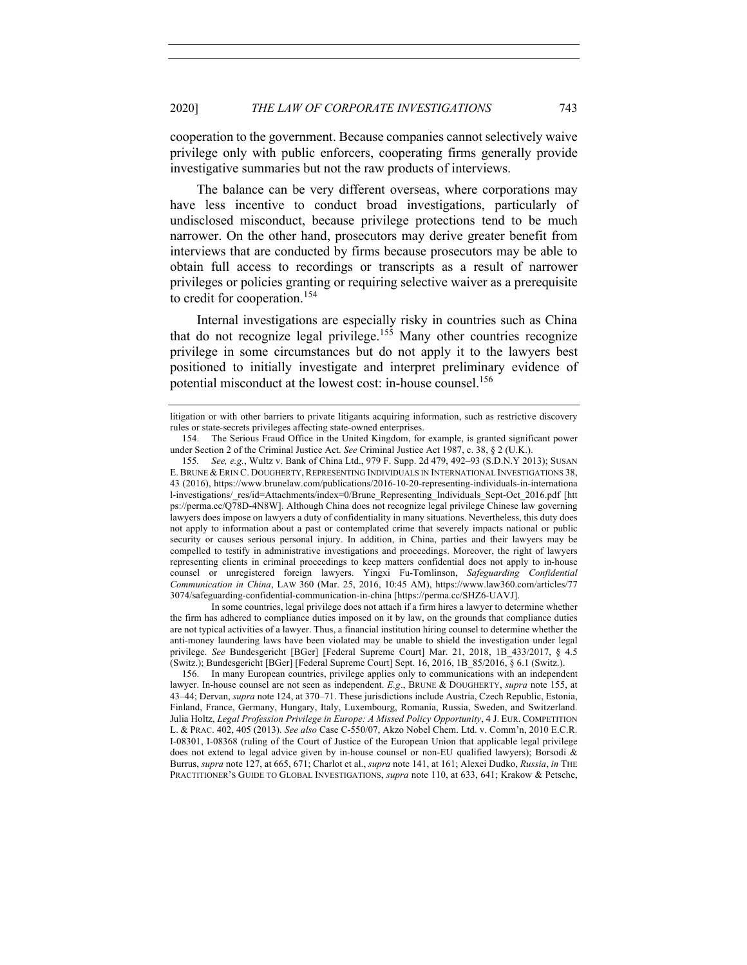cooperation to the government. Because companies cannot selectively waive privilege only with public enforcers, cooperating firms generally provide investigative summaries but not the raw products of interviews.

The balance can be very different overseas, where corporations may have less incentive to conduct broad investigations, particularly of undisclosed misconduct, because privilege protections tend to be much narrower. On the other hand, prosecutors may derive greater benefit from interviews that are conducted by firms because prosecutors may be able to obtain full access to recordings or transcripts as a result of narrower privileges or policies granting or requiring selective waiver as a prerequisite to credit for cooperation.<sup>154</sup>

Internal investigations are especially risky in countries such as China that do not recognize legal privilege.<sup>155</sup> Many other countries recognize privilege in some circumstances but do not apply it to the lawyers best positioned to initially investigate and interpret preliminary evidence of potential misconduct at the lowest cost: in-house counsel.156

In some countries, legal privilege does not attach if a firm hires a lawyer to determine whether the firm has adhered to compliance duties imposed on it by law, on the grounds that compliance duties are not typical activities of a lawyer. Thus, a financial institution hiring counsel to determine whether the anti-money laundering laws have been violated may be unable to shield the investigation under legal privilege. *See* Bundesgericht [BGer] [Federal Supreme Court] Mar. 21, 2018, 1B\_433/2017, § 4.5 (Switz.); Bundesgericht [BGer] [Federal Supreme Court] Sept. 16, 2016, 1B  $85/2016$ ,  $§ 6.1$  (Switz.).

156. In many European countries, privilege applies only to communications with an independent lawyer. In-house counsel are not seen as independent. *E.g*., BRUNE & DOUGHERTY, *supra* note 155, at 43–44; Dervan, *supra* note 124, at 370–71. These jurisdictions include Austria, Czech Republic, Estonia, Finland, France, Germany, Hungary, Italy, Luxembourg, Romania, Russia, Sweden, and Switzerland. Julia Holtz, *Legal Profession Privilege in Europe: A Missed Policy Opportunity*, 4 J. EUR. COMPETITION L. & PRAC. 402, 405 (2013)*. See also* Case C-550/07, Akzo Nobel Chem. Ltd. v. Comm'n, 2010 E.C.R. I-08301, I-08368 (ruling of the Court of Justice of the European Union that applicable legal privilege does not extend to legal advice given by in-house counsel or non-EU qualified lawyers); Borsodi & Burrus, *supra* note 127, at 665, 671; Charlot et al., *supra* note 141, at 161; Alexei Dudko, *Russia*, *in* THE PRACTITIONER'S GUIDE TO GLOBAL INVESTIGATIONS, *supra* note 110, at 633, 641; Krakow & Petsche,

litigation or with other barriers to private litigants acquiring information, such as restrictive discovery rules or state-secrets privileges affecting state-owned enterprises.

<sup>154.</sup> The Serious Fraud Office in the United Kingdom, for example, is granted significant power under Section 2 of the Criminal Justice Act. *See* Criminal Justice Act 1987, c. 38, § 2 (U.K.).

<sup>155</sup>*. See, e.g.*, Wultz v. Bank of China Ltd., 979 F. Supp. 2d 479, 492–93 (S.D.N.Y 2013); SUSAN E. BRUNE & ERIN C. DOUGHERTY, REPRESENTING INDIVIDUALS IN INTERNATIONAL INVESTIGATIONS 38, 43 (2016), https://www.brunelaw.com/publications/2016-10-20-representing-individuals-in-internationa l-investigations/\_res/id=Attachments/index=0/Brune\_Representing\_Individuals\_Sept-Oct\_2016.pdf [htt ps://perma.cc/Q78D-4N8W]. Although China does not recognize legal privilege Chinese law governing lawyers does impose on lawyers a duty of confidentiality in many situations. Nevertheless, this duty does not apply to information about a past or contemplated crime that severely impacts national or public security or causes serious personal injury. In addition, in China, parties and their lawyers may be compelled to testify in administrative investigations and proceedings. Moreover, the right of lawyers representing clients in criminal proceedings to keep matters confidential does not apply to in-house counsel or unregistered foreign lawyers. Yingxi Fu-Tomlinson, *Safeguarding Confidential Communication in China*, LAW 360 (Mar. 25, 2016, 10:45 AM), https://www.law360.com/articles/77 3074/safeguarding-confidential-communication-in-china [https://perma.cc/SHZ6-UAVJ].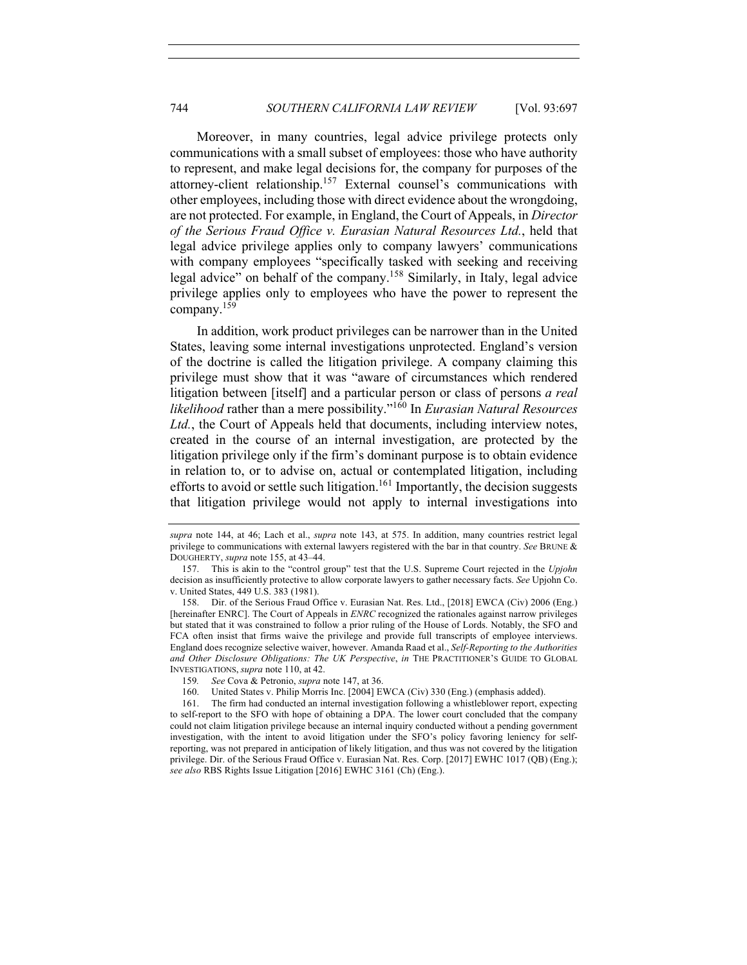Moreover, in many countries, legal advice privilege protects only communications with a small subset of employees: those who have authority to represent, and make legal decisions for, the company for purposes of the attorney-client relationship.157 External counsel's communications with other employees, including those with direct evidence about the wrongdoing, are not protected. For example, in England, the Court of Appeals, in *Director of the Serious Fraud Office v. Eurasian Natural Resources Ltd.*, held that legal advice privilege applies only to company lawyers' communications with company employees "specifically tasked with seeking and receiving legal advice" on behalf of the company.<sup>158</sup> Similarly, in Italy, legal advice privilege applies only to employees who have the power to represent the company.159

In addition, work product privileges can be narrower than in the United States, leaving some internal investigations unprotected. England's version of the doctrine is called the litigation privilege. A company claiming this privilege must show that it was "aware of circumstances which rendered litigation between [itself] and a particular person or class of persons *a real likelihood* rather than a mere possibility."<sup>160</sup> In *Eurasian Natural Resources* Ltd., the Court of Appeals held that documents, including interview notes, created in the course of an internal investigation, are protected by the litigation privilege only if the firm's dominant purpose is to obtain evidence in relation to, or to advise on, actual or contemplated litigation, including efforts to avoid or settle such litigation.<sup>161</sup> Importantly, the decision suggests that litigation privilege would not apply to internal investigations into

*supra* note 144, at 46; Lach et al., *supra* note 143, at 575. In addition, many countries restrict legal privilege to communications with external lawyers registered with the bar in that country. *See* BRUNE & DOUGHERTY, *supra* note 155, at 43–44.

<sup>157.</sup> This is akin to the "control group" test that the U.S. Supreme Court rejected in the *Upjohn*  decision as insufficiently protective to allow corporate lawyers to gather necessary facts. *See* Upjohn Co. v. United States, 449 U.S. 383 (1981).

<sup>158.</sup> Dir. of the Serious Fraud Office v. Eurasian Nat. Res. Ltd., [2018] EWCA (Civ) 2006 (Eng.) [hereinafter ENRC]. The Court of Appeals in *ENRC* recognized the rationales against narrow privileges but stated that it was constrained to follow a prior ruling of the House of Lords. Notably, the SFO and FCA often insist that firms waive the privilege and provide full transcripts of employee interviews. England does recognize selective waiver, however. Amanda Raad et al., *Self-Reporting to the Authorities and Other Disclosure Obligations: The UK Perspective*, *in* THE PRACTITIONER'S GUIDE TO GLOBAL INVESTIGATIONS, *supra* note 110, at 42.

<sup>159</sup>*. See* Cova & Petronio, *supra* note 147, at 36.

<sup>160.</sup> United States v. Philip Morris Inc. [2004] EWCA (Civ) 330 (Eng.) (emphasis added).

<sup>161.</sup> The firm had conducted an internal investigation following a whistleblower report, expecting to self-report to the SFO with hope of obtaining a DPA. The lower court concluded that the company could not claim litigation privilege because an internal inquiry conducted without a pending government investigation, with the intent to avoid litigation under the SFO's policy favoring leniency for selfreporting, was not prepared in anticipation of likely litigation, and thus was not covered by the litigation privilege. Dir. of the Serious Fraud Office v. Eurasian Nat. Res. Corp. [2017] EWHC 1017 (QB) (Eng.); *see also* RBS Rights Issue Litigation [2016] EWHC 3161 (Ch) (Eng.).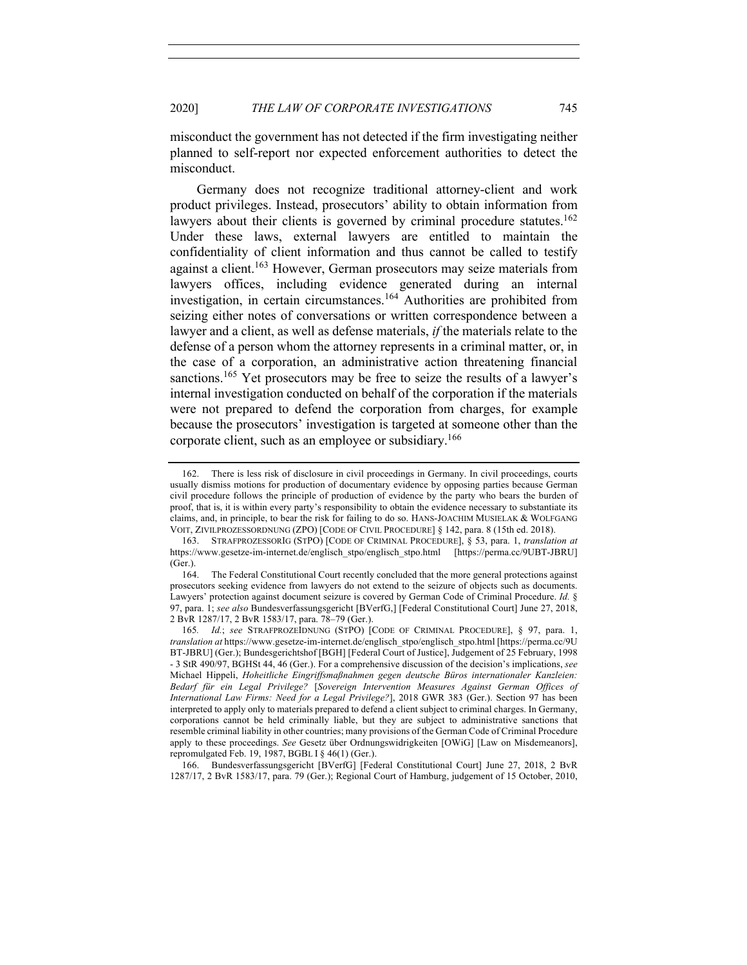misconduct the government has not detected if the firm investigating neither planned to self-report nor expected enforcement authorities to detect the misconduct.

Germany does not recognize traditional attorney-client and work product privileges. Instead, prosecutors' ability to obtain information from lawyers about their clients is governed by criminal procedure statutes.<sup>162</sup> Under these laws, external lawyers are entitled to maintain the confidentiality of client information and thus cannot be called to testify against a client.<sup>163</sup> However, German prosecutors may seize materials from lawyers offices, including evidence generated during an internal investigation, in certain circumstances.<sup>164</sup> Authorities are prohibited from seizing either notes of conversations or written correspondence between a lawyer and a client, as well as defense materials, *if* the materials relate to the defense of a person whom the attorney represents in a criminal matter, or, in the case of a corporation, an administrative action threatening financial sanctions.<sup>165</sup> Yet prosecutors may be free to seize the results of a lawyer's internal investigation conducted on behalf of the corporation if the materials were not prepared to defend the corporation from charges, for example because the prosecutors' investigation is targeted at someone other than the corporate client, such as an employee or subsidiary.<sup>166</sup>

166. Bundesverfassungsgericht [BVerfG] [Federal Constitutional Court] June 27, 2018, 2 BvR 1287/17, 2 BvR 1583/17, para. 79 (Ger.); Regional Court of Hamburg, judgement of 15 October, 2010,

<sup>162.</sup> There is less risk of disclosure in civil proceedings in Germany. In civil proceedings, courts usually dismiss motions for production of documentary evidence by opposing parties because German civil procedure follows the principle of production of evidence by the party who bears the burden of proof, that is, it is within every party's responsibility to obtain the evidence necessary to substantiate its claims, and, in principle, to bear the risk for failing to do so. HANS-JOACHIM MUSIELAK & WOLFGANG VOIT, ZIVILPROZESSORDNUNG (ZPO) [CODE OF CIVIL PROCEDURE] § 142, para. 8 (15th ed. 2018).

<sup>163.</sup> STRAFPROZESSORIG (STPO) [CODE OF CRIMINAL PROCEDURE], § 53, para. 1, *translation at* https://www.gesetze-im-internet.de/englisch\_stpo/englisch\_stpo.html [https://perma.cc/9UBT-JBRU] (Ger.).

<sup>164.</sup> The Federal Constitutional Court recently concluded that the more general protections against prosecutors seeking evidence from lawyers do not extend to the seizure of objects such as documents. Lawyers' protection against document seizure is covered by German Code of Criminal Procedure. *Id.* § 97, para. 1; *see also* Bundesverfassungsgericht [BVerfG,] [Federal Constitutional Court] June 27, 2018, 2 BvR 1287/17, 2 BvR 1583/17, para. 78–79 (Ger.).

<sup>165</sup>*. Id.*; *see* STRAFPROZEIDNUNG (STPO) [CODE OF CRIMINAL PROCEDURE], § 97, para. 1, *translation at* https://www.gesetze-im-internet.de/englisch\_stpo/englisch\_stpo.html [https://perma.cc/9U BT-JBRU] (Ger.); Bundesgerichtshof [BGH] [Federal Court of Justice], Judgement of 25 February, 1998 - 3 StR 490/97, BGHSt 44, 46 (Ger.). For a comprehensive discussion of the decision's implications, *see*  Michael Hippeli, *Hoheitliche Eingriffsmaßnahmen gegen deutsche Büros internationaler Kanzleien: Bedarf für ein Legal Privilege?* [*Sovereign Intervention Measures Against German Offices of International Law Firms: Need for a Legal Privilege?*], 2018 GWR 383 (Ger.). Section 97 has been interpreted to apply only to materials prepared to defend a client subject to criminal charges. In Germany, corporations cannot be held criminally liable, but they are subject to administrative sanctions that resemble criminal liability in other countries; many provisions of the German Code of Criminal Procedure apply to these proceedings. *See* Gesetz über Ordnungswidrigkeiten [OWiG] [Law on Misdemeanors], repromulgated Feb. 19, 1987, BGBL I  $\frac{8}{46(1)}$  (Ger.).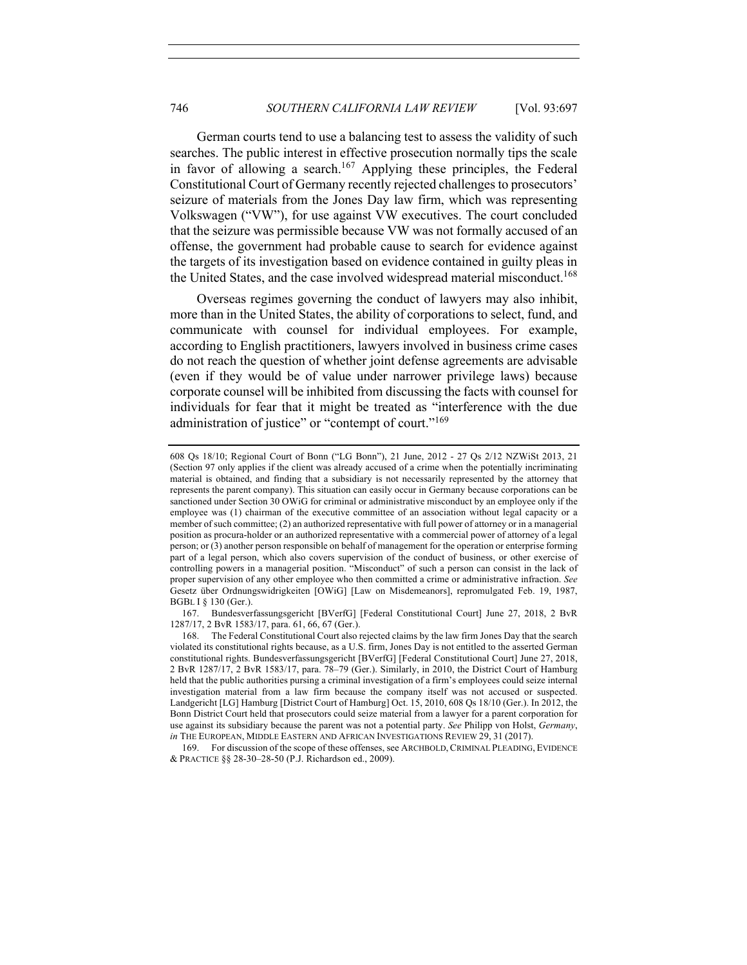German courts tend to use a balancing test to assess the validity of such searches. The public interest in effective prosecution normally tips the scale in favor of allowing a search.<sup>167</sup> Applying these principles, the Federal Constitutional Court of Germany recently rejected challenges to prosecutors' seizure of materials from the Jones Day law firm, which was representing Volkswagen ("VW"), for use against VW executives. The court concluded that the seizure was permissible because VW was not formally accused of an offense, the government had probable cause to search for evidence against the targets of its investigation based on evidence contained in guilty pleas in the United States, and the case involved widespread material misconduct.<sup>168</sup>

Overseas regimes governing the conduct of lawyers may also inhibit, more than in the United States, the ability of corporations to select, fund, and communicate with counsel for individual employees. For example, according to English practitioners, lawyers involved in business crime cases do not reach the question of whether joint defense agreements are advisable (even if they would be of value under narrower privilege laws) because corporate counsel will be inhibited from discussing the facts with counsel for individuals for fear that it might be treated as "interference with the due administration of justice" or "contempt of court."<sup>169</sup>

<sup>608</sup> Qs 18/10; Regional Court of Bonn ("LG Bonn"), 21 June, 2012 - 27 Qs 2/12 NZWiSt 2013, 21 (Section 97 only applies if the client was already accused of a crime when the potentially incriminating material is obtained, and finding that a subsidiary is not necessarily represented by the attorney that represents the parent company). This situation can easily occur in Germany because corporations can be sanctioned under Section 30 OWiG for criminal or administrative misconduct by an employee only if the employee was (1) chairman of the executive committee of an association without legal capacity or a member of such committee; (2) an authorized representative with full power of attorney or in a managerial position as procura-holder or an authorized representative with a commercial power of attorney of a legal person; or (3) another person responsible on behalf of management for the operation or enterprise forming part of a legal person, which also covers supervision of the conduct of business, or other exercise of controlling powers in a managerial position. "Misconduct" of such a person can consist in the lack of proper supervision of any other employee who then committed a crime or administrative infraction. *See* Gesetz über Ordnungswidrigkeiten [OWiG] [Law on Misdemeanors], repromulgated Feb. 19, 1987, BGBL I § 130 (Ger.).

<sup>167.</sup> Bundesverfassungsgericht [BVerfG] [Federal Constitutional Court] June 27, 2018, 2 BvR 1287/17, 2 BvR 1583/17, para. 61, 66, 67 (Ger.).

<sup>168.</sup> The Federal Constitutional Court also rejected claims by the law firm Jones Day that the search violated its constitutional rights because, as a U.S. firm, Jones Day is not entitled to the asserted German constitutional rights. Bundesverfassungsgericht [BVerfG] [Federal Constitutional Court] June 27, 2018, 2 BvR 1287/17, 2 BvR 1583/17, para. 78–79 (Ger.). Similarly, in 2010, the District Court of Hamburg held that the public authorities pursing a criminal investigation of a firm's employees could seize internal investigation material from a law firm because the company itself was not accused or suspected. Landgericht [LG] Hamburg [District Court of Hamburg] Oct. 15, 2010, 608 Qs 18/10 (Ger.). In 2012, the Bonn District Court held that prosecutors could seize material from a lawyer for a parent corporation for use against its subsidiary because the parent was not a potential party. *See* Philipp von Holst, *Germany*, *in* THE EUROPEAN, MIDDLE EASTERN AND AFRICAN INVESTIGATIONS REVIEW 29, 31 (2017).

<sup>169.</sup> For discussion of the scope of these offenses, see ARCHBOLD, CRIMINAL PLEADING, EVIDENCE & PRACTICE §§ 28-30–28-50 (P.J. Richardson ed., 2009).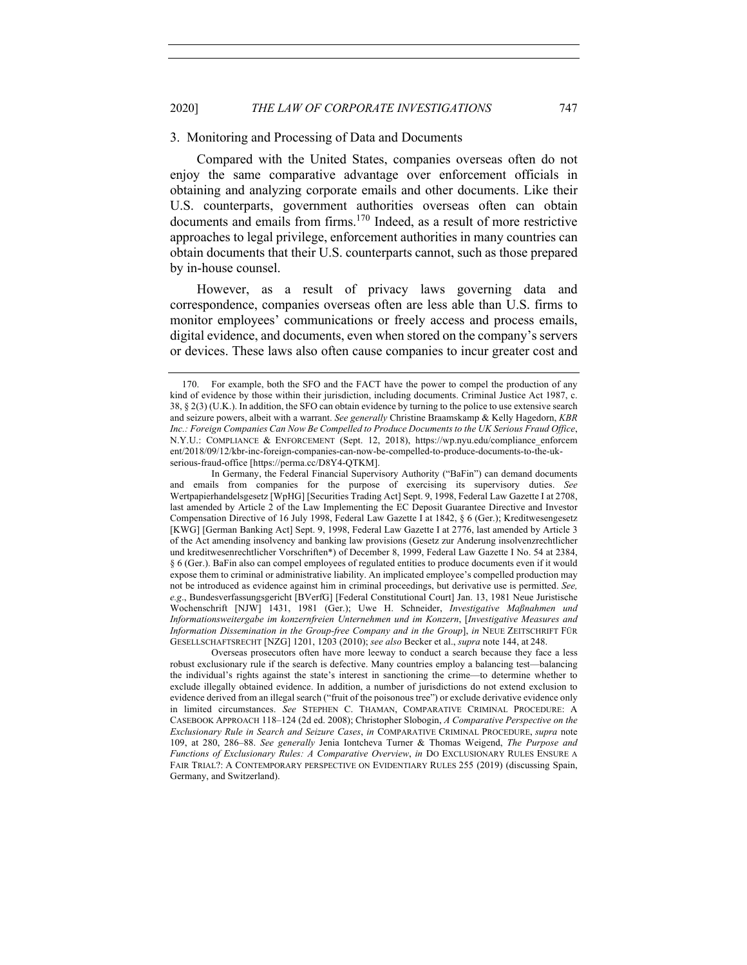#### 3. Monitoring and Processing of Data and Documents

Compared with the United States, companies overseas often do not enjoy the same comparative advantage over enforcement officials in obtaining and analyzing corporate emails and other documents. Like their U.S. counterparts, government authorities overseas often can obtain documents and emails from firms.<sup>170</sup> Indeed, as a result of more restrictive approaches to legal privilege, enforcement authorities in many countries can obtain documents that their U.S. counterparts cannot, such as those prepared by in-house counsel.

However, as a result of privacy laws governing data and correspondence, companies overseas often are less able than U.S. firms to monitor employees' communications or freely access and process emails, digital evidence, and documents, even when stored on the company's servers or devices. These laws also often cause companies to incur greater cost and

<sup>170.</sup> For example, both the SFO and the FACT have the power to compel the production of any kind of evidence by those within their jurisdiction, including documents. Criminal Justice Act 1987, c. 38, § 2(3) (U.K.). In addition, the SFO can obtain evidence by turning to the police to use extensive search and seizure powers, albeit with a warrant. *See generally* Christine Braamskamp & Kelly Hagedorn, *KBR Inc.: Foreign Companies Can Now Be Compelled to Produce Documents to the UK Serious Fraud Office*, N.Y.U.: COMPLIANCE & ENFORCEMENT (Sept. 12, 2018), https://wp.nyu.edu/compliance\_enforcem ent/2018/09/12/kbr-inc-foreign-companies-can-now-be-compelled-to-produce-documents-to-the-ukserious-fraud-office [https://perma.cc/D8Y4-QTKM].

In Germany, the Federal Financial Supervisory Authority ("BaFin") can demand documents and emails from companies for the purpose of exercising its supervisory duties. *See*  Wertpapierhandelsgesetz [WpHG] [Securities Trading Act] Sept. 9, 1998, Federal Law Gazette I at 2708, last amended by Article 2 of the Law Implementing the EC Deposit Guarantee Directive and Investor Compensation Directive of 16 July 1998, Federal Law Gazette I at 1842, § 6 (Ger.); Kreditwesengesetz [KWG] [German Banking Act] Sept. 9, 1998, Federal Law Gazette I at 2776, last amended by Article 3 of the Act amending insolvency and banking law provisions (Gesetz zur Anderung insolvenzrechtlicher und kreditwesenrechtlicher Vorschriften\*) of December 8, 1999, Federal Law Gazette I No. 54 at 2384, § 6 (Ger.). BaFin also can compel employees of regulated entities to produce documents even if it would expose them to criminal or administrative liability. An implicated employee's compelled production may not be introduced as evidence against him in criminal proceedings, but derivative use is permitted. *See, e.g*., Bundesverfassungsgericht [BVerfG] [Federal Constitutional Court] Jan. 13, 1981 Neue Juristische Wochenschrift [NJW] 1431, 1981 (Ger.); Uwe H. Schneider, *Investigative Maßnahmen und Informationsweitergabe im konzernfreien Unternehmen und im Konzern*, [*Investigative Measures and Information Dissemination in the Group-free Company and in the Group*], *in* NEUE ZEITSCHRIFT FÜR GESELLSCHAFTSRECHT [NZG] 1201, 1203 (2010); *see also* Becker et al., *supra* note 144, at 248.

Overseas prosecutors often have more leeway to conduct a search because they face a less robust exclusionary rule if the search is defective. Many countries employ a balancing test—balancing the individual's rights against the state's interest in sanctioning the crime—to determine whether to exclude illegally obtained evidence. In addition, a number of jurisdictions do not extend exclusion to evidence derived from an illegal search ("fruit of the poisonous tree") or exclude derivative evidence only in limited circumstances. *See* STEPHEN C. THAMAN, COMPARATIVE CRIMINAL PROCEDURE: A CASEBOOK APPROACH 118–124 (2d ed. 2008); Christopher Slobogin, *A Comparative Perspective on the Exclusionary Rule in Search and Seizure Cases*, *in* COMPARATIVE CRIMINAL PROCEDURE, *supra* note 109, at 280, 286–88. *See generally* Jenia Iontcheva Turner & Thomas Weigend, *The Purpose and Functions of Exclusionary Rules: A Comparative Overview*, *in* DO EXCLUSIONARY RULES ENSURE A FAIR TRIAL?: A CONTEMPORARY PERSPECTIVE ON EVIDENTIARY RULES 255 (2019) (discussing Spain, Germany, and Switzerland).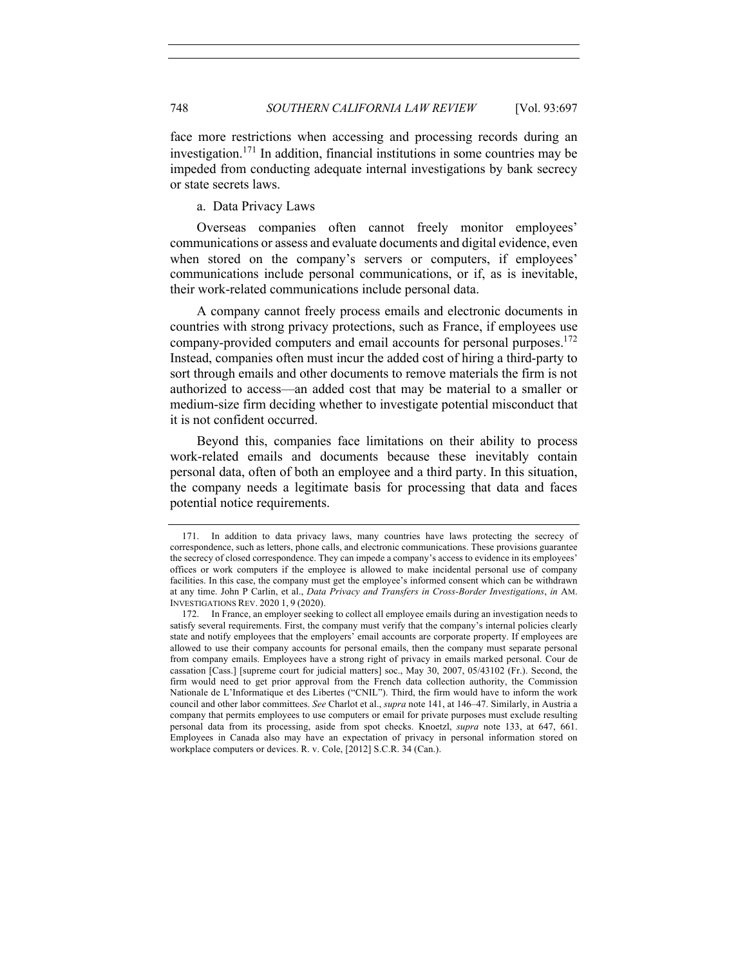face more restrictions when accessing and processing records during an investigation.171 In addition, financial institutions in some countries may be impeded from conducting adequate internal investigations by bank secrecy or state secrets laws.

a. Data Privacy Laws

Overseas companies often cannot freely monitor employees' communications or assess and evaluate documents and digital evidence, even when stored on the company's servers or computers, if employees' communications include personal communications, or if, as is inevitable, their work-related communications include personal data.

A company cannot freely process emails and electronic documents in countries with strong privacy protections, such as France, if employees use company-provided computers and email accounts for personal purposes.<sup>172</sup> Instead, companies often must incur the added cost of hiring a third-party to sort through emails and other documents to remove materials the firm is not authorized to access—an added cost that may be material to a smaller or medium-size firm deciding whether to investigate potential misconduct that it is not confident occurred.

Beyond this, companies face limitations on their ability to process work-related emails and documents because these inevitably contain personal data, often of both an employee and a third party. In this situation, the company needs a legitimate basis for processing that data and faces potential notice requirements.

<sup>171.</sup> In addition to data privacy laws, many countries have laws protecting the secrecy of correspondence, such as letters, phone calls, and electronic communications. These provisions guarantee the secrecy of closed correspondence. They can impede a company's access to evidence in its employees' offices or work computers if the employee is allowed to make incidental personal use of company facilities. In this case, the company must get the employee's informed consent which can be withdrawn at any time. John P Carlin, et al., *Data Privacy and Transfers in Cross-Border Investigations*, *in* AM. INVESTIGATIONS REV. 2020 1, 9 (2020).

<sup>172.</sup> In France, an employer seeking to collect all employee emails during an investigation needs to satisfy several requirements. First, the company must verify that the company's internal policies clearly state and notify employees that the employers' email accounts are corporate property. If employees are allowed to use their company accounts for personal emails, then the company must separate personal from company emails. Employees have a strong right of privacy in emails marked personal. Cour de cassation [Cass.] [supreme court for judicial matters] soc., May 30, 2007, 05/43102 (Fr.). Second, the firm would need to get prior approval from the French data collection authority, the Commission Nationale de L'Informatique et des Libertes ("CNIL"). Third, the firm would have to inform the work council and other labor committees. *See* Charlot et al., *supra* note 141, at 146–47. Similarly, in Austria a company that permits employees to use computers or email for private purposes must exclude resulting personal data from its processing, aside from spot checks. Knoetzl, *supra* note 133, at 647, 661. Employees in Canada also may have an expectation of privacy in personal information stored on workplace computers or devices. R. v. Cole, [2012] S.C.R. 34 (Can.).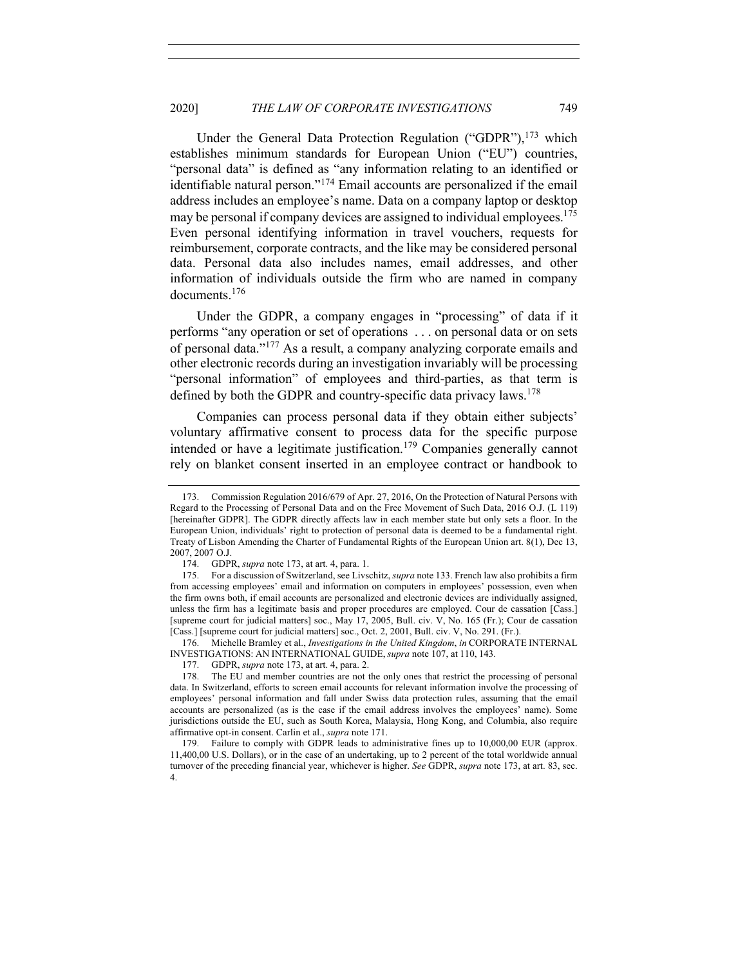Under the General Data Protection Regulation ("GDPR"),<sup>173</sup> which establishes minimum standards for European Union ("EU") countries, "personal data" is defined as "any information relating to an identified or identifiable natural person."<sup>174</sup> Email accounts are personalized if the email address includes an employee's name. Data on a company laptop or desktop may be personal if company devices are assigned to individual employees.<sup>175</sup> Even personal identifying information in travel vouchers, requests for reimbursement, corporate contracts, and the like may be considered personal data. Personal data also includes names, email addresses, and other information of individuals outside the firm who are named in company documents.<sup>176</sup>

Under the GDPR, a company engages in "processing" of data if it performs "any operation or set of operations . . . on personal data or on sets of personal data."<sup>177</sup> As a result, a company analyzing corporate emails and other electronic records during an investigation invariably will be processing "personal information" of employees and third-parties, as that term is defined by both the GDPR and country-specific data privacy laws.<sup>178</sup>

Companies can process personal data if they obtain either subjects' voluntary affirmative consent to process data for the specific purpose intended or have a legitimate justification.<sup>179</sup> Companies generally cannot rely on blanket consent inserted in an employee contract or handbook to

176. Michelle Bramley et al., *Investigations in the United Kingdom*, *in* CORPORATE INTERNAL INVESTIGATIONS: AN INTERNATIONAL GUIDE, *supra* note 107, at 110, 143.

<sup>173.</sup> Commission Regulation 2016/679 of Apr. 27, 2016, On the Protection of Natural Persons with Regard to the Processing of Personal Data and on the Free Movement of Such Data, 2016 O.J. (L 119) [hereinafter GDPR]. The GDPR directly affects law in each member state but only sets a floor. In the European Union, individuals' right to protection of personal data is deemed to be a fundamental right. Treaty of Lisbon Amending the Charter of Fundamental Rights of the European Union art. 8(1), Dec 13, 2007, 2007 O.J.

<sup>174.</sup> GDPR, *supra* note 173, at art. 4, para. 1.

<sup>175.</sup> For a discussion of Switzerland, see Livschitz, *supra* note 133. French law also prohibits a firm from accessing employees' email and information on computers in employees' possession, even when the firm owns both, if email accounts are personalized and electronic devices are individually assigned, unless the firm has a legitimate basis and proper procedures are employed. Cour de cassation [Cass.] [supreme court for judicial matters] soc., May 17, 2005, Bull. civ. V, No. 165 (Fr.); Cour de cassation [Cass.] [supreme court for judicial matters] soc., Oct. 2, 2001, Bull. civ. V, No. 291. (Fr.).

<sup>177.</sup> GDPR, *supra* note 173, at art. 4, para. 2.

<sup>178.</sup> The EU and member countries are not the only ones that restrict the processing of personal data. In Switzerland, efforts to screen email accounts for relevant information involve the processing of employees' personal information and fall under Swiss data protection rules, assuming that the email accounts are personalized (as is the case if the email address involves the employees' name). Some jurisdictions outside the EU, such as South Korea, Malaysia, Hong Kong, and Columbia, also require affirmative opt-in consent. Carlin et al., *supra* note 171.

<sup>179.</sup> Failure to comply with GDPR leads to administrative fines up to 10,000,00 EUR (approx. 11,400,00 U.S. Dollars), or in the case of an undertaking, up to 2 percent of the total worldwide annual turnover of the preceding financial year, whichever is higher. *See* GDPR, *supra* note 173, at art. 83, sec. 4.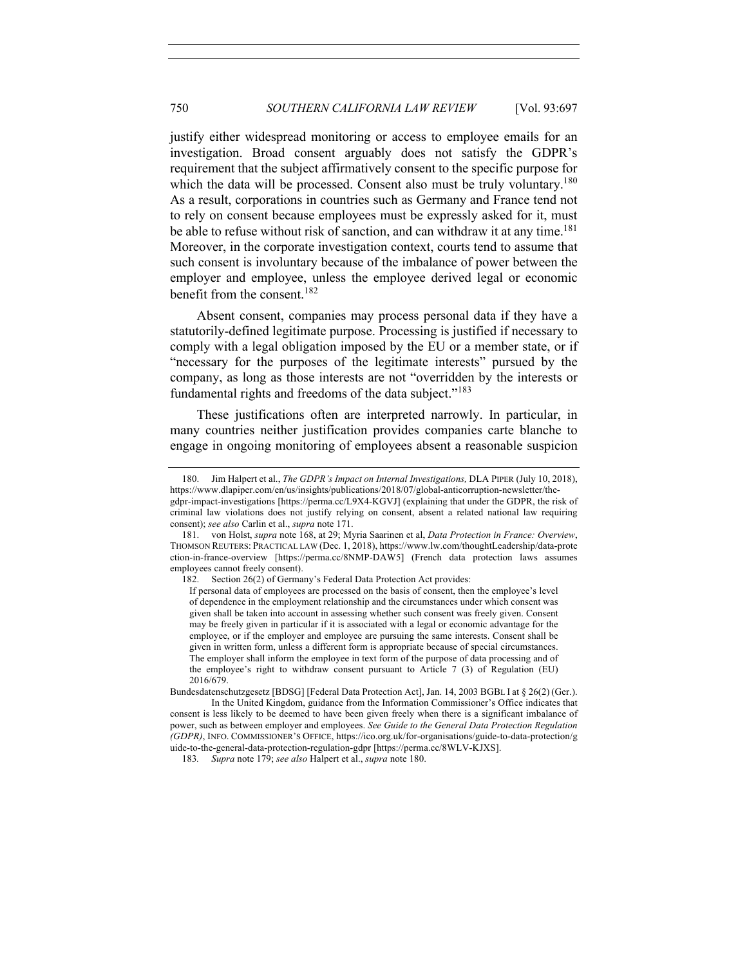justify either widespread monitoring or access to employee emails for an investigation. Broad consent arguably does not satisfy the GDPR's requirement that the subject affirmatively consent to the specific purpose for which the data will be processed. Consent also must be truly voluntary.<sup>180</sup> As a result, corporations in countries such as Germany and France tend not to rely on consent because employees must be expressly asked for it, must be able to refuse without risk of sanction, and can withdraw it at any time.<sup>181</sup> Moreover, in the corporate investigation context, courts tend to assume that such consent is involuntary because of the imbalance of power between the employer and employee, unless the employee derived legal or economic benefit from the consent.182

Absent consent, companies may process personal data if they have a statutorily-defined legitimate purpose. Processing is justified if necessary to comply with a legal obligation imposed by the EU or a member state, or if "necessary for the purposes of the legitimate interests" pursued by the company, as long as those interests are not "overridden by the interests or fundamental rights and freedoms of the data subject."<sup>183</sup>

These justifications often are interpreted narrowly. In particular, in many countries neither justification provides companies carte blanche to engage in ongoing monitoring of employees absent a reasonable suspicion

<sup>180.</sup> Jim Halpert et al., *The GDPR's Impact on Internal Investigations,* DLA PIPER (July 10, 2018), https://www.dlapiper.com/en/us/insights/publications/2018/07/global-anticorruption-newsletter/the-

gdpr-impact-investigations [https://perma.cc/L9X4-KGVJ] (explaining that under the GDPR, the risk of criminal law violations does not justify relying on consent, absent a related national law requiring consent); *see also* Carlin et al., *supra* note 171.

<sup>181.</sup> von Holst, *supra* note 168, at 29; Myria Saarinen et al, *Data Protection in France: Overview*, THOMSON REUTERS: PRACTICAL LAW (Dec. 1, 2018), https://www.lw.com/thoughtLeadership/data-prote ction-in-france-overview [https://perma.cc/8NMP-DAW5] (French data protection laws assumes employees cannot freely consent).

<sup>182.</sup> Section 26(2) of Germany's Federal Data Protection Act provides:

If personal data of employees are processed on the basis of consent, then the employee's level of dependence in the employment relationship and the circumstances under which consent was given shall be taken into account in assessing whether such consent was freely given. Consent may be freely given in particular if it is associated with a legal or economic advantage for the employee, or if the employer and employee are pursuing the same interests. Consent shall be given in written form, unless a different form is appropriate because of special circumstances. The employer shall inform the employee in text form of the purpose of data processing and of the employee's right to withdraw consent pursuant to Article 7 (3) of Regulation (EU) 2016/679.

Bundesdatenschutzgesetz [BDSG] [Federal Data Protection Act], Jan. 14, 2003 BGBL I at § 26(2) (Ger.). In the United Kingdom, guidance from the Information Commissioner's Office indicates that consent is less likely to be deemed to have been given freely when there is a significant imbalance of power, such as between employer and employees. *See Guide to the General Data Protection Regulation (GDPR)*, INFO. COMMISSIONER'S OFFICE, https://ico.org.uk/for-organisations/guide-to-data-protection/g uide-to-the-general-data-protection-regulation-gdpr [https://perma.cc/8WLV-KJXS].

<sup>183</sup>*. Supra* note 179; *see also* Halpert et al., *supra* note 180.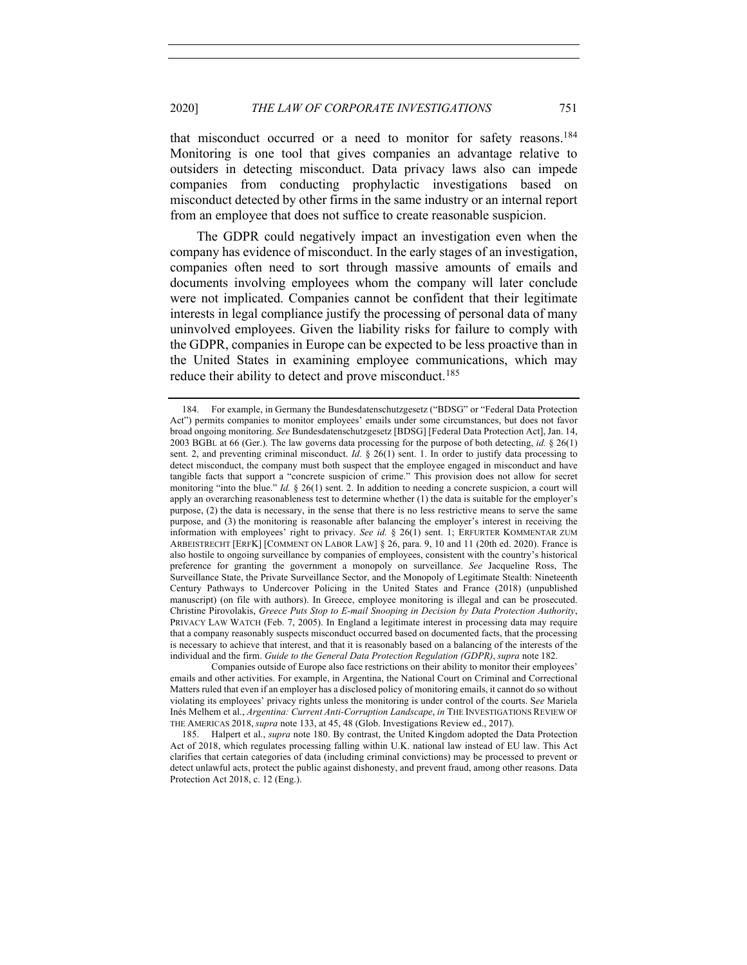that misconduct occurred or a need to monitor for safety reasons.<sup>184</sup> Monitoring is one tool that gives companies an advantage relative to outsiders in detecting misconduct. Data privacy laws also can impede companies from conducting prophylactic investigations based on misconduct detected by other firms in the same industry or an internal report from an employee that does not suffice to create reasonable suspicion.

The GDPR could negatively impact an investigation even when the company has evidence of misconduct. In the early stages of an investigation, companies often need to sort through massive amounts of emails and documents involving employees whom the company will later conclude were not implicated. Companies cannot be confident that their legitimate interests in legal compliance justify the processing of personal data of many uninvolved employees. Given the liability risks for failure to comply with the GDPR, companies in Europe can be expected to be less proactive than in the United States in examining employee communications, which may reduce their ability to detect and prove misconduct.<sup>185</sup>

<sup>184.</sup> For example, in Germany the Bundesdatenschutzgesetz ("BDSG" or "Federal Data Protection Act") permits companies to monitor employees' emails under some circumstances, but does not favor broad ongoing monitoring. *See* Bundesdatenschutzgesetz [BDSG] [Federal Data Protection Act], Jan. 14, 2003 BGBL at 66 (Ger.). The law governs data processing for the purpose of both detecting, *id.* § 26(1) sent. 2, and preventing criminal misconduct. *Id.*  $\S$  26(1) sent. 1. In order to justify data processing to detect misconduct, the company must both suspect that the employee engaged in misconduct and have tangible facts that support a "concrete suspicion of crime." This provision does not allow for secret monitoring "into the blue." *Id.* § 26(1) sent. 2. In addition to needing a concrete suspicion, a court will apply an overarching reasonableness test to determine whether (1) the data is suitable for the employer's purpose, (2) the data is necessary, in the sense that there is no less restrictive means to serve the same purpose, and (3) the monitoring is reasonable after balancing the employer's interest in receiving the information with employees' right to privacy. *See id.* § 26(1) sent. 1; ERFURTER KOMMENTAR ZUM ARBEISTRECHT [ERFK] [COMMENT ON LABOR LAW] § 26, para. 9, 10 and 11 (20th ed. 2020). France is also hostile to ongoing surveillance by companies of employees, consistent with the country's historical preference for granting the government a monopoly on surveillance. *See* Jacqueline Ross, The Surveillance State, the Private Surveillance Sector, and the Monopoly of Legitimate Stealth: Nineteenth Century Pathways to Undercover Policing in the United States and France (2018) (unpublished manuscript) (on file with authors). In Greece, employee monitoring is illegal and can be prosecuted. Christine Pirovolakis, *Greece Puts Stop to E-mail Snooping in Decision by Data Protection Authority*, PRIVACY LAW WATCH (Feb. 7, 2005). In England a legitimate interest in processing data may require that a company reasonably suspects misconduct occurred based on documented facts, that the processing is necessary to achieve that interest, and that it is reasonably based on a balancing of the interests of the individual and the firm. *Guide to the General Data Protection Regulation (GDPR)*, *supra* note 182.

Companies outside of Europe also face restrictions on their ability to monitor their employees' emails and other activities. For example, in Argentina, the National Court on Criminal and Correctional Matters ruled that even if an employer has a disclosed policy of monitoring emails, it cannot do so without violating its employees' privacy rights unless the monitoring is under control of the courts. S*ee* Mariela Inés Melhem et al., *Argentina: Current Anti-Corruption Landscape*, *in* THE INVESTIGATIONS REVIEW OF THE AMERICAS 2018, *supra* note 133, at 45, 48 (Glob. Investigations Review ed., 2017).

<sup>185.</sup> Halpert et al., *supra* note 180. By contrast, the United Kingdom adopted the Data Protection Act of 2018, which regulates processing falling within U.K. national law instead of EU law. This Act clarifies that certain categories of data (including criminal convictions) may be processed to prevent or detect unlawful acts, protect the public against dishonesty, and prevent fraud, among other reasons. Data Protection Act 2018, c. 12 (Eng.).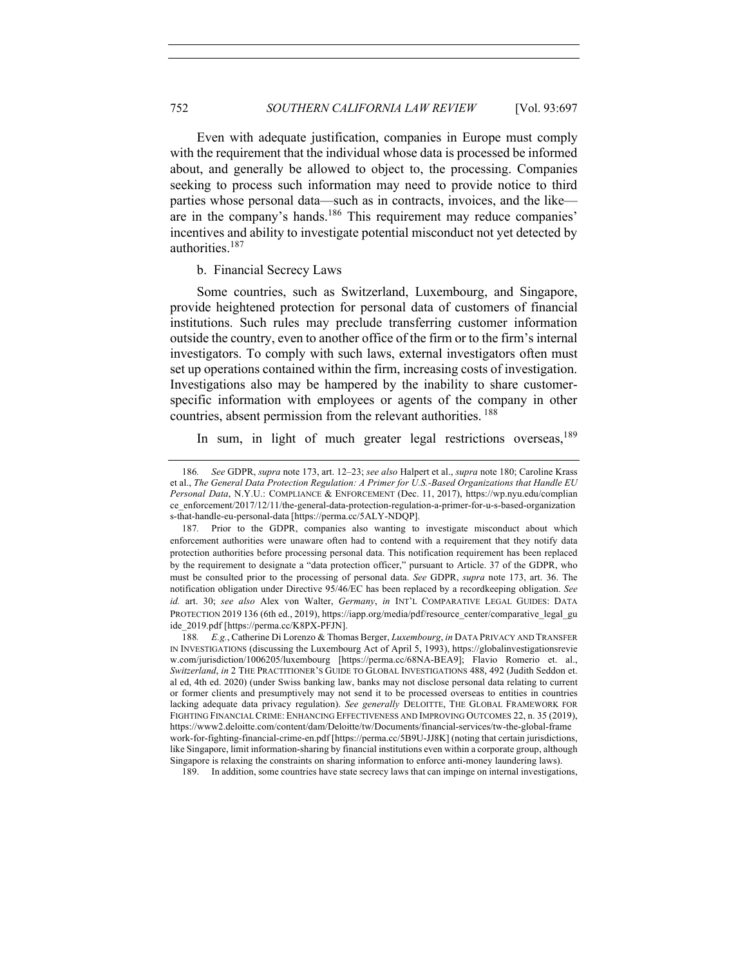Even with adequate justification, companies in Europe must comply with the requirement that the individual whose data is processed be informed about, and generally be allowed to object to, the processing. Companies seeking to process such information may need to provide notice to third parties whose personal data—such as in contracts, invoices, and the like are in the company's hands.<sup>186</sup> This requirement may reduce companies' incentives and ability to investigate potential misconduct not yet detected by authorities.187

#### b. Financial Secrecy Laws

Some countries, such as Switzerland, Luxembourg, and Singapore, provide heightened protection for personal data of customers of financial institutions. Such rules may preclude transferring customer information outside the country, even to another office of the firm or to the firm's internal investigators. To comply with such laws, external investigators often must set up operations contained within the firm, increasing costs of investigation. Investigations also may be hampered by the inability to share customerspecific information with employees or agents of the company in other countries, absent permission from the relevant authorities. <sup>188</sup>

In sum, in light of much greater legal restrictions overseas,  $189$ 

189. In addition, some countries have state secrecy laws that can impinge on internal investigations,

<sup>186</sup>*. See* GDPR, *supra* note 173, art. 12–23; *see also* Halpert et al., *supra* note 180; Caroline Krass et al., *The General Data Protection Regulation: A Primer for U.S.-Based Organizations that Handle EU Personal Data*, N.Y.U.: COMPLIANCE & ENFORCEMENT (Dec. 11, 2017), https://wp.nyu.edu/complian ce\_enforcement/2017/12/11/the-general-data-protection-regulation-a-primer-for-u-s-based-organization s-that-handle-eu-personal-data [https://perma.cc/5ALY-NDQP].

<sup>187</sup>*.* Prior to the GDPR, companies also wanting to investigate misconduct about which enforcement authorities were unaware often had to contend with a requirement that they notify data protection authorities before processing personal data. This notification requirement has been replaced by the requirement to designate a "data protection officer," pursuant to Article. 37 of the GDPR, who must be consulted prior to the processing of personal data. *See* GDPR, *supra* note 173, art. 36. The notification obligation under Directive 95/46/EC has been replaced by a recordkeeping obligation. *See id.* art. 30; *see also* Alex von Walter, *Germany*, *in* INT'L COMPARATIVE LEGAL GUIDES: DATA PROTECTION 2019 136 (6th ed., 2019), https://iapp.org/media/pdf/resource\_center/comparative\_legal\_gu ide\_2019.pdf [https://perma.cc/K8PX-PFJN].

<sup>188</sup>*. E.g.*, Catherine Di Lorenzo & Thomas Berger, *Luxembourg*, *in* DATA PRIVACY AND TRANSFER IN INVESTIGATIONS (discussing the Luxembourg Act of April 5, 1993), https://globalinvestigationsrevie w.com/jurisdiction/1006205/luxembourg [https://perma.cc/68NA-BEA9]; Flavio Romerio et. al., *Switzerland*, *in* 2 THE PRACTITIONER'S GUIDE TO GLOBAL INVESTIGATIONS 488, 492 (Judith Seddon et. al ed, 4th ed. 2020) (under Swiss banking law, banks may not disclose personal data relating to current or former clients and presumptively may not send it to be processed overseas to entities in countries lacking adequate data privacy regulation). *See generally* DELOITTE, THE GLOBAL FRAMEWORK FOR FIGHTING FINANCIAL CRIME: ENHANCING EFFECTIVENESS AND IMPROVING OUTCOMES 22, n. 35 (2019), https://www2.deloitte.com/content/dam/Deloitte/tw/Documents/financial-services/tw-the-global-frame work-for-fighting-financial-crime-en.pdf [https://perma.cc/5B9U-JJ8K] (noting that certain jurisdictions, like Singapore, limit information-sharing by financial institutions even within a corporate group, although Singapore is relaxing the constraints on sharing information to enforce anti-money laundering laws).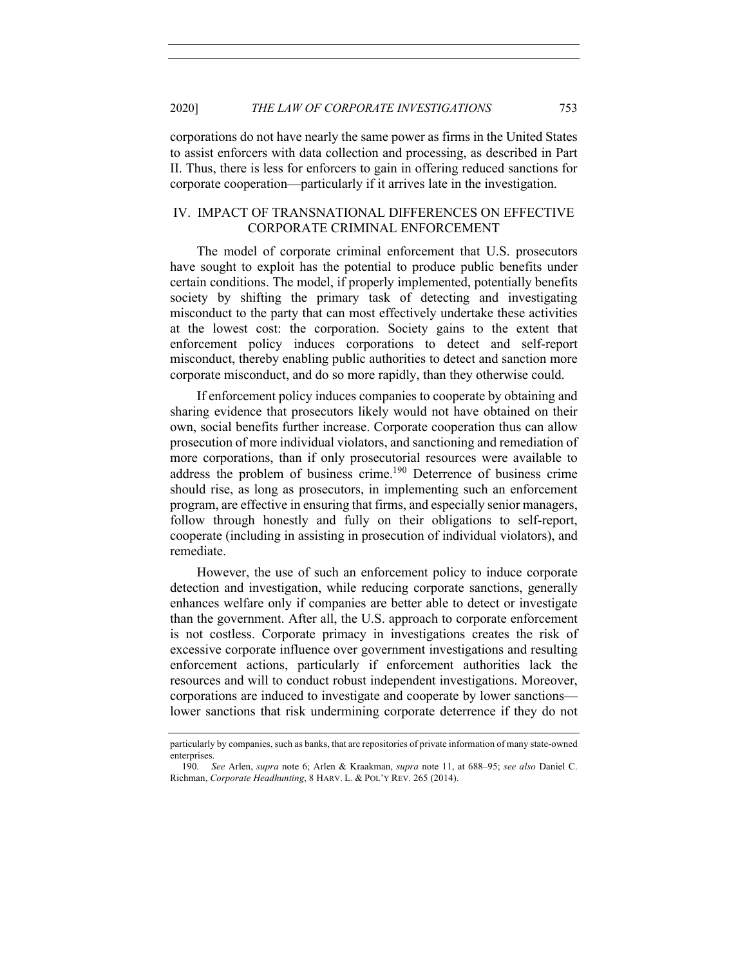corporations do not have nearly the same power as firms in the United States to assist enforcers with data collection and processing, as described in Part II. Thus, there is less for enforcers to gain in offering reduced sanctions for corporate cooperation—particularly if it arrives late in the investigation.

## IV. IMPACT OF TRANSNATIONAL DIFFERENCES ON EFFECTIVE CORPORATE CRIMINAL ENFORCEMENT

The model of corporate criminal enforcement that U.S. prosecutors have sought to exploit has the potential to produce public benefits under certain conditions. The model, if properly implemented, potentially benefits society by shifting the primary task of detecting and investigating misconduct to the party that can most effectively undertake these activities at the lowest cost: the corporation. Society gains to the extent that enforcement policy induces corporations to detect and self-report misconduct, thereby enabling public authorities to detect and sanction more corporate misconduct, and do so more rapidly, than they otherwise could.

If enforcement policy induces companies to cooperate by obtaining and sharing evidence that prosecutors likely would not have obtained on their own, social benefits further increase. Corporate cooperation thus can allow prosecution of more individual violators, and sanctioning and remediation of more corporations, than if only prosecutorial resources were available to address the problem of business crime.<sup>190</sup> Deterrence of business crime should rise, as long as prosecutors, in implementing such an enforcement program, are effective in ensuring that firms, and especially senior managers, follow through honestly and fully on their obligations to self-report, cooperate (including in assisting in prosecution of individual violators), and remediate.

However, the use of such an enforcement policy to induce corporate detection and investigation, while reducing corporate sanctions, generally enhances welfare only if companies are better able to detect or investigate than the government. After all, the U.S. approach to corporate enforcement is not costless. Corporate primacy in investigations creates the risk of excessive corporate influence over government investigations and resulting enforcement actions, particularly if enforcement authorities lack the resources and will to conduct robust independent investigations. Moreover, corporations are induced to investigate and cooperate by lower sanctions lower sanctions that risk undermining corporate deterrence if they do not

particularly by companies, such as banks, that are repositories of private information of many state-owned enterprises.

<sup>190</sup>*. See* Arlen, *supra* note 6; Arlen & Kraakman, *supra* note 11, at 688–95; *see also* Daniel C. Richman, *Corporate Headhunting*, 8 HARV. L. & POL'Y REV. 265 (2014).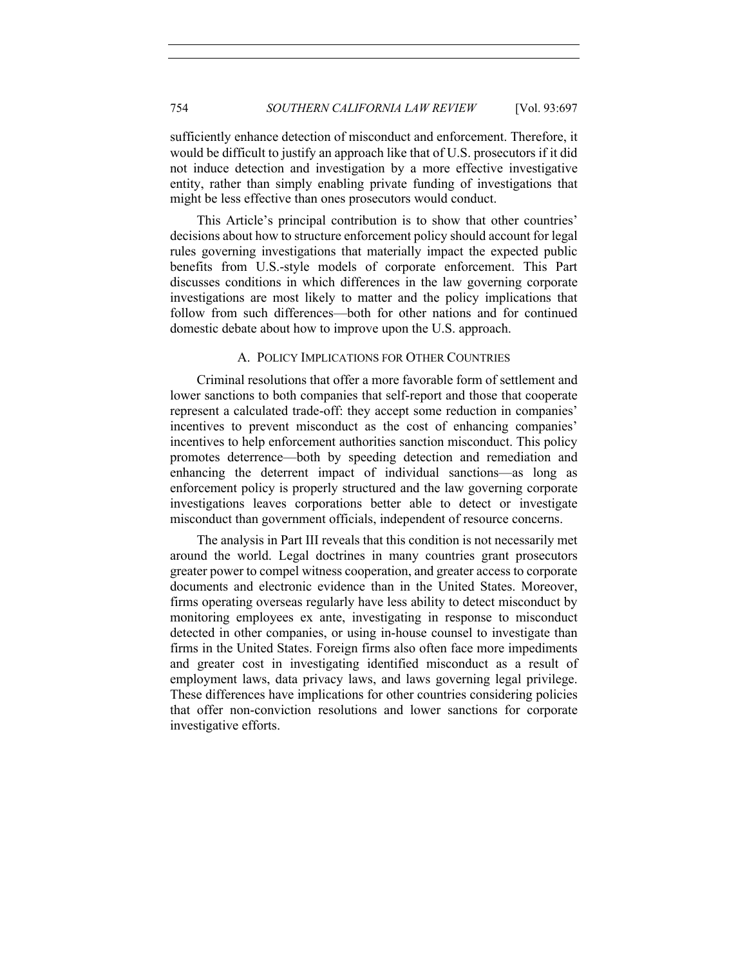sufficiently enhance detection of misconduct and enforcement. Therefore, it would be difficult to justify an approach like that of U.S. prosecutors if it did not induce detection and investigation by a more effective investigative entity, rather than simply enabling private funding of investigations that might be less effective than ones prosecutors would conduct.

This Article's principal contribution is to show that other countries' decisions about how to structure enforcement policy should account for legal rules governing investigations that materially impact the expected public benefits from U.S.-style models of corporate enforcement. This Part discusses conditions in which differences in the law governing corporate investigations are most likely to matter and the policy implications that follow from such differences—both for other nations and for continued domestic debate about how to improve upon the U.S. approach.

## A. POLICY IMPLICATIONS FOR OTHER COUNTRIES

Criminal resolutions that offer a more favorable form of settlement and lower sanctions to both companies that self-report and those that cooperate represent a calculated trade-off: they accept some reduction in companies' incentives to prevent misconduct as the cost of enhancing companies' incentives to help enforcement authorities sanction misconduct. This policy promotes deterrence—both by speeding detection and remediation and enhancing the deterrent impact of individual sanctions—as long as enforcement policy is properly structured and the law governing corporate investigations leaves corporations better able to detect or investigate misconduct than government officials, independent of resource concerns.

The analysis in Part III reveals that this condition is not necessarily met around the world. Legal doctrines in many countries grant prosecutors greater power to compel witness cooperation, and greater access to corporate documents and electronic evidence than in the United States. Moreover, firms operating overseas regularly have less ability to detect misconduct by monitoring employees ex ante, investigating in response to misconduct detected in other companies, or using in-house counsel to investigate than firms in the United States. Foreign firms also often face more impediments and greater cost in investigating identified misconduct as a result of employment laws, data privacy laws, and laws governing legal privilege. These differences have implications for other countries considering policies that offer non-conviction resolutions and lower sanctions for corporate investigative efforts.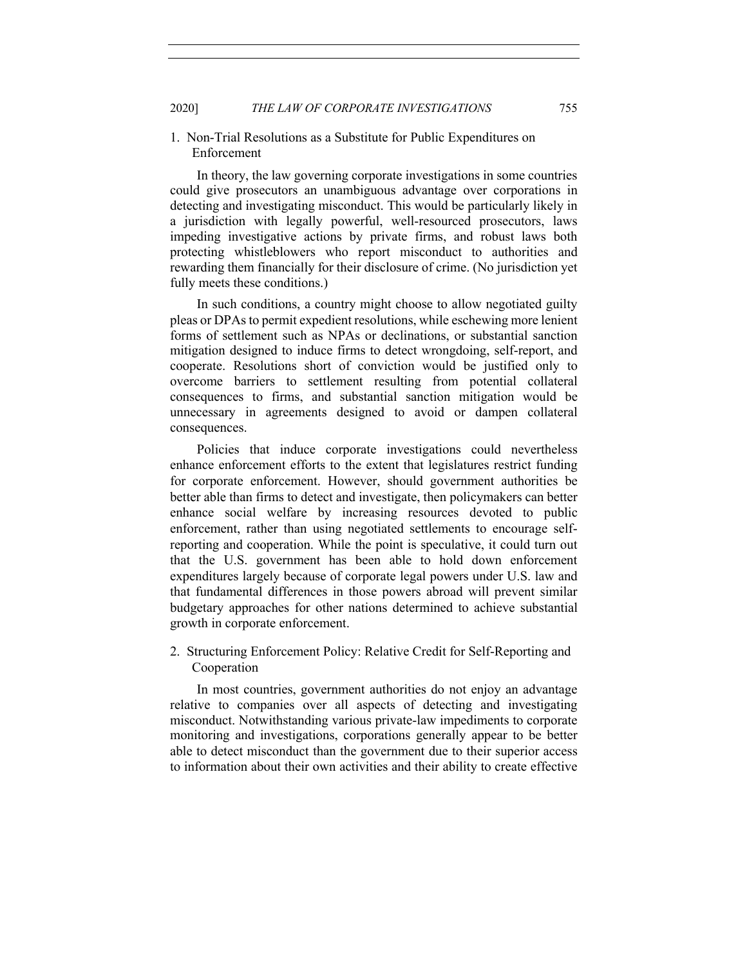## 1. Non-Trial Resolutions as a Substitute for Public Expenditures on Enforcement

In theory, the law governing corporate investigations in some countries could give prosecutors an unambiguous advantage over corporations in detecting and investigating misconduct. This would be particularly likely in a jurisdiction with legally powerful, well-resourced prosecutors, laws impeding investigative actions by private firms, and robust laws both protecting whistleblowers who report misconduct to authorities and rewarding them financially for their disclosure of crime. (No jurisdiction yet fully meets these conditions.)

In such conditions, a country might choose to allow negotiated guilty pleas or DPAs to permit expedient resolutions, while eschewing more lenient forms of settlement such as NPAs or declinations, or substantial sanction mitigation designed to induce firms to detect wrongdoing, self-report, and cooperate. Resolutions short of conviction would be justified only to overcome barriers to settlement resulting from potential collateral consequences to firms, and substantial sanction mitigation would be unnecessary in agreements designed to avoid or dampen collateral consequences.

Policies that induce corporate investigations could nevertheless enhance enforcement efforts to the extent that legislatures restrict funding for corporate enforcement. However, should government authorities be better able than firms to detect and investigate, then policymakers can better enhance social welfare by increasing resources devoted to public enforcement, rather than using negotiated settlements to encourage selfreporting and cooperation. While the point is speculative, it could turn out that the U.S. government has been able to hold down enforcement expenditures largely because of corporate legal powers under U.S. law and that fundamental differences in those powers abroad will prevent similar budgetary approaches for other nations determined to achieve substantial growth in corporate enforcement.

## 2. Structuring Enforcement Policy: Relative Credit for Self-Reporting and Cooperation

In most countries, government authorities do not enjoy an advantage relative to companies over all aspects of detecting and investigating misconduct. Notwithstanding various private-law impediments to corporate monitoring and investigations, corporations generally appear to be better able to detect misconduct than the government due to their superior access to information about their own activities and their ability to create effective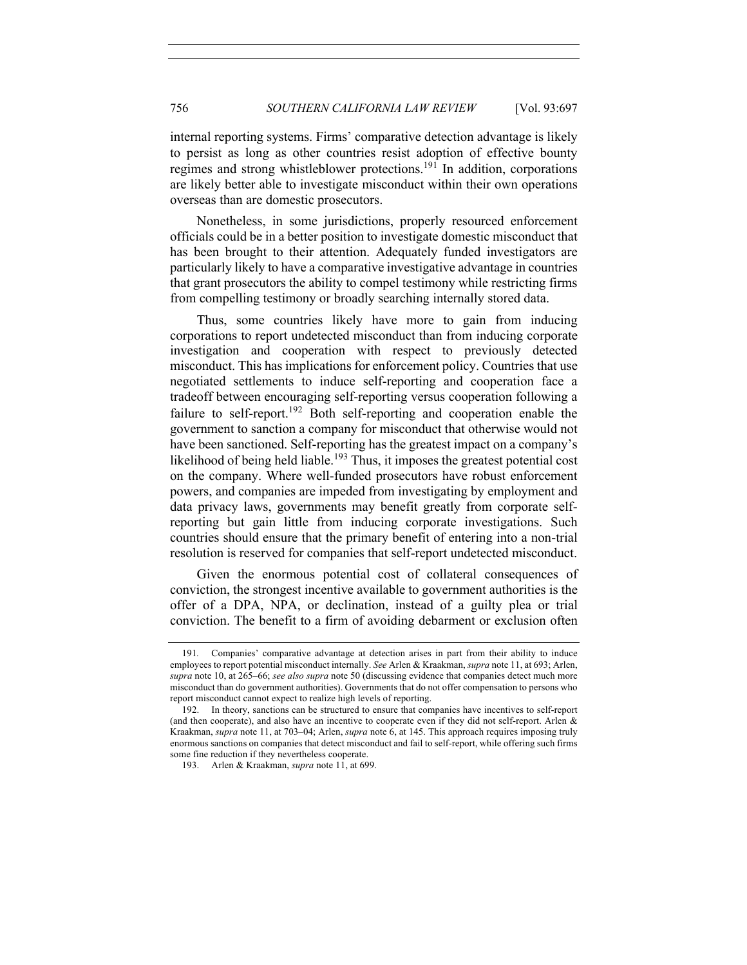internal reporting systems. Firms' comparative detection advantage is likely to persist as long as other countries resist adoption of effective bounty regimes and strong whistleblower protections.<sup>191</sup> In addition, corporations are likely better able to investigate misconduct within their own operations overseas than are domestic prosecutors.

Nonetheless, in some jurisdictions, properly resourced enforcement officials could be in a better position to investigate domestic misconduct that has been brought to their attention. Adequately funded investigators are particularly likely to have a comparative investigative advantage in countries that grant prosecutors the ability to compel testimony while restricting firms from compelling testimony or broadly searching internally stored data.

Thus, some countries likely have more to gain from inducing corporations to report undetected misconduct than from inducing corporate investigation and cooperation with respect to previously detected misconduct. This has implications for enforcement policy. Countries that use negotiated settlements to induce self-reporting and cooperation face a tradeoff between encouraging self-reporting versus cooperation following a failure to self-report.<sup>192</sup> Both self-reporting and cooperation enable the government to sanction a company for misconduct that otherwise would not have been sanctioned. Self-reporting has the greatest impact on a company's likelihood of being held liable.<sup>193</sup> Thus, it imposes the greatest potential cost on the company. Where well-funded prosecutors have robust enforcement powers, and companies are impeded from investigating by employment and data privacy laws, governments may benefit greatly from corporate selfreporting but gain little from inducing corporate investigations. Such countries should ensure that the primary benefit of entering into a non-trial resolution is reserved for companies that self-report undetected misconduct.

Given the enormous potential cost of collateral consequences of conviction, the strongest incentive available to government authorities is the offer of a DPA, NPA, or declination, instead of a guilty plea or trial conviction. The benefit to a firm of avoiding debarment or exclusion often

<sup>191</sup>*.* Companies' comparative advantage at detection arises in part from their ability to induce employees to report potential misconduct internally. *See* Arlen & Kraakman, *supra* note 11, at 693; Arlen, *supra* note 10, at 265–66; *see also supra* note 50 (discussing evidence that companies detect much more misconduct than do government authorities). Governments that do not offer compensation to persons who report misconduct cannot expect to realize high levels of reporting.

<sup>192.</sup> In theory, sanctions can be structured to ensure that companies have incentives to self-report (and then cooperate), and also have an incentive to cooperate even if they did not self-report. Arlen & Kraakman, *supra* note 11, at 703–04; Arlen, *supra* note 6, at 145. This approach requires imposing truly enormous sanctions on companies that detect misconduct and fail to self-report, while offering such firms some fine reduction if they nevertheless cooperate.

<sup>193.</sup> Arlen & Kraakman, *supra* note 11, at 699.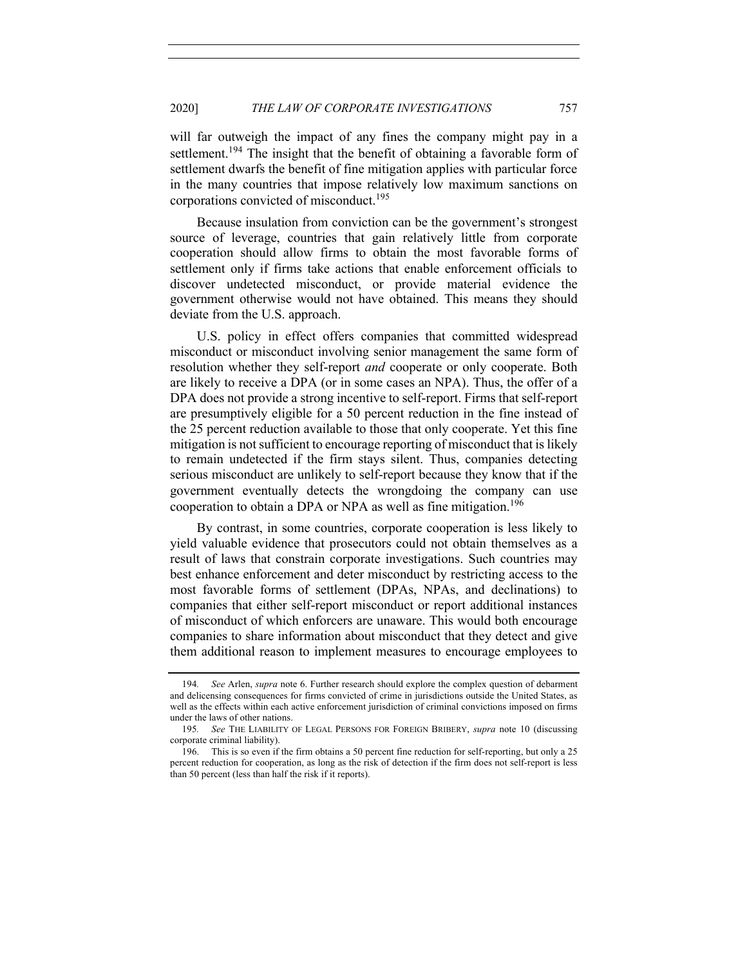will far outweigh the impact of any fines the company might pay in a settlement.<sup>194</sup> The insight that the benefit of obtaining a favorable form of settlement dwarfs the benefit of fine mitigation applies with particular force in the many countries that impose relatively low maximum sanctions on corporations convicted of misconduct.<sup>195</sup>

Because insulation from conviction can be the government's strongest source of leverage, countries that gain relatively little from corporate cooperation should allow firms to obtain the most favorable forms of settlement only if firms take actions that enable enforcement officials to discover undetected misconduct, or provide material evidence the government otherwise would not have obtained. This means they should deviate from the U.S. approach.

U.S. policy in effect offers companies that committed widespread misconduct or misconduct involving senior management the same form of resolution whether they self-report *and* cooperate or only cooperate. Both are likely to receive a DPA (or in some cases an NPA). Thus, the offer of a DPA does not provide a strong incentive to self-report. Firms that self-report are presumptively eligible for a 50 percent reduction in the fine instead of the 25 percent reduction available to those that only cooperate. Yet this fine mitigation is not sufficient to encourage reporting of misconduct that is likely to remain undetected if the firm stays silent. Thus, companies detecting serious misconduct are unlikely to self-report because they know that if the government eventually detects the wrongdoing the company can use cooperation to obtain a DPA or NPA as well as fine mitigation.<sup>196</sup>

By contrast, in some countries, corporate cooperation is less likely to yield valuable evidence that prosecutors could not obtain themselves as a result of laws that constrain corporate investigations. Such countries may best enhance enforcement and deter misconduct by restricting access to the most favorable forms of settlement (DPAs, NPAs, and declinations) to companies that either self-report misconduct or report additional instances of misconduct of which enforcers are unaware. This would both encourage companies to share information about misconduct that they detect and give them additional reason to implement measures to encourage employees to

<sup>194</sup>*. See* Arlen, *supra* note 6. Further research should explore the complex question of debarment and delicensing consequences for firms convicted of crime in jurisdictions outside the United States, as well as the effects within each active enforcement jurisdiction of criminal convictions imposed on firms under the laws of other nations.

<sup>195</sup>*. See* THE LIABILITY OF LEGAL PERSONS FOR FOREIGN BRIBERY, *supra* note 10 (discussing corporate criminal liability).

<sup>196.</sup> This is so even if the firm obtains a 50 percent fine reduction for self-reporting, but only a 25 percent reduction for cooperation, as long as the risk of detection if the firm does not self-report is less than 50 percent (less than half the risk if it reports).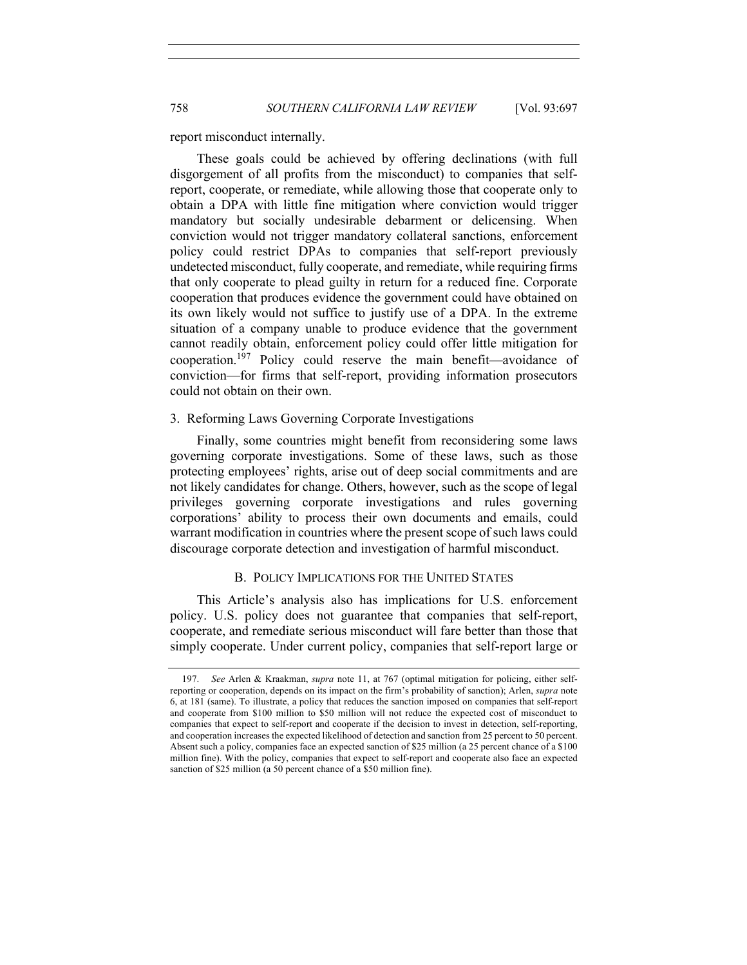report misconduct internally.

These goals could be achieved by offering declinations (with full disgorgement of all profits from the misconduct) to companies that selfreport, cooperate, or remediate, while allowing those that cooperate only to obtain a DPA with little fine mitigation where conviction would trigger mandatory but socially undesirable debarment or delicensing. When conviction would not trigger mandatory collateral sanctions, enforcement policy could restrict DPAs to companies that self-report previously undetected misconduct, fully cooperate, and remediate, while requiring firms that only cooperate to plead guilty in return for a reduced fine. Corporate cooperation that produces evidence the government could have obtained on its own likely would not suffice to justify use of a DPA. In the extreme situation of a company unable to produce evidence that the government cannot readily obtain, enforcement policy could offer little mitigation for cooperation.<sup>197</sup> Policy could reserve the main benefit—avoidance of conviction—for firms that self-report, providing information prosecutors could not obtain on their own.

#### 3. Reforming Laws Governing Corporate Investigations

Finally, some countries might benefit from reconsidering some laws governing corporate investigations. Some of these laws, such as those protecting employees' rights, arise out of deep social commitments and are not likely candidates for change. Others, however, such as the scope of legal privileges governing corporate investigations and rules governing corporations' ability to process their own documents and emails, could warrant modification in countries where the present scope of such laws could discourage corporate detection and investigation of harmful misconduct.

## B. POLICY IMPLICATIONS FOR THE UNITED STATES

This Article's analysis also has implications for U.S. enforcement policy. U.S. policy does not guarantee that companies that self-report, cooperate, and remediate serious misconduct will fare better than those that simply cooperate. Under current policy, companies that self-report large or

<sup>197.</sup> *See* Arlen & Kraakman, *supra* note 11, at 767 (optimal mitigation for policing, either selfreporting or cooperation, depends on its impact on the firm's probability of sanction); Arlen, *supra* note 6, at 181 (same). To illustrate, a policy that reduces the sanction imposed on companies that self-report and cooperate from \$100 million to \$50 million will not reduce the expected cost of misconduct to companies that expect to self-report and cooperate if the decision to invest in detection, self-reporting, and cooperation increases the expected likelihood of detection and sanction from 25 percent to 50 percent. Absent such a policy, companies face an expected sanction of \$25 million (a 25 percent chance of a \$100 million fine). With the policy, companies that expect to self-report and cooperate also face an expected sanction of \$25 million (a 50 percent chance of a \$50 million fine).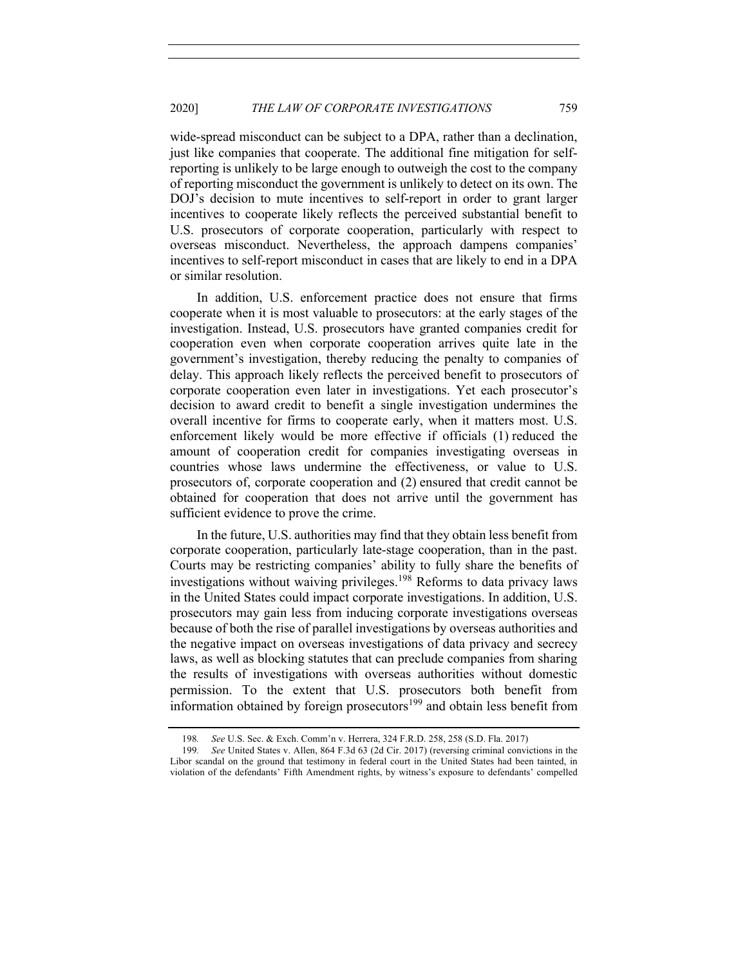wide-spread misconduct can be subject to a DPA, rather than a declination, just like companies that cooperate. The additional fine mitigation for selfreporting is unlikely to be large enough to outweigh the cost to the company of reporting misconduct the government is unlikely to detect on its own. The DOJ's decision to mute incentives to self-report in order to grant larger incentives to cooperate likely reflects the perceived substantial benefit to U.S. prosecutors of corporate cooperation, particularly with respect to overseas misconduct. Nevertheless, the approach dampens companies' incentives to self-report misconduct in cases that are likely to end in a DPA or similar resolution.

In addition, U.S. enforcement practice does not ensure that firms cooperate when it is most valuable to prosecutors: at the early stages of the investigation. Instead, U.S. prosecutors have granted companies credit for cooperation even when corporate cooperation arrives quite late in the government's investigation, thereby reducing the penalty to companies of delay. This approach likely reflects the perceived benefit to prosecutors of corporate cooperation even later in investigations. Yet each prosecutor's decision to award credit to benefit a single investigation undermines the overall incentive for firms to cooperate early, when it matters most. U.S. enforcement likely would be more effective if officials (1) reduced the amount of cooperation credit for companies investigating overseas in countries whose laws undermine the effectiveness, or value to U.S. prosecutors of, corporate cooperation and (2) ensured that credit cannot be obtained for cooperation that does not arrive until the government has sufficient evidence to prove the crime.

In the future, U.S. authorities may find that they obtain less benefit from corporate cooperation, particularly late-stage cooperation, than in the past. Courts may be restricting companies' ability to fully share the benefits of investigations without waiving privileges.<sup>198</sup> Reforms to data privacy laws in the United States could impact corporate investigations. In addition, U.S. prosecutors may gain less from inducing corporate investigations overseas because of both the rise of parallel investigations by overseas authorities and the negative impact on overseas investigations of data privacy and secrecy laws, as well as blocking statutes that can preclude companies from sharing the results of investigations with overseas authorities without domestic permission. To the extent that U.S. prosecutors both benefit from information obtained by foreign prosecutors $199$  and obtain less benefit from

<sup>198</sup>*. See* U.S. Sec. & Exch. Comm'n v. Herrera, 324 F.R.D. 258, 258 (S.D. Fla. 2017)

<sup>199</sup>*. See* United States v. Allen, 864 F.3d 63 (2d Cir. 2017) (reversing criminal convictions in the Libor scandal on the ground that testimony in federal court in the United States had been tainted, in violation of the defendants' Fifth Amendment rights, by witness's exposure to defendants' compelled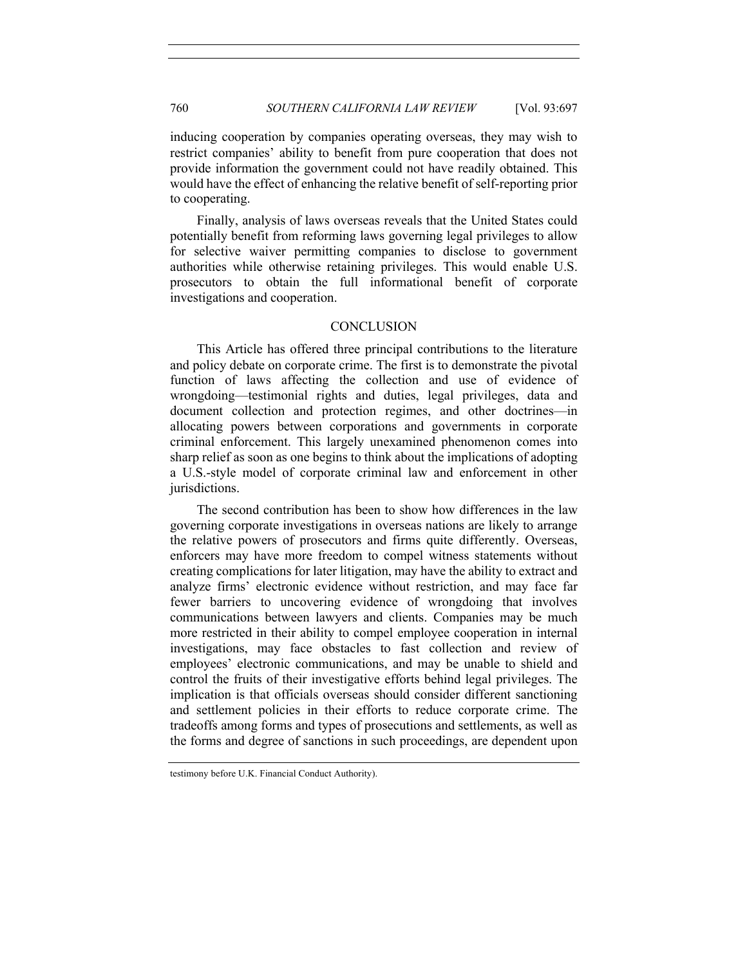inducing cooperation by companies operating overseas, they may wish to restrict companies' ability to benefit from pure cooperation that does not provide information the government could not have readily obtained. This would have the effect of enhancing the relative benefit of self-reporting prior to cooperating.

Finally, analysis of laws overseas reveals that the United States could potentially benefit from reforming laws governing legal privileges to allow for selective waiver permitting companies to disclose to government authorities while otherwise retaining privileges. This would enable U.S. prosecutors to obtain the full informational benefit of corporate investigations and cooperation.

#### **CONCLUSION**

This Article has offered three principal contributions to the literature and policy debate on corporate crime. The first is to demonstrate the pivotal function of laws affecting the collection and use of evidence of wrongdoing—testimonial rights and duties, legal privileges, data and document collection and protection regimes, and other doctrines—in allocating powers between corporations and governments in corporate criminal enforcement. This largely unexamined phenomenon comes into sharp relief as soon as one begins to think about the implications of adopting a U.S.-style model of corporate criminal law and enforcement in other jurisdictions.

The second contribution has been to show how differences in the law governing corporate investigations in overseas nations are likely to arrange the relative powers of prosecutors and firms quite differently. Overseas, enforcers may have more freedom to compel witness statements without creating complications for later litigation, may have the ability to extract and analyze firms' electronic evidence without restriction, and may face far fewer barriers to uncovering evidence of wrongdoing that involves communications between lawyers and clients. Companies may be much more restricted in their ability to compel employee cooperation in internal investigations, may face obstacles to fast collection and review of employees' electronic communications, and may be unable to shield and control the fruits of their investigative efforts behind legal privileges. The implication is that officials overseas should consider different sanctioning and settlement policies in their efforts to reduce corporate crime. The tradeoffs among forms and types of prosecutions and settlements, as well as the forms and degree of sanctions in such proceedings, are dependent upon

testimony before U.K. Financial Conduct Authority).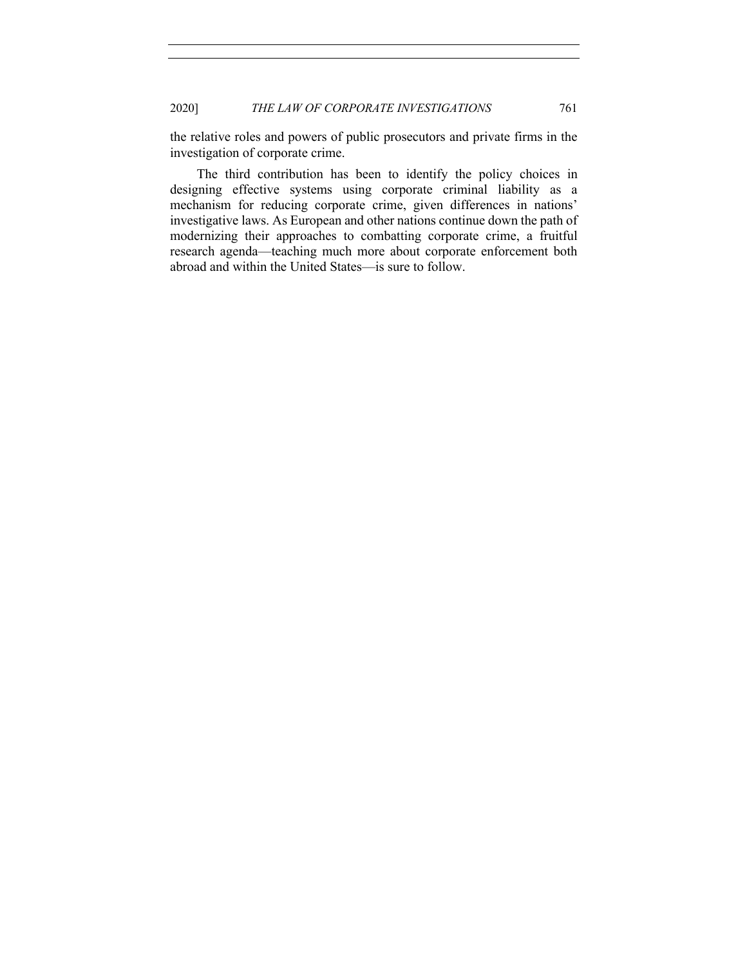the relative roles and powers of public prosecutors and private firms in the investigation of corporate crime.

The third contribution has been to identify the policy choices in designing effective systems using corporate criminal liability as a mechanism for reducing corporate crime, given differences in nations' investigative laws. As European and other nations continue down the path of modernizing their approaches to combatting corporate crime, a fruitful research agenda—teaching much more about corporate enforcement both abroad and within the United States—is sure to follow.